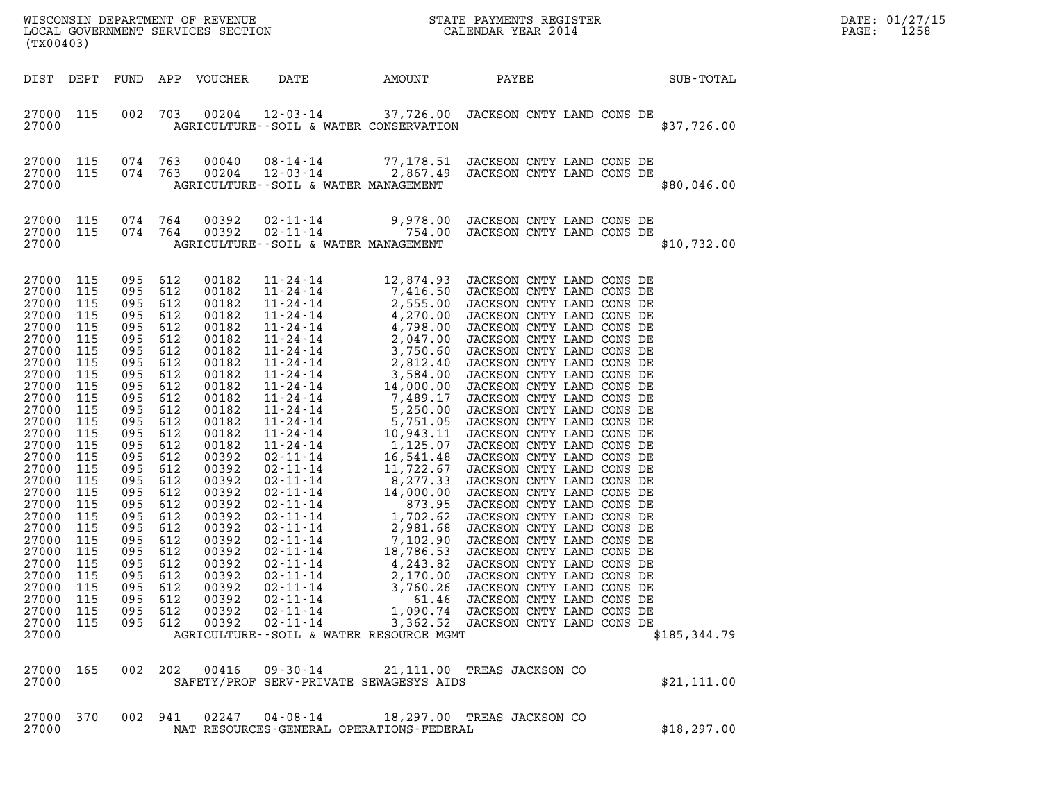| WISCONSIN DEPARTMENT OF REVENUE<br>LOCAL GOVERNMENT SERVICES SECTION<br>CALENDAR YEAR 2014<br>(TX00403)                                                                                                                                                                                     |                                                                                                                                                                                                    |                                                                                                                                                                                                                                |                                                                                                                                                                                    |                                                                                                                                                                                                                                                                            |                                                                                                                                                                 |          |                                                                                                                                                                                                                                                                                                                                                                                                                                                                                                                                                                                                                                       |  |              | DATE: 01/27/15<br>1258<br>PAGE: |
|---------------------------------------------------------------------------------------------------------------------------------------------------------------------------------------------------------------------------------------------------------------------------------------------|----------------------------------------------------------------------------------------------------------------------------------------------------------------------------------------------------|--------------------------------------------------------------------------------------------------------------------------------------------------------------------------------------------------------------------------------|------------------------------------------------------------------------------------------------------------------------------------------------------------------------------------|----------------------------------------------------------------------------------------------------------------------------------------------------------------------------------------------------------------------------------------------------------------------------|-----------------------------------------------------------------------------------------------------------------------------------------------------------------|----------|---------------------------------------------------------------------------------------------------------------------------------------------------------------------------------------------------------------------------------------------------------------------------------------------------------------------------------------------------------------------------------------------------------------------------------------------------------------------------------------------------------------------------------------------------------------------------------------------------------------------------------------|--|--------------|---------------------------------|
| DIST DEPT                                                                                                                                                                                                                                                                                   |                                                                                                                                                                                                    |                                                                                                                                                                                                                                |                                                                                                                                                                                    | FUND APP VOUCHER                                                                                                                                                                                                                                                           | DATE                                                                                                                                                            | AMOUNT   | PAYEE                                                                                                                                                                                                                                                                                                                                                                                                                                                                                                                                                                                                                                 |  | SUB-TOTAL    |                                 |
| 27000 115<br>27000                                                                                                                                                                                                                                                                          |                                                                                                                                                                                                    | 002                                                                                                                                                                                                                            | 703                                                                                                                                                                                | 00204                                                                                                                                                                                                                                                                      | AGRICULTURE--SOIL & WATER CONSERVATION                                                                                                                          |          | 12-03-14 37,726.00 JACKSON CNTY LAND CONS DE                                                                                                                                                                                                                                                                                                                                                                                                                                                                                                                                                                                          |  | \$37,726.00  |                                 |
| 27000 115<br>27000 115<br>27000                                                                                                                                                                                                                                                             |                                                                                                                                                                                                    | 074 763<br>074 763                                                                                                                                                                                                             |                                                                                                                                                                                    | 00040<br>00204                                                                                                                                                                                                                                                             | AGRICULTURE--SOIL & WATER MANAGEMENT                                                                                                                            |          | 08-14-14 77,178.51 JACKSON CNTY LAND CONS DE<br>12-03-14 2,867.49 JACKSON CNTY LAND CONS DE                                                                                                                                                                                                                                                                                                                                                                                                                                                                                                                                           |  | \$80,046.00  |                                 |
| 27000 115<br>27000 115<br>27000                                                                                                                                                                                                                                                             |                                                                                                                                                                                                    | 074 764<br>074 764                                                                                                                                                                                                             |                                                                                                                                                                                    | 00392<br>00392                                                                                                                                                                                                                                                             | $02 - 11 - 14$<br>AGRICULTURE--SOIL & WATER MANAGEMENT                                                                                                          |          | 02-11-14 9,978.00 JACKSON CNTY LAND CONS DE<br>754.00 JACKSON CNTY LAND CONS DE                                                                                                                                                                                                                                                                                                                                                                                                                                                                                                                                                       |  | \$10,732.00  |                                 |
| 27000 115<br>27000<br>27000<br>27000<br>27000<br>27000<br>27000<br>27000<br>27000<br>27000<br>27000<br>27000<br>27000<br>27000<br>27000<br>27000<br>27000<br>27000<br>27000<br>27000<br>27000<br>27000<br>27000<br>27000<br>27000<br>27000<br>27000<br>27000<br>27000<br>27000 115<br>27000 | 115<br>115<br>115<br>115<br>115<br>115<br>115<br>115<br>115<br>115<br>115<br>115<br>115<br>115<br>115<br>115<br>115<br>115<br>115<br>115<br>115<br>115<br>115<br>115<br>115<br>115<br>115<br>- 115 | 095 612<br>095<br>095<br>095<br>095<br>095<br>095<br>095<br>095<br>095<br>095<br>095<br>095<br>095<br>095<br>095<br>095<br>095<br>095<br>095<br>095<br>095<br>095 612<br>095<br>095 612<br>095<br>095<br>095<br>095<br>095 612 | 612<br>612<br>612<br>612<br>612<br>612<br>612<br>612<br>612<br>612<br>612<br>612<br>612<br>612<br>612<br>612<br>612<br>612<br>612<br>612<br>612<br>612<br>612<br>612<br>612<br>612 | 00182<br>00182<br>00182<br>00182<br>00182<br>00182<br>00182<br>00182<br>00182<br>00182<br>00182<br>00182<br>00182<br>00182<br>00182<br>00392<br>00392<br>00392<br>00392<br>00392<br>00392<br>00392<br>00392<br>00392<br>00392<br>00392<br>00392<br>00392<br>00392<br>00392 | $11 - 24 - 14$<br>$02 - 11 - 14$<br>$02 - 11 - 14$<br>$02 - 11 - 14$<br>$02 - 11 - 14$<br>$02 - 11 - 14$<br>02-11-14<br>AGRICULTURE--SOIL & WATER RESOURCE MGMT | 4,243.82 | 12,874.93 JACKSON CNTY LAND CONS DE<br>$\begin{tabular}{ c c c  c  c c} 11-24-14 & 12,874.93 & JACKSON CNTY LAND CONS DE \\ 11-24-14 & 7,416.50 & JACKSON CNTY LAND CONS DE \\ 11-24-14 & 2,555.00 & JACKSON CNTY LAND CONS DE \\ 11-24-14 & 4,798.00 & JACKSON CNTY LAND CONS DE \\ 11-24-14 & 4,798.00 & JACKSON CNTY LAND CONS DE \\ 11-24-14 & 2,047.00 & JACKSON CNTY LAND CONS DE \\ 11-24-14 & 2,047.$<br>JACKSON CNTY LAND CONS DE<br>2,170.00 JACKSON CNTY LAND CONS DE<br>3,760.26 JACKSON CNTY LAND CONS DE<br>61.46 JACKSON CNTY LAND CONS DE<br>1,090.74 JACKSON CNTY LAND CONS DE<br>3,362.52 JACKSON CNTY LAND CONS DE |  | \$185,344.79 |                                 |
| 27000 165<br>27000                                                                                                                                                                                                                                                                          |                                                                                                                                                                                                    | 002 202                                                                                                                                                                                                                        |                                                                                                                                                                                    | 00416                                                                                                                                                                                                                                                                      | $09 - 30 - 14$<br>SAFETY/PROF SERV-PRIVATE SEWAGESYS AIDS                                                                                                       |          | 21,111.00 TREAS JACKSON CO                                                                                                                                                                                                                                                                                                                                                                                                                                                                                                                                                                                                            |  | \$21, 111.00 |                                 |
| 27000 370<br>27000                                                                                                                                                                                                                                                                          |                                                                                                                                                                                                    | 002 941                                                                                                                                                                                                                        |                                                                                                                                                                                    | 02247                                                                                                                                                                                                                                                                      | NAT RESOURCES-GENERAL OPERATIONS-FEDERAL                                                                                                                        |          | 04-08-14 18,297.00 TREAS JACKSON CO                                                                                                                                                                                                                                                                                                                                                                                                                                                                                                                                                                                                   |  | \$18, 297.00 |                                 |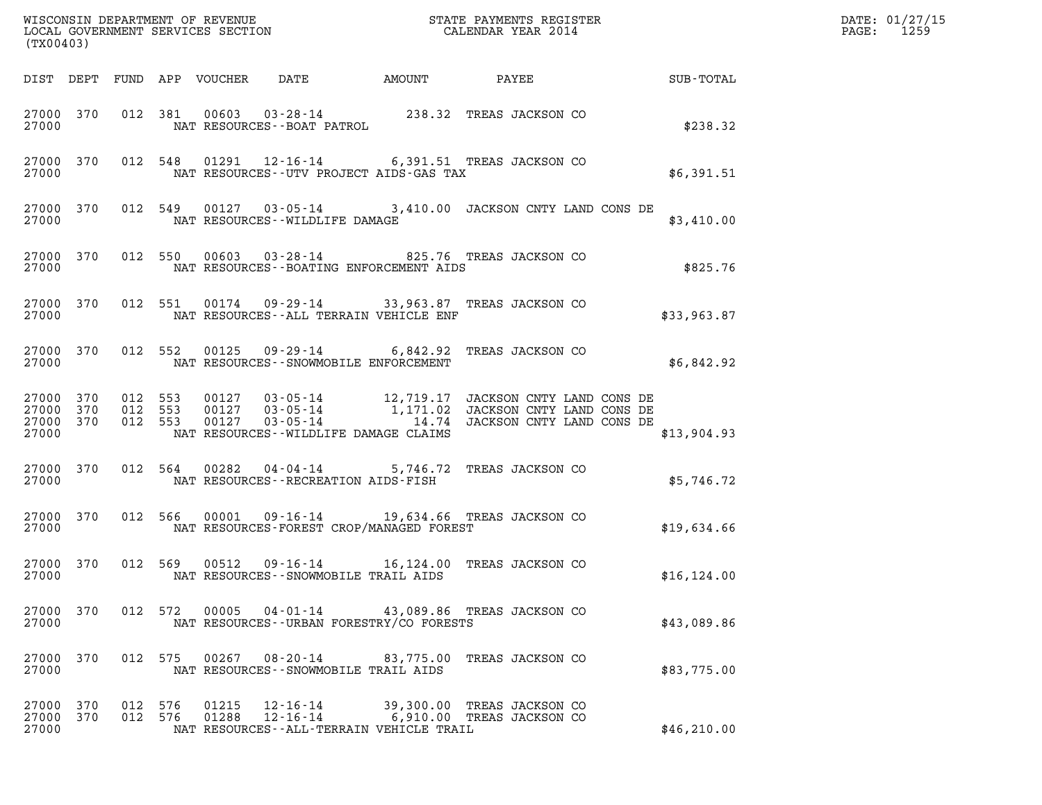| (TX00403)                                    |         |         |                                 |                                                            |                                                                                                                                                                                   |                        | DATE: 01/27/15<br>$\mathtt{PAGE:}$<br>1259 |
|----------------------------------------------|---------|---------|---------------------------------|------------------------------------------------------------|-----------------------------------------------------------------------------------------------------------------------------------------------------------------------------------|------------------------|--------------------------------------------|
|                                              |         |         | DIST DEPT FUND APP VOUCHER DATE |                                                            |                                                                                                                                                                                   | AMOUNT PAYEE SUB-TOTAL |                                            |
|                                              |         |         |                                 |                                                            | $\begin{tabular}{lllllll} 27000& 370& 012& 381& 00603& 03-28-14& & 238.32 & \texttt{TREAS JACKSON CO} \\ & \texttt{NAT RESOURCES--BOAT PATROL} & & & & \end{tabular}$             | \$238.32               |                                            |
| 27000                                        |         |         |                                 | NAT RESOURCES--UTV PROJECT AIDS-GAS TAX                    | 27000 370 012 548 01291 12-16-14 6,391.51 TREAS JACKSON CO                                                                                                                        | \$6,391.51             |                                            |
| 27000                                        |         |         |                                 | NAT RESOURCES--WILDLIFE DAMAGE                             | 27000 370 012 549 00127 03-05-14 3,410.00 JACKSON CNTY LAND CONS DE                                                                                                               | \$3,410.00             |                                            |
| 27000 370<br>27000                           |         |         |                                 | NAT RESOURCES--BOATING ENFORCEMENT AIDS                    | 012 550 00603 03-28-14 825.76 TREAS JACKSON CO                                                                                                                                    | \$825.76               |                                            |
| 27000                                        |         |         |                                 | NAT RESOURCES--ALL TERRAIN VEHICLE ENF                     | 27000 370 012 551 00174 09-29-14 33,963.87 TREAS JACKSON CO                                                                                                                       | \$33,963.87            |                                            |
| 27000                                        |         |         |                                 | NAT RESOURCES - - SNOWMOBILE ENFORCEMENT                   | 27000 370 012 552 00125 09-29-14 6,842.92 TREAS JACKSON CO                                                                                                                        | \$6,842.92             |                                            |
| 27000 370<br>27000 370<br>27000 370<br>27000 |         |         |                                 | NAT RESOURCES - WILDLIFE DAMAGE CLAIMS                     | 012 553 00127 03-05-14 12,719.17 JACKSON CNTY LAND CONS DE<br>012 553 00127 03-05-14 1,171.02 JACKSON CNTY LAND CONS DE<br>012 553 00127 03-05-14 14.74 JACKSON CNTY LAND CONS DE | \$13,904.93            |                                            |
| 27000                                        |         |         |                                 | NAT RESOURCES - - RECREATION AIDS - FISH                   | 27000 370 012 564 00282 04-04-14 5,746.72 TREAS JACKSON CO                                                                                                                        | \$5,746.72             |                                            |
| 27000                                        |         |         |                                 | NAT RESOURCES-FOREST CROP/MANAGED FOREST                   | 27000 370 012 566 00001 09-16-14 19,634.66 TREAS JACKSON CO                                                                                                                       | \$19,634.66            |                                            |
| 27000                                        |         |         |                                 | NAT RESOURCES - - SNOWMOBILE TRAIL AIDS                    | 27000 370 012 569 00512 09-16-14 16,124.00 TREAS JACKSON CO                                                                                                                       | \$16, 124.00           |                                            |
| 27000 370<br>27000                           |         |         | 012 572 00005                   | NAT RESOURCES - - URBAN FORESTRY/CO FORESTS                | 04-01-14 43,089.86 TREAS JACKSON CO                                                                                                                                               | \$43,089.86            |                                            |
| 27000 370<br>27000                           |         |         |                                 | NAT RESOURCES - - SNOWMOBILE TRAIL AIDS                    | 012 575 00267 08-20-14 83,775.00 TREAS JACKSON CO                                                                                                                                 | \$83,775.00            |                                            |
| 27000 370<br>27000 370<br>27000              | 012 576 | 012 576 | 01215<br>01288                  | $12 - 16 - 14$<br>NAT RESOURCES--ALL-TERRAIN VEHICLE TRAIL | 39,300.00 TREAS JACKSON CO<br>12-16-14 6,910.00 TREAS JACKSON CO                                                                                                                  | \$46, 210.00           |                                            |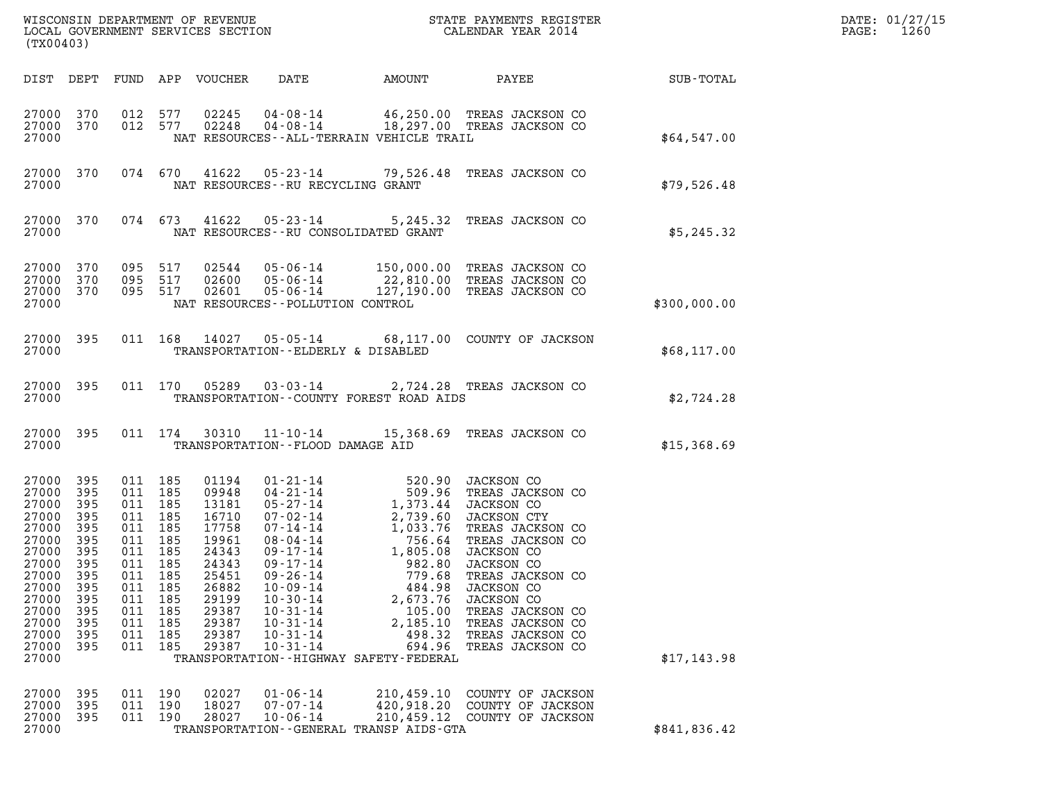| (TX00403)                                                                                                                                        |                                                                                                  |                                                                                                                                |                                                   |                                                                                                                                     |                                                                                                                                              |                                                                                                                                 |                                                                                                                                                                                                                                                                                                                                                                                         |                  | DATE: 01/27/15<br>1260<br>$\mathtt{PAGE}$ : |
|--------------------------------------------------------------------------------------------------------------------------------------------------|--------------------------------------------------------------------------------------------------|--------------------------------------------------------------------------------------------------------------------------------|---------------------------------------------------|-------------------------------------------------------------------------------------------------------------------------------------|----------------------------------------------------------------------------------------------------------------------------------------------|---------------------------------------------------------------------------------------------------------------------------------|-----------------------------------------------------------------------------------------------------------------------------------------------------------------------------------------------------------------------------------------------------------------------------------------------------------------------------------------------------------------------------------------|------------------|---------------------------------------------|
|                                                                                                                                                  |                                                                                                  |                                                                                                                                |                                                   | DIST DEPT FUND APP VOUCHER                                                                                                          | DATE                                                                                                                                         | AMOUNT                                                                                                                          | PAYEE                                                                                                                                                                                                                                                                                                                                                                                   | <b>SUB-TOTAL</b> |                                             |
| 27000 370<br>27000 370<br>27000                                                                                                                  |                                                                                                  | 012 577                                                                                                                        | 012 577                                           | 02245<br>02248                                                                                                                      |                                                                                                                                              | NAT RESOURCES - - ALL - TERRAIN VEHICLE TRAIL                                                                                   | 04-08-14 46,250.00 TREAS JACKSON CO<br>04-08-14 18,297.00 TREAS JACKSON CO                                                                                                                                                                                                                                                                                                              | \$64,547.00      |                                             |
| 27000 370<br>27000                                                                                                                               |                                                                                                  |                                                                                                                                |                                                   |                                                                                                                                     | NAT RESOURCES--RU RECYCLING GRANT                                                                                                            |                                                                                                                                 | 074 670 41622 05-23-14 79,526.48 TREAS JACKSON CO                                                                                                                                                                                                                                                                                                                                       | \$79,526.48      |                                             |
| 27000 370<br>27000                                                                                                                               |                                                                                                  |                                                                                                                                | 074 673                                           |                                                                                                                                     |                                                                                                                                              | NAT RESOURCES--RU CONSOLIDATED GRANT                                                                                            | 41622  05-23-14   5,245.32  TREAS JACKSON CO                                                                                                                                                                                                                                                                                                                                            | \$5,245.32       |                                             |
| 27000 370<br>27000 370<br>27000 370<br>27000                                                                                                     |                                                                                                  | 095 517<br>095 517                                                                                                             | 095 517                                           | 02601                                                                                                                               | 05-06-14<br>NAT RESOURCES - - POLLUTION CONTROL                                                                                              |                                                                                                                                 | 02544  05-06-14  150,000.00 TREAS JACKSON CO<br>02600  05-06-14  22,810.00 TREAS JACKSON CO<br>02601  05-06-14  127,190.00 TREAS JACKSON CO<br>127,190.00 TREAS JACKSON CO                                                                                                                                                                                                              | \$300,000.00     |                                             |
| 27000 395<br>27000                                                                                                                               |                                                                                                  |                                                                                                                                | 011 168                                           | 14027                                                                                                                               | TRANSPORTATION--ELDERLY & DISABLED                                                                                                           |                                                                                                                                 | 05-05-14 68,117.00 COUNTY OF JACKSON                                                                                                                                                                                                                                                                                                                                                    | \$68,117.00      |                                             |
| 27000 395<br>27000                                                                                                                               |                                                                                                  |                                                                                                                                | 011 170                                           | 05289                                                                                                                               | $03 - 03 - 14$                                                                                                                               | TRANSPORTATION--COUNTY FOREST ROAD AIDS                                                                                         | 2,724.28 TREAS JACKSON CO                                                                                                                                                                                                                                                                                                                                                               | \$2,724.28       |                                             |
| 27000 395<br>27000                                                                                                                               |                                                                                                  |                                                                                                                                |                                                   |                                                                                                                                     | TRANSPORTATION--FLOOD DAMAGE AID                                                                                                             |                                                                                                                                 | 011 174 30310 11-10-14 15,368.69 TREAS JACKSON CO                                                                                                                                                                                                                                                                                                                                       | \$15,368.69      |                                             |
| 27000 395<br>27000<br>27000<br>27000<br>27000<br>27000<br>27000<br>27000<br>27000<br>27000<br>27000<br>27000<br>27000<br>27000<br>27000<br>27000 | 395<br>395<br>395<br>395<br>395<br>395<br>395<br>395<br>395<br>395<br>395<br>395<br>-395<br>-395 | 011 185<br>011 185<br>011 185<br>011 185<br>011 185<br>011 185<br>011 185<br>011 185<br>011<br>011<br>011<br>011<br>011<br>011 | 185<br>185<br>185<br>185<br>185<br>185<br>011 185 | 01194<br>09948<br>13181<br>16710<br>17758<br>19961<br>24343<br>24343<br>25451<br>26882<br>29199<br>29387<br>29387<br>29387<br>29387 | $09 - 17 - 14$<br>$09 - 26 - 14$<br>$10 - 09 - 14$<br>$10 - 30 - 14$<br>$10 - 31 - 14$<br>$10 - 31 - 14$<br>$10 - 31 - 14$<br>$10 - 31 - 14$ | 982.80<br>779.68<br>484.98<br>2,673.76<br>105.00<br>2,185.10<br>498.32<br>694.96<br>TRANSPORTATION - - HIGHWAY SAFETY - FEDERAL | 01-21-14 520.90 JACKSON CO<br>04-21-14 509.96 TREAS JACKSON CO<br>05-27-14 1,373.44 JACKSON CO<br>07-02-14 2,739.60 JACKSON CTY<br>07-14-14 1,033.76 TREAS JACKSON CO<br>08-04-14 756.64 TREAS JACKSON CO<br>09-17-14 1,805.08 JACKSON CO<br>JACKSON CO<br>TREAS JACKSON CO<br>JACKSON CO<br>JACKSON CO<br>TREAS JACKSON CO<br>TREAS JACKSON CO<br>TREAS JACKSON CO<br>TREAS JACKSON CO | \$17,143.98      |                                             |
| 27000<br>27000<br>27000<br>27000                                                                                                                 | 395<br>395<br>-395                                                                               | 011<br>011<br>011 190                                                                                                          | 190<br>190                                        | 02027<br>18027<br>28027                                                                                                             | $01 - 06 - 14$<br>$07 - 07 - 14$<br>$10 - 06 - 14$                                                                                           | 210,459.10<br>420,918.20<br>210,459.12<br>TRANSPORTATION--GENERAL TRANSP AIDS-GTA                                               | COUNTY OF JACKSON<br>COUNTY OF JACKSON<br>COUNTY OF JACKSON                                                                                                                                                                                                                                                                                                                             | \$841,836.42     |                                             |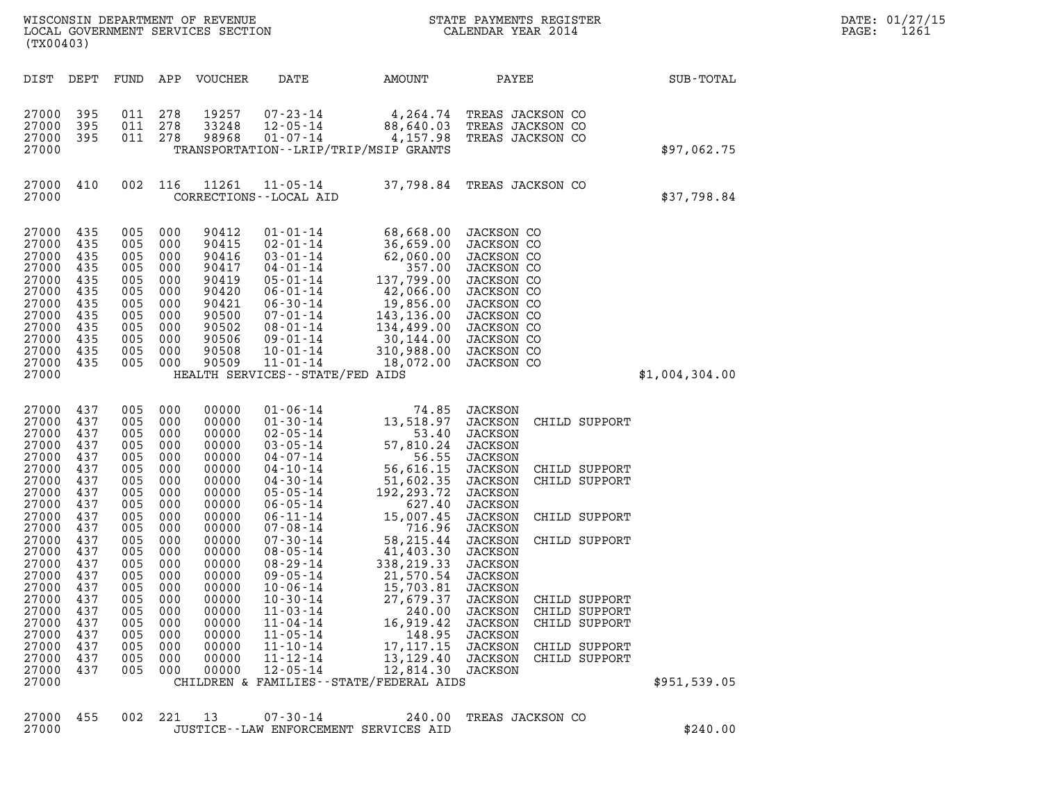| (TX00403)                                                                                                                                                                                                            |                                                                                                                                                               |                                                                                                                                                               |                                                                                                                                                               | WISCONSIN DEPARTMENT OF REVENUE<br>LOCAL GOVERNMENT SERVICES SECTION                                                                                                                                        |                                                                                                                                                                                                                                                                                                                                                                                                                            |                                                                                                                                                                                                                                                                                                                                   | CALENDAR YEAR 2014                                                                                                                                                                                                                                                      | STATE PAYMENTS REGISTER                                                                                                                                                |                | DATE: 01/27/15<br>PAGE:<br>1261 |
|----------------------------------------------------------------------------------------------------------------------------------------------------------------------------------------------------------------------|---------------------------------------------------------------------------------------------------------------------------------------------------------------|---------------------------------------------------------------------------------------------------------------------------------------------------------------|---------------------------------------------------------------------------------------------------------------------------------------------------------------|-------------------------------------------------------------------------------------------------------------------------------------------------------------------------------------------------------------|----------------------------------------------------------------------------------------------------------------------------------------------------------------------------------------------------------------------------------------------------------------------------------------------------------------------------------------------------------------------------------------------------------------------------|-----------------------------------------------------------------------------------------------------------------------------------------------------------------------------------------------------------------------------------------------------------------------------------------------------------------------------------|-------------------------------------------------------------------------------------------------------------------------------------------------------------------------------------------------------------------------------------------------------------------------|------------------------------------------------------------------------------------------------------------------------------------------------------------------------|----------------|---------------------------------|
| DIST DEPT                                                                                                                                                                                                            |                                                                                                                                                               | FUND                                                                                                                                                          | APP                                                                                                                                                           | VOUCHER                                                                                                                                                                                                     | DATE                                                                                                                                                                                                                                                                                                                                                                                                                       | AMOUNT                                                                                                                                                                                                                                                                                                                            | PAYEE                                                                                                                                                                                                                                                                   |                                                                                                                                                                        | SUB-TOTAL      |                                 |
| 27000<br>27000<br>27000<br>27000                                                                                                                                                                                     | 395<br>395<br>395                                                                                                                                             | 011<br>011<br>011 278                                                                                                                                         | 278<br>278                                                                                                                                                    | 19257<br>33248<br>98968                                                                                                                                                                                     | 07-23-14<br>$12 - 05 - 14$<br>$01 - 07 - 14$                                                                                                                                                                                                                                                                                                                                                                               | 4,264.74<br>88,640.03<br>4,157.98<br>TRANSPORTATION--LRIP/TRIP/MSIP GRANTS                                                                                                                                                                                                                                                        | TREAS JACKSON CO<br>TREAS JACKSON CO<br>TREAS JACKSON CO                                                                                                                                                                                                                |                                                                                                                                                                        | \$97,062.75    |                                 |
| 27000 410<br>27000                                                                                                                                                                                                   |                                                                                                                                                               | 002                                                                                                                                                           | 116                                                                                                                                                           | 11261                                                                                                                                                                                                       | $11 - 05 - 14$<br>CORRECTIONS - - LOCAL AID                                                                                                                                                                                                                                                                                                                                                                                | 37,798.84 TREAS JACKSON CO                                                                                                                                                                                                                                                                                                        |                                                                                                                                                                                                                                                                         |                                                                                                                                                                        | \$37,798.84    |                                 |
| 27000 435<br>27000<br>27000<br>27000<br>27000<br>27000<br>27000<br>27000<br>27000<br>27000<br>27000<br>27000<br>27000                                                                                                | 435<br>435<br>435<br>435<br>435<br>435<br>435<br>435<br>435<br>435<br>435                                                                                     | 005<br>005<br>005<br>005<br>005<br>005<br>005<br>005<br>005<br>005<br>005<br>005                                                                              | 000<br>000<br>000<br>000<br>000<br>000<br>000<br>000<br>000<br>000<br>000<br>000                                                                              | 90412<br>90415<br>90416<br>90417<br>90419<br>90420<br>90421<br>90500<br>90502<br>90506<br>90508<br>90509                                                                                                    | $01 - 01 - 14$<br>$02 - 01 - 14$<br>$03 - 01 - 14$<br>$04 - 01 - 14$<br>$05 - 01 - 14$<br>$06 - 01 - 14$<br>$06 - 30 - 14$<br>$07 - 01 - 14$<br>08-01-14<br>$09 - 01 - 14$<br>$10 - 01 - 14$<br>$11 - 01 - 14$<br>HEALTH SERVICES - - STATE/FED AIDS                                                                                                                                                                       | 68,668.00<br>36,659.00<br>62,060.00<br>357.00<br>137,799.00<br>42,066.00<br>19,856.00<br>143,136.00<br>134,499.00<br>30,144.00<br>310,988.00<br>18,072.00                                                                                                                                                                         | JACKSON CO<br>JACKSON CO<br>JACKSON CO<br>JACKSON CO<br>JACKSON CO<br>JACKSON CO<br>JACKSON CO<br>JACKSON CO<br>JACKSON CO<br>JACKSON CO<br>JACKSON CO<br>JACKSON CO                                                                                                    |                                                                                                                                                                        | \$1,004,304.00 |                                 |
| 27000<br>27000<br>27000<br>27000<br>27000<br>27000<br>27000<br>27000<br>27000<br>27000<br>27000<br>27000<br>27000<br>27000<br>27000<br>27000<br>27000<br>27000<br>27000<br>27000<br>27000<br>27000<br>27000<br>27000 | 437<br>437<br>437<br>437<br>437<br>437<br>437<br>437<br>437<br>437<br>437<br>437<br>437<br>437<br>437<br>437<br>437<br>437<br>437<br>437<br>437<br>437<br>437 | 005<br>005<br>005<br>005<br>005<br>005<br>005<br>005<br>005<br>005<br>005<br>005<br>005<br>005<br>005<br>005<br>005<br>005<br>005<br>005<br>005<br>005<br>005 | 000<br>000<br>000<br>000<br>000<br>000<br>000<br>000<br>000<br>000<br>000<br>000<br>000<br>000<br>000<br>000<br>000<br>000<br>000<br>000<br>000<br>000<br>000 | 00000<br>00000<br>00000<br>00000<br>00000<br>00000<br>00000<br>00000<br>00000<br>00000<br>00000<br>00000<br>00000<br>00000<br>00000<br>00000<br>00000<br>00000<br>00000<br>00000<br>00000<br>00000<br>00000 | $01 - 06 - 14$<br>$01 - 30 - 14$<br>$02 - 05 - 14$<br>$03 - 05 - 14$<br>$04 - 07 - 14$<br>$04 - 10 - 14$<br>$04 - 30 - 14$<br>$05 - 05 - 14$<br>$06 - 05 - 14$<br>$06 - 11 - 14$<br>$07 - 08 - 14$<br>$07 - 30 - 14$<br>$08 - 05 - 14$<br>$08 - 29 - 14$<br>$09 - 05 - 14$<br>$10 - 06 - 14$<br>$10 - 30 - 14$<br>$11 - 03 - 14$<br>$11 - 04 - 14$<br>$11 - 05 - 14$<br>$11 - 10 - 14$<br>$11 - 12 - 14$<br>$12 - 05 - 14$ | 74.85<br>13,518.97<br>53.40<br>57,810.24<br>56.55<br>56,616.15<br>51,602.35<br>192,293.72<br>627.40<br>15,007.45<br>716.96<br>58,215.44<br>41,403.30<br>338,219.33<br>21,570.54<br>15,703.81<br>27,679.37<br>240.00<br>16,919.42<br>148.95<br>17, 117. 15<br>13,129.40<br>12,814.30<br>CHILDREN & FAMILIES - - STATE/FEDERAL AIDS | JACKSON<br>JACKSON<br>JACKSON<br>JACKSON<br><b>JACKSON</b><br>JACKSON<br>JACKSON<br>JACKSON<br><b>JACKSON</b><br>JACKSON<br>JACKSON<br>JACKSON<br>JACKSON<br>JACKSON<br>JACKSON<br>JACKSON<br>JACKSON<br>JACKSON<br>JACKSON<br>JACKSON<br>JACKSON<br>JACKSON<br>JACKSON | CHILD SUPPORT<br>CHILD SUPPORT<br>CHILD SUPPORT<br>CHILD SUPPORT<br>CHILD SUPPORT<br>CHILD SUPPORT<br>CHILD SUPPORT<br>CHILD SUPPORT<br>CHILD SUPPORT<br>CHILD SUPPORT | \$951,539.05   |                                 |
| 27000<br>27000                                                                                                                                                                                                       | 455                                                                                                                                                           | 002                                                                                                                                                           | 221                                                                                                                                                           | 13                                                                                                                                                                                                          | $07 - 30 - 14$                                                                                                                                                                                                                                                                                                                                                                                                             | 240.00<br>JUSTICE -- LAW ENFORCEMENT SERVICES AID                                                                                                                                                                                                                                                                                 | TREAS JACKSON CO                                                                                                                                                                                                                                                        |                                                                                                                                                                        | \$240.00       |                                 |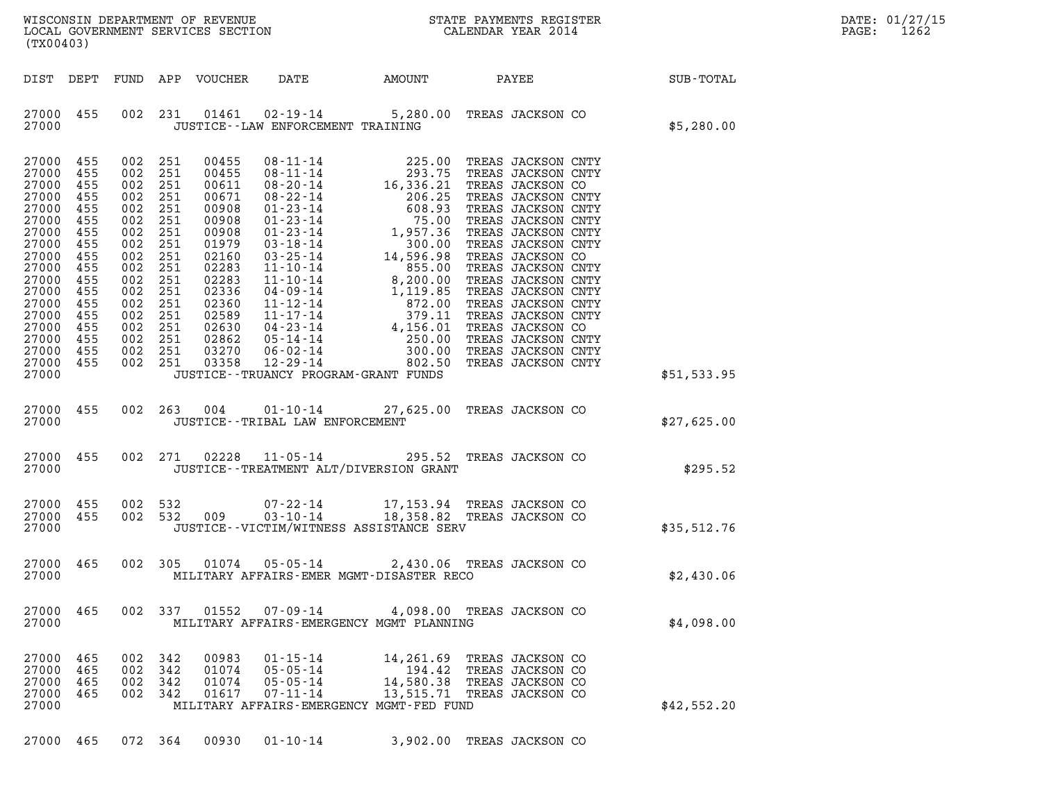| WISCONSIN DEPARTMENT OF REVENUE   | STATE PAYMENTS REGISTER | DATE: 01/27/15 |
|-----------------------------------|-------------------------|----------------|
| LOCAL GOVERNMENT SERVICES SECTION | CALENDAR YEAR 2014      | 1262<br>PAGE:  |

WISCONSIN DEPARTMENT OF REVENUE<br>LOCAL GOVERNMENT SERVICES SECTION CALENDAR YEAR 2014<br>(TX00403) (TX00403) DIST DEPT FUND APP VOUCHER DATE AMOUNT PAYEE SUB-TOTAL 27000 455 002 231 01461 02-19-14 5,280.00 TREAS JACKSON CO 27000 JUSTICE--LAW ENFORCEMENT TRAINING \$5,280.00 27000 JUSTICE--LAW ENFORCEMENT TRAINING<br>27000 455 002 251 00455 08-11-14 225.00 TREAS JACKSON CNTY<br>27000 455 002 251 00455 08-11-14 293 27000 455 002 251 00455 08-11-14 293.75 TREAS JACKSON CNTY 27000 455 002 251 00455 08-11-14 225.00 TREAS JACKSON CNTY<br>27000 455 002 251 00455 08-11-14 293.75 TREAS JACKSON CNTY<br>27000 455 002 251 00611 08-20-14 16,336.21 TREAS JACKSON CO 27000 455 002 251 00455 08-11-14 225.00 TREAS JACKSON CNTY<br>27000 455 002 251 00455 08-11-14 293.75 TREAS JACKSON CNTY<br>27000 455 002 251 00671 08-20-14 16,336.21 TREAS JACKSON CO<br>27000 455 002 251 00971 08-22-14 206.25 TREA 27000 455 002 251 00455 08-11-14 293.75 TREAS JACKSON CNTY<br>27000 455 002 251 00611 08-20-14 16,336.21 TREAS JACKSON CO<br>27000 455 002 251 00671 08-22-14 206.25 TREAS JACKSON CNTY<br>27000 455 002 251 00908 01-23-14 608.93 TREA 27000 455 002 251 00611 08-20-14 16,336.21 TREAS JACKSON CO<br>27000 455 002 251 00671 08-22-14 206.25 TREAS JACKSON CNTY<br>27000 455 002 251 00908 01-23-14 608.93 TREAS JACKSON CNTY<br>27000 455 002 251 00908 01-23-14 1.957.36 TR 27000 455 002 251 00671 08-22-14 206.25 TREAS JACKSON CNTY<br>27000 455 002 251 00908 01-23-14 608.93 TREAS JACKSON CNTY<br>27000 455 002 251 00908 01-23-14 1,957.36 TREAS JACKSON CNTY<br>27000 455 002 251 00908 01-23-14 1,957.36 T 27000 455 002 251 00908 01-23-14 608.93 TREAS JACKSON CNTY<br>27000 455 002 251 00908 01-23-14 75.00 TREAS JACKSON CNTY<br>27000 455 002 251 00908 01-23-14 1,957.36 TREAS JACKSON CNTY<br>27000 455 002 251 02160 03-25-14 14.596.98 T 27000 455 002 251 00908 01-23-14 75.00 TREAS JACKSON CNTY<br>27000 455 002 251 00908 01-23-14 1,957.36 TREAS JACKSON CNTY<br>27000 455 002 251 01979 03-18-14 300.00 TREAS JACKSON CNTY<br>27000 455 002 251 02283 11-10-14 14,596.98 T 27000 455 002 251 00908 01-23-14 1,957.36 TREAS JACKSON CNTY<br>27000 455 002 251 01979 03-18-14 300.00 TREAS JACKSON CNTY<br>27000 455 002 251 02283 11-10-14 1596.90 TREAS JACKSON CO<br>27000 455 002 251 02283 11-10-14 8.55.00 TRE 27000 455 002 251 01979 03-18-14 14,596.98 TREAS JACKSON CNTY<br>27000 455 002 251 02160 03-25-14 14,596.98 TREAS JACKSON CO<br>27000 455 002 251 02283 11-10-14 8,596.00 TREAS JACKSON CNTY<br>27000 455 002 251 02283 11-10-14 8,200. 27000 455 002 251 02160 03-25-14 14,596.98 TREAS JACKSON CO<br>27000 455 002 251 02283 11-10-14 855.00 TREAS JACKSON CNTY<br>27000 455 002 251 02283 11-10-14 8,200.00 TREAS JACKSON CNTY<br>27000 455 002 251 02336 04-09-14 1,19.85 T 27000 455 002 251 02283 11-10-14 855.00 TREAS JACKSON CNTY<br>27000 455 002 251 02283 11-10-14 8,200.00 TREAS JACKSON CNTY<br>27000 455 002 251 02336 04-09-14 1,119.85 TREAS JACKSON CNTY<br>27000 455 002 251 02360 11-12-14 872.00 T 27000 455 002 251 02283 11-10-14 8,200.00 TREAS JACKSON CNTY<br>27000 455 002 251 02336 04-09-14 1,119.85 TREAS JACKSON CNTY<br>27000 455 002 251 02360 11-12-14 872.00 TREAS JACKSON CNTY<br>27000 455 002 251 02589 11-17-14 379.11 T 27000 455 002 251 02336 04-09-14 1,119.85 TREAS JACKSON CNTY<br>27000 455 002 251 02360 11-12-14 872.00 TREAS JACKSON CNTY<br>27000 455 002 251 02589 11-17-14 379.11 TREAS JACKSON CNTY<br>27000 455 002 251 02630 04-23-14 4,156.01 T 27000 455 002 251 02360 11-12-14 872.00 TREAS JACKSON CNTY<br>27000 455 002 251 02589 11-17-14 379.11 TREAS JACKSON CNTY<br>27000 455 002 251 02862 04-23-14 4,156.01 TREAS JACKSON CO<br>27000 455 002 251 02862 05-14-14 250.00 TREAS 27000 455 002 251 02589 11-17-14 - 379.11 TREAS JACKSON CNTY<br>27000 455 002 251 02630 04-23-14 - 4,156.01 TREAS JACKSON CO<br>27000 455 002 251 02862 05-14-14 - 250.00 TREAS JACKSON CNTY<br>27000 455 002 251 03358 12-29-14 - 802. 27000 455 002 251 02630 04-23-14 4,156.01 TREAS JACKSON CO<br>27000 455 002 251 02862 05-14-14 250.00 TREAS JACKSON CNTY<br>27000 455 002 251 03378 12-29-14 300.00 TREAS JACKSON CNTY<br>27000 455 002 251 03358 12-29-14 802.50 TREAS 27000 455 002 251 02862 05-14-14 250.00 TREAS-JACKSON-CNTY<br>27000 455 002 251 03270 06-02-14 300.00 TREAS-JACKSON-CNTY<br>27000 455 002 251 03358 12-29-14 802.50 TREAS-JACKSON-CNTY \$51,533.95<br>27000 JUSTICE--TRUANCY-PROGRAM 27000 455 002 263 004 01-10-14 27,625.00 TREAS JACKSON CO 27000 JUSTICE--TRIBAL LAW ENFORCEMENT \$27,625.00 27000 455 002 271 02228 11-05-14 295.52 TREAS JACKSON CO 27000 455 002 271 02228 11-05-14 295.52 TREAS JACKSON CO<br>27000 JUSTICE--TREATMENT ALT/DIVERSION GRANT 27000 455 002 532 07-22-14 17,153.94 TREAS JACKSON CO 27000 455 002 532 009 03-10-14 18,358.82 TREAS JACKSON CO 27000 455 002 532 07-22-14 17,153.94 TREAS JACKSON CO<br>27000 455 002 532 009 03-10-14 18,358.82 TREAS JACKSON CO \$35,512.76<br>27000 JUSTICE--VICTIM/WITNESS ASSISTANCE SERV 27000 465 002 305 01074 05-05-14 2,430.06 TREAS JACKSON CO 27000 465 002 305 01074 05-05-14 2,430.06 TREAS JACKSON CO<br>27000 MILITARY AFFAIRS-EMER MGMT-DISASTER RECO 27000 465 002 337 01552 07-09-14 4,098.00 TREAS JACKSON CO 27000 MILITARY AFFAIRS-EMERGENCY MGMT PLANNING \$4,098.00 27000 465 002 342 00983 01-15-14 14,261.69 TREAS JACKSON CO 27000 465 002 342 00983 01-15-14 14,261.69 TREAS JACKSON CO<br>27000 465 002 342 01074 05-05-14 194.42 TREAS JACKSON CO<br>27000 465 002 342 01074 05-05-14 14.580.38 TREAS JACKSON CO 27000 465 002 342 00983 01-15-14 14,261.69 TREAS JACKSON CO<br>27000 465 002 342 01074 05-05-14 194.42 TREAS JACKSON CO<br>27000 465 002 342 01074 05-05-14 14,580.38 TREAS JACKSON CO<br>27000 465 002 342 01617 07-11-14 13,515.71 TR 27000 465 002 342 00983 01-15-14 14,261.69 TREAS JACKSON CO<br>27000 465 002 342 01074 05-05-14 14,261.69 TREAS JACKSON CO<br>27000 465 002 342 01074 05-05-14 14,580.38 TREAS JACKSON CO<br>27000 465 002 342 01617 07-11-14 13,515.71 27000 465 002 342 01074 05-05-14 194.42 TREAS JACKSON CO<br>27000 465 002 342 01074 05-05-14 14,580.38 TREAS JACKSON CO<br>27000 465 002 342 01617 07-11-14 13,515.71 TREAS JACKSON CO<br>27000 MILITARY AFFAIRS-EMERGENCY MGMT-FED

27000 465 072 364 00930 01-10-14 3,902.00 TREAS JACKSON CO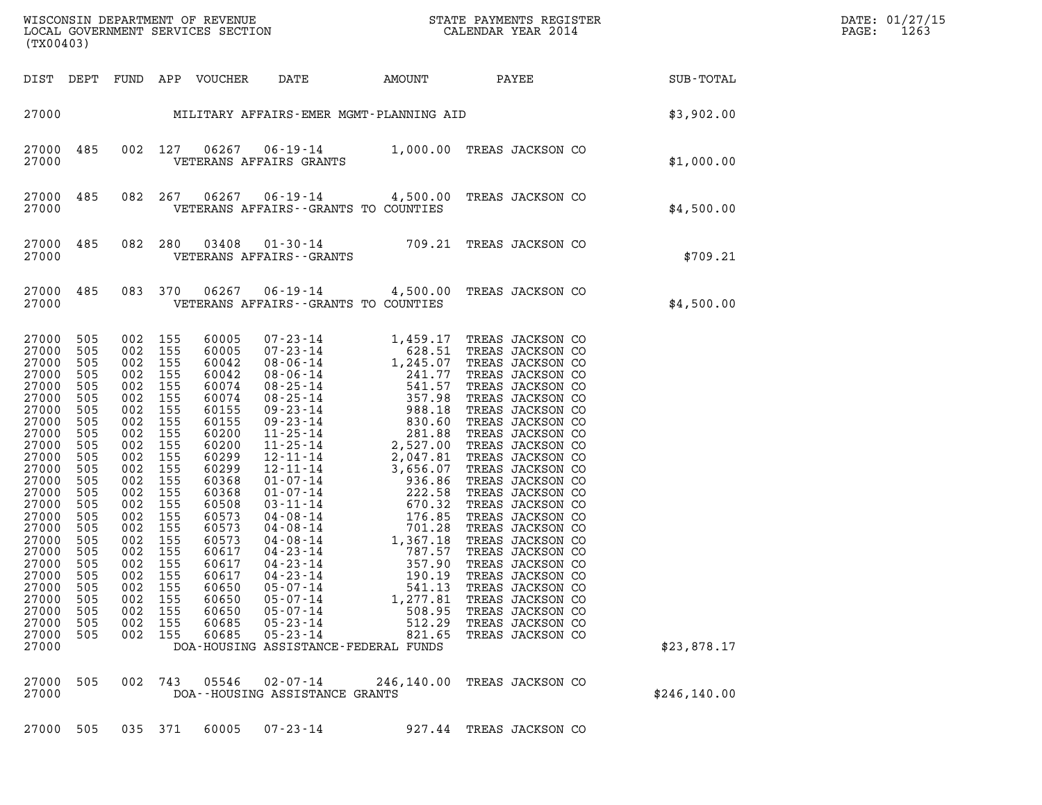| (TX00403)                                                                                                                                                                                                                                       |                                                                                                                                                                                    |                                                                                                                                                                                                                                                |                                                                           |                                                                                                                                                                                                                                        |                                                                                                                                                  |                                                            |                                                                                                                      | WISCONSIN DEPARTMENT OF REVENUE<br>LOCAL GOVERNMENT SERVICES SECTION<br>CALENDAR YEAR 2014 | DATE: 01/27/15<br>1263<br>$\mathtt{PAGE}$ : |
|-------------------------------------------------------------------------------------------------------------------------------------------------------------------------------------------------------------------------------------------------|------------------------------------------------------------------------------------------------------------------------------------------------------------------------------------|------------------------------------------------------------------------------------------------------------------------------------------------------------------------------------------------------------------------------------------------|---------------------------------------------------------------------------|----------------------------------------------------------------------------------------------------------------------------------------------------------------------------------------------------------------------------------------|--------------------------------------------------------------------------------------------------------------------------------------------------|------------------------------------------------------------|----------------------------------------------------------------------------------------------------------------------|--------------------------------------------------------------------------------------------|---------------------------------------------|
|                                                                                                                                                                                                                                                 |                                                                                                                                                                                    |                                                                                                                                                                                                                                                |                                                                           |                                                                                                                                                                                                                                        |                                                                                                                                                  |                                                            |                                                                                                                      |                                                                                            |                                             |
|                                                                                                                                                                                                                                                 |                                                                                                                                                                                    |                                                                                                                                                                                                                                                |                                                                           | DIST DEPT FUND APP VOUCHER                                                                                                                                                                                                             | DATE                                                                                                                                             |                                                            |                                                                                                                      | AMOUNT PAYEE SUB-TOTAL                                                                     |                                             |
|                                                                                                                                                                                                                                                 |                                                                                                                                                                                    |                                                                                                                                                                                                                                                |                                                                           |                                                                                                                                                                                                                                        |                                                                                                                                                  |                                                            |                                                                                                                      | 27000 MILITARY AFFAIRS-EMER MGMT-PLANNING AID<br>\$3,902.00                                |                                             |
| 27000                                                                                                                                                                                                                                           | 27000 485                                                                                                                                                                          |                                                                                                                                                                                                                                                |                                                                           |                                                                                                                                                                                                                                        | VETERANS AFFAIRS GRANTS                                                                                                                          |                                                            | 002 127 06267 06-19-14 1,000.00 TREAS JACKSON CO                                                                     | \$1,000.00                                                                                 |                                             |
| 27000                                                                                                                                                                                                                                           | 27000 485 082 267                                                                                                                                                                  |                                                                                                                                                                                                                                                |                                                                           | 06267                                                                                                                                                                                                                                  | VETERANS AFFAIRS -- GRANTS TO COUNTIES                                                                                                           |                                                            | 06-19-14 4,500.00 TREAS JACKSON CO                                                                                   | \$4,500.00                                                                                 |                                             |
| 27000                                                                                                                                                                                                                                           | 27000 485 082 280                                                                                                                                                                  |                                                                                                                                                                                                                                                |                                                                           |                                                                                                                                                                                                                                        |                                                                                                                                                  |                                                            | 80   03408   01-30-14   709.21 TREAS JACKSON CO<br>VETERANS AFFAIRS--GRANTS                                          | \$709.21                                                                                   |                                             |
| 27000                                                                                                                                                                                                                                           | 27000 485                                                                                                                                                                          |                                                                                                                                                                                                                                                | 083 370                                                                   | 06267                                                                                                                                                                                                                                  | VETERANS AFFAIRS -- GRANTS TO COUNTIES                                                                                                           |                                                            | 06-19-14 4,500.00 TREAS JACKSON CO                                                                                   | \$4,500.00                                                                                 |                                             |
| 27000<br>27000<br>27000<br>27000<br>27000<br>27000<br>27000<br>27000<br>27000<br>27000<br>27000<br>27000<br>27000<br>27000<br>27000<br>27000<br>27000<br>27000<br>27000<br>27000<br>27000<br>27000<br>27000<br>27000<br>27000<br>27000<br>27000 | 505<br>505<br>505<br>505<br>505<br>505<br>505<br>505<br>505<br>505<br>505<br>505<br>505<br>505<br>505<br>505<br>505<br>505<br>505<br>505<br>505<br>505<br>505<br>505<br>505<br>505 | 002 155<br>002 155<br>002 155<br>002 155<br>002 155<br>002 155<br>002<br>002 155<br>002<br>002 155<br>002<br>002<br>002 155<br>002 155<br>002<br>002 155<br>002 155<br>002 155<br>002 155<br>002 155<br>002<br>002<br>002<br>002<br>002<br>002 | 155<br>155<br>155<br>155<br>155<br>155<br>155<br>155<br>155<br>155<br>155 | 60005<br>60005<br>60042<br>60042<br>60074<br>60074<br>60155<br>60155<br>60200<br>60200<br>60299<br>60299<br>60368<br>60368<br>60508<br>60573<br>60573<br>60573<br>60617<br>60617<br>60617<br>60650<br>60650<br>60650<br>60685<br>60685 | $04 - 23 - 14$<br>$05 - 07 - 14$<br>$05 - 07 - 14$<br>$05 - 07 - 14$<br>$05 - 23 - 14$<br>$05 - 23 - 14$<br>DOA-HOUSING ASSISTANCE-FEDERAL FUNDS | 190.19<br>541.13<br>1,277.81<br>508.95<br>512.29<br>821.65 | TREAS JACKSON CO<br>TREAS JACKSON CO<br>TREAS JACKSON CO<br>TREAS JACKSON CO<br>TREAS JACKSON CO<br>TREAS JACKSON CO | \$23,878.17                                                                                |                                             |
| 27000<br>27000                                                                                                                                                                                                                                  | 505                                                                                                                                                                                |                                                                                                                                                                                                                                                | 002 743                                                                   | 05546                                                                                                                                                                                                                                  | $02 - 07 - 14$<br>DOA--HOUSING ASSISTANCE GRANTS                                                                                                 | 246,140.00                                                 | TREAS JACKSON CO                                                                                                     | \$246, 140.00                                                                              |                                             |
| 27000 505                                                                                                                                                                                                                                       |                                                                                                                                                                                    |                                                                                                                                                                                                                                                | 035 371                                                                   | 60005                                                                                                                                                                                                                                  | $07 - 23 - 14$                                                                                                                                   |                                                            | 927.44 TREAS JACKSON CO                                                                                              |                                                                                            |                                             |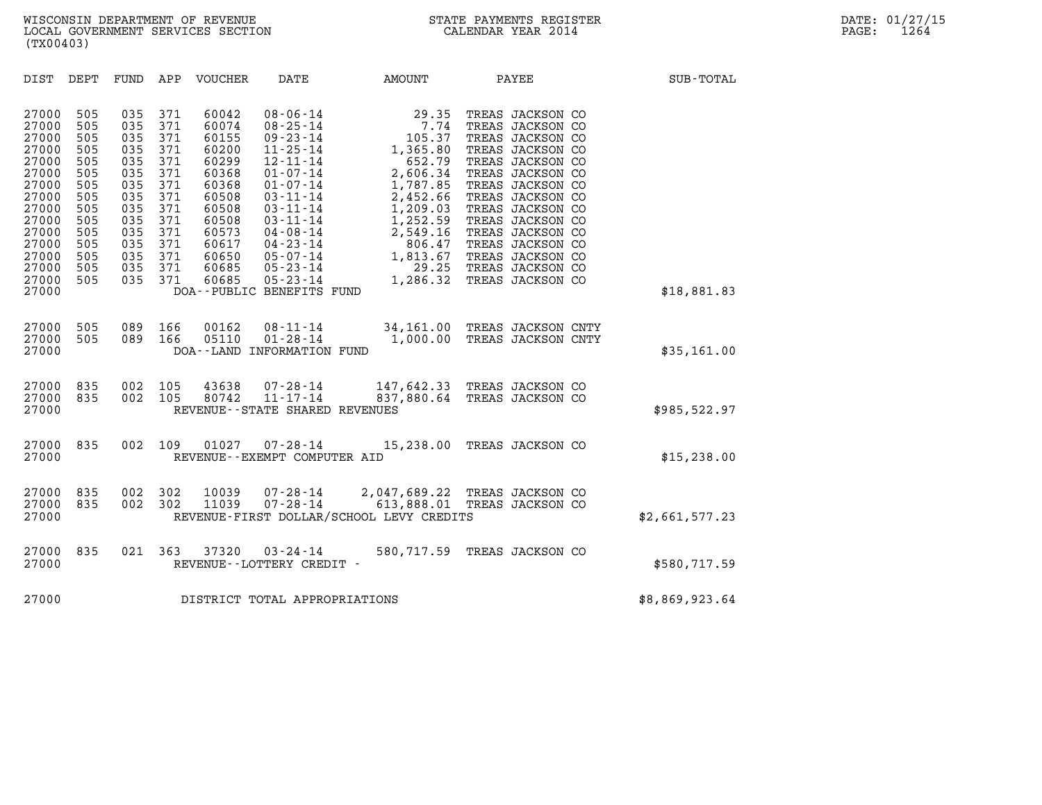| (TX00403)                                                                                                                                    |                                                                                                       |                                                                                                       |                                                                                                       |                                                                                                                                     |                                                                                                                                                                                                                                                                                                         |                                                                                                                                                                       |              |                                                                                                                                                                                                                                                                                                          |                |
|----------------------------------------------------------------------------------------------------------------------------------------------|-------------------------------------------------------------------------------------------------------|-------------------------------------------------------------------------------------------------------|-------------------------------------------------------------------------------------------------------|-------------------------------------------------------------------------------------------------------------------------------------|---------------------------------------------------------------------------------------------------------------------------------------------------------------------------------------------------------------------------------------------------------------------------------------------------------|-----------------------------------------------------------------------------------------------------------------------------------------------------------------------|--------------|----------------------------------------------------------------------------------------------------------------------------------------------------------------------------------------------------------------------------------------------------------------------------------------------------------|----------------|
| DIST                                                                                                                                         | DEPT                                                                                                  | FUND                                                                                                  | APP                                                                                                   | VOUCHER                                                                                                                             | DATE                                                                                                                                                                                                                                                                                                    | AMOUNT                                                                                                                                                                | <b>PAYEE</b> |                                                                                                                                                                                                                                                                                                          | SUB-TOTAL      |
| 27000<br>27000<br>27000<br>27000<br>27000<br>27000<br>27000<br>27000<br>27000<br>27000<br>27000<br>27000<br>27000<br>27000<br>27000<br>27000 | 505<br>505<br>505<br>505<br>505<br>505<br>505<br>505<br>505<br>505<br>505<br>505<br>505<br>505<br>505 | 035<br>035<br>035<br>035<br>035<br>035<br>035<br>035<br>035<br>035<br>035<br>035<br>035<br>035<br>035 | 371<br>371<br>371<br>371<br>371<br>371<br>371<br>371<br>371<br>371<br>371<br>371<br>371<br>371<br>371 | 60042<br>60074<br>60155<br>60200<br>60299<br>60368<br>60368<br>60508<br>60508<br>60508<br>60573<br>60617<br>60650<br>60685<br>60685 | $08 - 06 - 14$<br>$08 - 25 - 14$<br>$09 - 23 - 14$<br>$11 - 25 - 14$<br>$12 - 11 - 14$<br>$01 - 07 - 14$<br>$01 - 07 - 14$<br>$03 - 11 - 14$<br>$03 - 11 - 14$<br>$03 - 11 - 14$<br>$04 - 08 - 14$<br>$04 - 23 - 14$<br>$05 - 07 - 14$<br>$05 - 23 - 14$<br>$05 - 23 - 14$<br>DOA--PUBLIC BENEFITS FUND | $29.35$<br>7.74<br>105.37<br>1,365.80<br>652.79<br>2,606.34<br>1,787.85<br>2,452.66<br>1,209.03<br>1,252.59<br>2,549.16<br>806.47<br>1,813.67<br>1,828.32<br>1,286.32 |              | TREAS JACKSON CO<br>TREAS JACKSON CO<br>TREAS JACKSON CO<br>TREAS JACKSON CO<br>TREAS JACKSON CO<br>TREAS JACKSON CO<br>TREAS JACKSON CO<br>TREAS JACKSON CO<br>TREAS JACKSON CO<br>TREAS JACKSON CO<br>TREAS JACKSON CO<br>TREAS JACKSON CO<br>TREAS JACKSON CO<br>TREAS JACKSON CO<br>TREAS JACKSON CO | \$18,881.83    |
| 27000<br>27000<br>27000                                                                                                                      | 505<br>505                                                                                            | 089<br>089                                                                                            | 166<br>166                                                                                            | 00162<br>05110                                                                                                                      | $08 - 11 - 14$<br>$01 - 28 - 14$<br>DOA--LAND INFORMATION FUND                                                                                                                                                                                                                                          | 34,161.00 TREAS JACKSON CNTY<br>1,000.00 TREAS JACKSON CNTY                                                                                                           |              |                                                                                                                                                                                                                                                                                                          | \$35,161.00    |
| 27000<br>27000<br>27000                                                                                                                      | 835<br>835                                                                                            | 002<br>002                                                                                            | 105<br>105                                                                                            | 43638<br>80742                                                                                                                      | 07-28-14<br>$11 - 17 - 14$<br>REVENUE - - STATE SHARED REVENUES                                                                                                                                                                                                                                         | 147,642.33 TREAS JACKSON CO<br>837,880.64 TREAS JACKSON CO                                                                                                            |              |                                                                                                                                                                                                                                                                                                          | \$985,522.97   |
| 27000<br>27000                                                                                                                               | 835                                                                                                   | 002                                                                                                   | 109                                                                                                   | 01027                                                                                                                               | $07 - 28 - 14$<br>REVENUE--EXEMPT COMPUTER AID                                                                                                                                                                                                                                                          | 15,238.00 TREAS JACKSON CO                                                                                                                                            |              |                                                                                                                                                                                                                                                                                                          | \$15, 238.00   |
| 27000<br>27000<br>27000                                                                                                                      | 835<br>835                                                                                            | 002<br>002                                                                                            | 302<br>302                                                                                            | 10039<br>11039                                                                                                                      | $07 - 28 - 14$                                                                                                                                                                                                                                                                                          | 07-28-14 2,047,689.22 TREAS JACKSON CO<br>$613,888.01$ TREAS JACKSON CO<br>REVENUE-FIRST DOLLAR/SCHOOL LEVY CREDITS                                                   |              |                                                                                                                                                                                                                                                                                                          | \$2,661,577.23 |
| 27000<br>27000                                                                                                                               | 835                                                                                                   | 021                                                                                                   | 363                                                                                                   | 37320                                                                                                                               | $03 - 24 - 14$<br>REVENUE--LOTTERY CREDIT -                                                                                                                                                                                                                                                             | 580,717.59                                                                                                                                                            |              | TREAS JACKSON CO                                                                                                                                                                                                                                                                                         | \$580,717.59   |
| 27000                                                                                                                                        |                                                                                                       |                                                                                                       |                                                                                                       |                                                                                                                                     | DISTRICT TOTAL APPROPRIATIONS                                                                                                                                                                                                                                                                           |                                                                                                                                                                       |              |                                                                                                                                                                                                                                                                                                          | \$8,869,923.64 |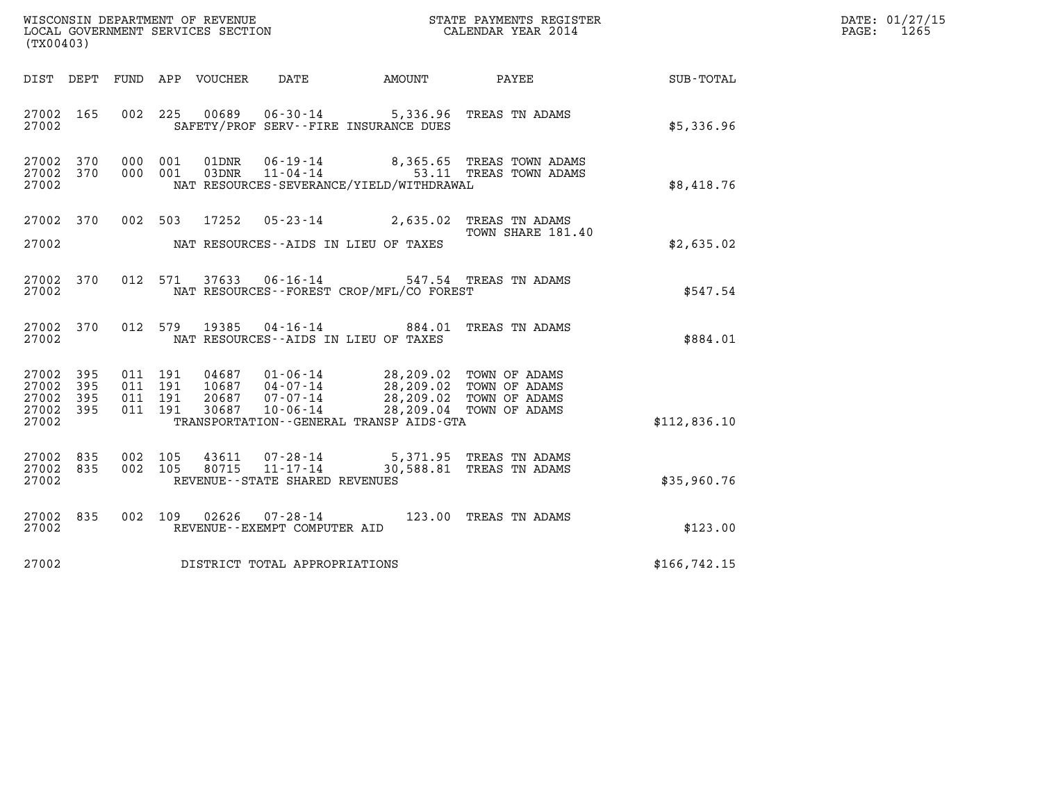| WISCONSIN DEPARTMENT OF REVENUE<br>LOCAL GOVERNMENT SERVICES SECTION<br>(TY) | STATE PAYMENTS REGISTER<br>CALENDAR YEAR 2014 | DATE: 01/27/15<br>1265<br>PAGE: |
|------------------------------------------------------------------------------|-----------------------------------------------|---------------------------------|

| WISCONSIN DEPARTMENT OF REVENUE<br>LOCAL GOVERNMENT SERVICES SECTION<br>CALENDAR YEAR 2014<br>(TX00403) |                        |  |  |  |                                |                                                                                                                                                                                                                                                                                                                                                                                                 |                                                                                                   |                                                             | DATE: 01/27/15<br>PAGE: 1265 |
|---------------------------------------------------------------------------------------------------------|------------------------|--|--|--|--------------------------------|-------------------------------------------------------------------------------------------------------------------------------------------------------------------------------------------------------------------------------------------------------------------------------------------------------------------------------------------------------------------------------------------------|---------------------------------------------------------------------------------------------------|-------------------------------------------------------------|------------------------------|
|                                                                                                         |                        |  |  |  |                                |                                                                                                                                                                                                                                                                                                                                                                                                 |                                                                                                   | DIST DEPT FUND APP VOUCHER DATE AMOUNT PAYEE PATE SUB-TOTAL |                              |
| 27002 165<br>27002                                                                                      |                        |  |  |  |                                | 002 225 00689 06-30-14 5,336.96 TREAS TN ADAMS<br>SAFETY/PROF SERV--FIRE INSURANCE DUES                                                                                                                                                                                                                                                                                                         |                                                                                                   | \$5,336.96                                                  |                              |
| 27002                                                                                                   | 27002 370<br>27002 370 |  |  |  |                                | NAT RESOURCES-SEVERANCE/YIELD/WITHDRAWAL                                                                                                                                                                                                                                                                                                                                                        | 000 001 01DNR 06-19-14 8,365.65 TREAS TOWN ADAMS<br>000 001 03DNR 11-04-14 53.11 TREAS TOWN ADAMS | \$8,418.76                                                  |                              |
|                                                                                                         |                        |  |  |  |                                | 27002 370 002 503 17252 05-23-14 2,635.02 TREAS TN ADAMS                                                                                                                                                                                                                                                                                                                                        | TOWN SHARE 181.40                                                                                 |                                                             |                              |
| 27002                                                                                                   |                        |  |  |  |                                | NAT RESOURCES--AIDS IN LIEU OF TAXES                                                                                                                                                                                                                                                                                                                                                            |                                                                                                   | \$2,635.02                                                  |                              |
| 27002                                                                                                   | 27002 370              |  |  |  |                                | NAT RESOURCES--FOREST CROP/MFL/CO FOREST                                                                                                                                                                                                                                                                                                                                                        | 012 571 37633 06-16-14 547.54 TREAS TN ADAMS                                                      | \$547.54                                                    |                              |
| 27002                                                                                                   | 27002 370              |  |  |  |                                | NAT RESOURCES--AIDS IN LIEU OF TAXES                                                                                                                                                                                                                                                                                                                                                            | 012 579 19385 04-16-14 884.01 TREAS TN ADAMS                                                      | \$884.01                                                    |                              |
| 27002 395<br>27002<br>27002 395<br>27002 395<br>27002                                                   | 395                    |  |  |  |                                | $\begin{array}{cccc} 011 & 191 & 04687 & 01\cdot 06\cdot 14 & 28,209\cdot 02 & \textrm{TOWN OF ADAMS} \\ 011 & 191 & 10687 & 04\cdot 07\cdot 14 & 28,209\cdot 02 & \textrm{TOWN OF ADAMS} \\ 011 & 191 & 20687 & 07\cdot 07\cdot 14 & 28,209\cdot 02 & \textrm{TOWN OF ADAMS} \\ 011 & 191 & 30687 & 10\cdot 06\cdot 14 & 28,209\cdot 04 & \textr$<br>TRANSPORTATION -- GENERAL TRANSP AIDS-GTA |                                                                                                   | \$112,836.10                                                |                              |
| 27002 835<br>27002 835<br>27002                                                                         |                        |  |  |  | REVENUE--STATE SHARED REVENUES | 002 105 43611 07-28-14 5,371.95 TREAS TN ADAMS<br>002 105 80715 11-17-14 30,588.81 TREAS TN ADAMS                                                                                                                                                                                                                                                                                               |                                                                                                   | \$35,960.76                                                 |                              |
| 27002                                                                                                   | 27002 835              |  |  |  | REVENUE--EXEMPT COMPUTER AID   | 002 109 02626 07-28-14 123.00 TREAS TN ADAMS                                                                                                                                                                                                                                                                                                                                                    |                                                                                                   | \$123.00                                                    |                              |
| 27002                                                                                                   |                        |  |  |  | DISTRICT TOTAL APPROPRIATIONS  |                                                                                                                                                                                                                                                                                                                                                                                                 |                                                                                                   | \$166,742.15                                                |                              |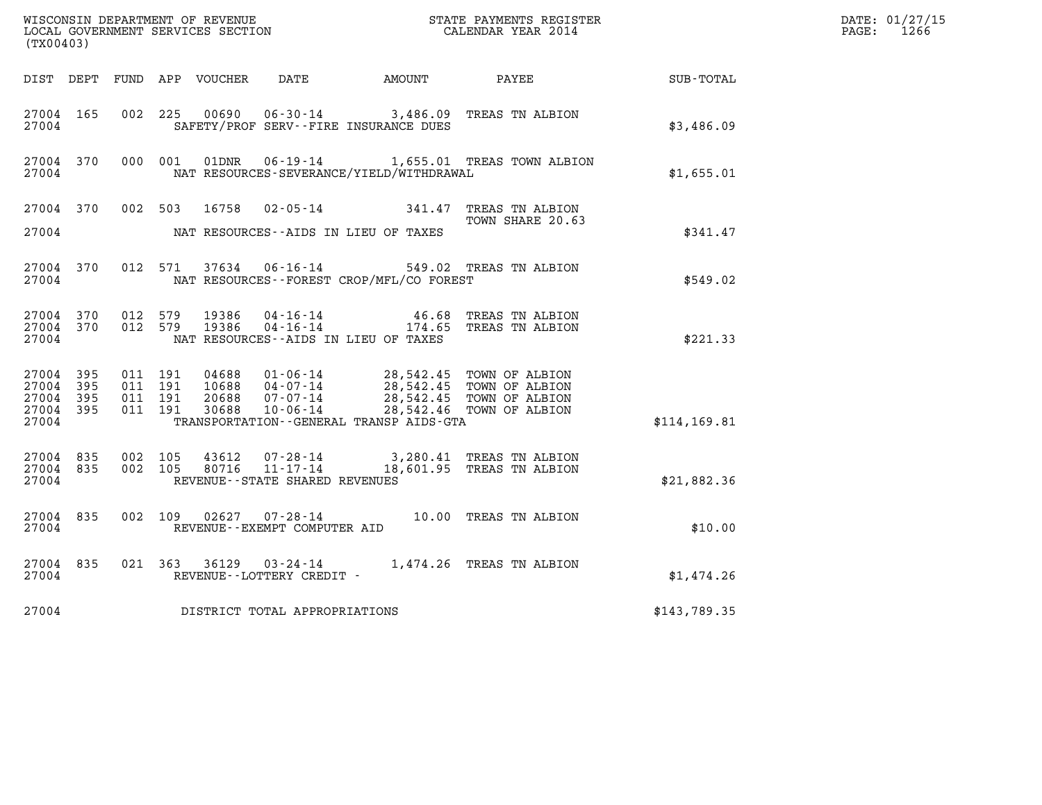| (TX00403)                                             |     |                    |                    |                                  |                                |                                                                                                                                                             |                                                                                                                                                                     |               | DATE: 01/27/15<br>$\mathtt{PAGE:}$<br>1266 |
|-------------------------------------------------------|-----|--------------------|--------------------|----------------------------------|--------------------------------|-------------------------------------------------------------------------------------------------------------------------------------------------------------|---------------------------------------------------------------------------------------------------------------------------------------------------------------------|---------------|--------------------------------------------|
|                                                       |     |                    |                    |                                  |                                | DIST DEPT FUND APP VOUCHER DATE AMOUNT                                                                                                                      | PAYEE                                                                                                                                                               | SUB-TOTAL     |                                            |
| 27004 165<br>27004                                    |     |                    | 002 225            | 00690                            |                                | SAFETY/PROF SERV--FIRE INSURANCE DUES                                                                                                                       | 06-30-14 3,486.09 TREAS TN ALBION                                                                                                                                   | \$3,486.09    |                                            |
| 27004 370<br>27004                                    |     |                    |                    | 000 001 01DNR                    |                                | NAT RESOURCES-SEVERANCE/YIELD/WITHDRAWAL                                                                                                                    | 06-19-14 1,655.01 TREAS TOWN ALBION                                                                                                                                 | \$1,655.01    |                                            |
| 27004 370<br>27004                                    |     |                    | 002 503            | 16758                            |                                | NAT RESOURCES--AIDS IN LIEU OF TAXES                                                                                                                        | 02-05-14 341.47 TREAS TN ALBION<br>TOWN SHARE 20.63                                                                                                                 | \$341.47      |                                            |
| 27004 370<br>27004                                    |     |                    | 012 571            |                                  |                                | NAT RESOURCES--FOREST CROP/MFL/CO FOREST                                                                                                                    | 37634  06-16-14  549.02  TREAS TN ALBION                                                                                                                            | \$549.02      |                                            |
| 27004 370<br>27004 370<br>27004                       |     | 012 579<br>012 579 |                    | 19386<br>19386                   |                                | NAT RESOURCES--AIDS IN LIEU OF TAXES                                                                                                                        | 46.68 TREAS TN ALBION<br>04-16-14   46.68 TREAS TN ALBION<br>04-16-14   174.65 TREAS TN ALBION                                                                      | \$221.33      |                                            |
| 27004 395<br>27004<br>27004 395<br>27004 395<br>27004 | 395 | 011 191<br>011 191 | 011 191<br>011 191 | 04688<br>10688<br>20688<br>30688 | $10 - 06 - 14$                 | 01-06-14 28,542.45 TOWN OF ALBION<br>04-07-14 28,542.45 TOWN OF ALBION<br>07-07-14 28,542.45 TOWN OF ALBION<br>TRANSPORTATION - - GENERAL TRANSP AIDS - GTA | 28,542.46 TOWN OF ALBION                                                                                                                                            | \$114, 169.81 |                                            |
| 27004 835<br>27004 835<br>27004                       |     | 002 105<br>002 105 |                    |                                  | REVENUE--STATE SHARED REVENUES |                                                                                                                                                             | $\begin{array}{cccc} 43612 & 07\cdot 28\cdot 14 & 3,280.41 & \text{TREAS TN ALBION} \\ 80716 & 11\cdot 17\cdot 14 & 18,601.95 & \text{TREAS TN ALBION} \end{array}$ | \$21,882.36   |                                            |
| 27004 835<br>27004                                    |     |                    |                    |                                  | REVENUE--EXEMPT COMPUTER AID   |                                                                                                                                                             | 002 109 02627 07-28-14 10.00 TREAS TN ALBION                                                                                                                        | \$10.00       |                                            |
| 27004 835<br>27004                                    |     |                    |                    |                                  | REVENUE--LOTTERY CREDIT -      |                                                                                                                                                             | 021 363 36129 03-24-14 1,474.26 TREAS TN ALBION                                                                                                                     | \$1,474.26    |                                            |
| 27004                                                 |     |                    |                    |                                  | DISTRICT TOTAL APPROPRIATIONS  |                                                                                                                                                             |                                                                                                                                                                     | \$143,789.35  |                                            |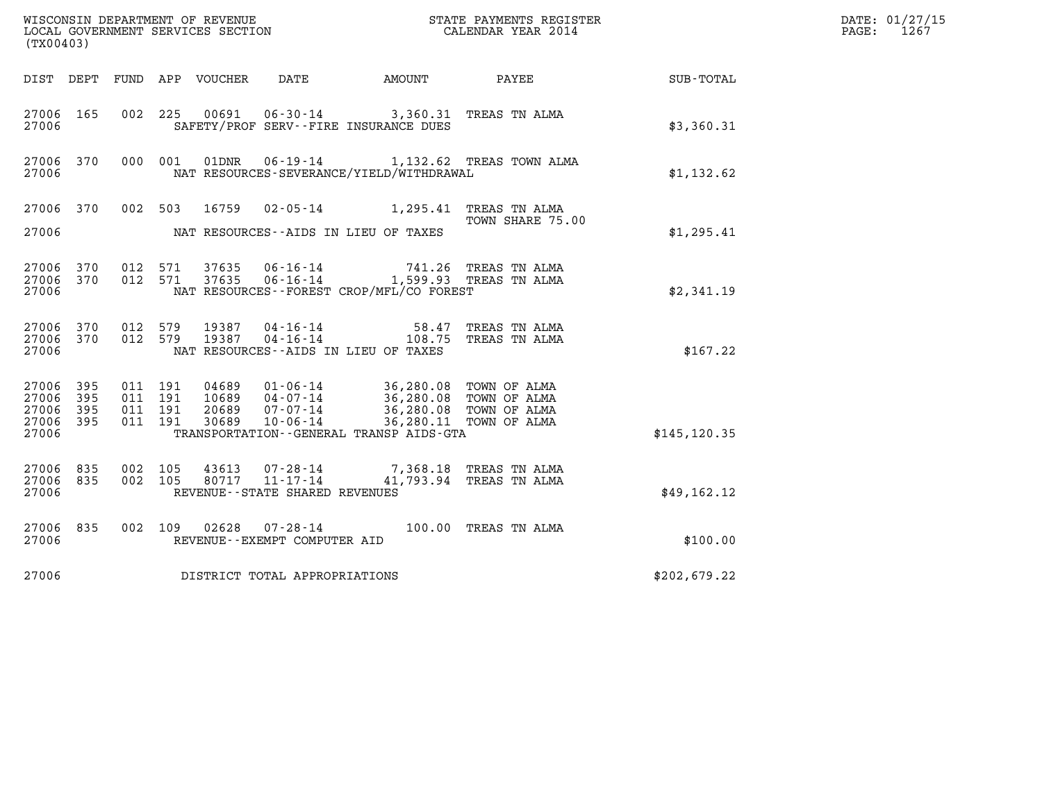| (TX00403)                                    |           |                                          |         |                                 |                                                        |                                                                                                                                                                                                                             |                                                   |               | DATE: 01/27/15<br>$\mathtt{PAGE:}$<br>1267 |
|----------------------------------------------|-----------|------------------------------------------|---------|---------------------------------|--------------------------------------------------------|-----------------------------------------------------------------------------------------------------------------------------------------------------------------------------------------------------------------------------|---------------------------------------------------|---------------|--------------------------------------------|
|                                              |           |                                          |         | DIST DEPT FUND APP VOUCHER DATE |                                                        | AMOUNT PAYEE                                                                                                                                                                                                                |                                                   | SUB-TOTAL     |                                            |
| 27006 165<br>27006                           |           |                                          | 002 225 |                                 |                                                        | 00691  06-30-14  3,360.31 TREAS TN ALMA<br>SAFETY/PROF SERV--FIRE INSURANCE DUES                                                                                                                                            |                                                   | \$3,360.31    |                                            |
| 27006 370<br>27006                           |           |                                          | 000 001 | 01DNR                           |                                                        | NAT RESOURCES-SEVERANCE/YIELD/WITHDRAWAL                                                                                                                                                                                    | 06-19-14 1,132.62 TREAS TOWN ALMA                 | \$1,132.62    |                                            |
|                                              | 27006 370 |                                          |         |                                 |                                                        | 002 503 16759 02-05-14 1,295.41 TREAS TN ALMA                                                                                                                                                                               | TOWN SHARE 75.00                                  |               |                                            |
| 27006                                        |           |                                          |         |                                 |                                                        | NAT RESOURCES--AIDS IN LIEU OF TAXES                                                                                                                                                                                        |                                                   | \$1,295.41    |                                            |
| 27006 370<br>27006 370<br>27006              |           | 012 571                                  | 012 571 |                                 |                                                        | $\begin{tabular}{llllll} 37635 & 06\text{-}16\text{-}14 & & 741.26 \text{ TREAS TN ALMA} \\ 37635 & 06\text{-}16\text{-}14 & & 1,599.93 \text{ TREAS TN ALMA} \end{tabular}$<br>NAT RESOURCES - - FOREST CROP/MFL/CO FOREST |                                                   | \$2,341.19    |                                            |
| 27006 370<br>27006                           | 27006 370 | 012 579<br>012 579                       |         | 19387<br>19387                  | 04 - 16 - 14<br>04 - 16 - 14                           | NAT RESOURCES -- AIDS IN LIEU OF TAXES                                                                                                                                                                                      | 58.47 TREAS TN ALMA<br>108.75 TREAS TN ALMA       | \$167.22      |                                            |
| 27006 395<br>27006<br>27006 395<br>27006 395 | 395       | 011 191<br>011 191<br>011 191<br>011 191 |         | 20689<br>30689                  | $07 - 07 - 14$<br>$10 - 06 - 14$                       | 04689  01-06-14  36,280.08  TOWN OF ALMA<br>10689  04-07-14  36,280.08  TOWN OF ALMA<br>$36,280.08$ TOWN OF ALMA                                                                                                            | 36,280.08 TOWN OF ALMA<br>36,280.11 TOWN OF ALMA  |               |                                            |
| 27006                                        |           |                                          |         |                                 |                                                        | TRANSPORTATION - - GENERAL TRANSP AIDS - GTA                                                                                                                                                                                |                                                   | \$145, 120.35 |                                            |
| 27006 835<br>27006 835<br>27006              |           | 002 105<br>002 105                       |         | 43613<br>80717                  | 07-28-14<br>11-17-14<br>REVENUE--STATE SHARED REVENUES |                                                                                                                                                                                                                             | 7,368.18 TREAS TN ALMA<br>41,793.94 TREAS TN ALMA | \$49,162.12   |                                            |
| 27006 835<br>27006                           |           |                                          |         |                                 | REVENUE--EXEMPT COMPUTER AID                           | 002 109 02628 07-28-14 100.00 TREAS TN ALMA                                                                                                                                                                                 |                                                   | \$100.00      |                                            |
| 27006                                        |           |                                          |         |                                 | DISTRICT TOTAL APPROPRIATIONS                          |                                                                                                                                                                                                                             |                                                   | \$202,679.22  |                                            |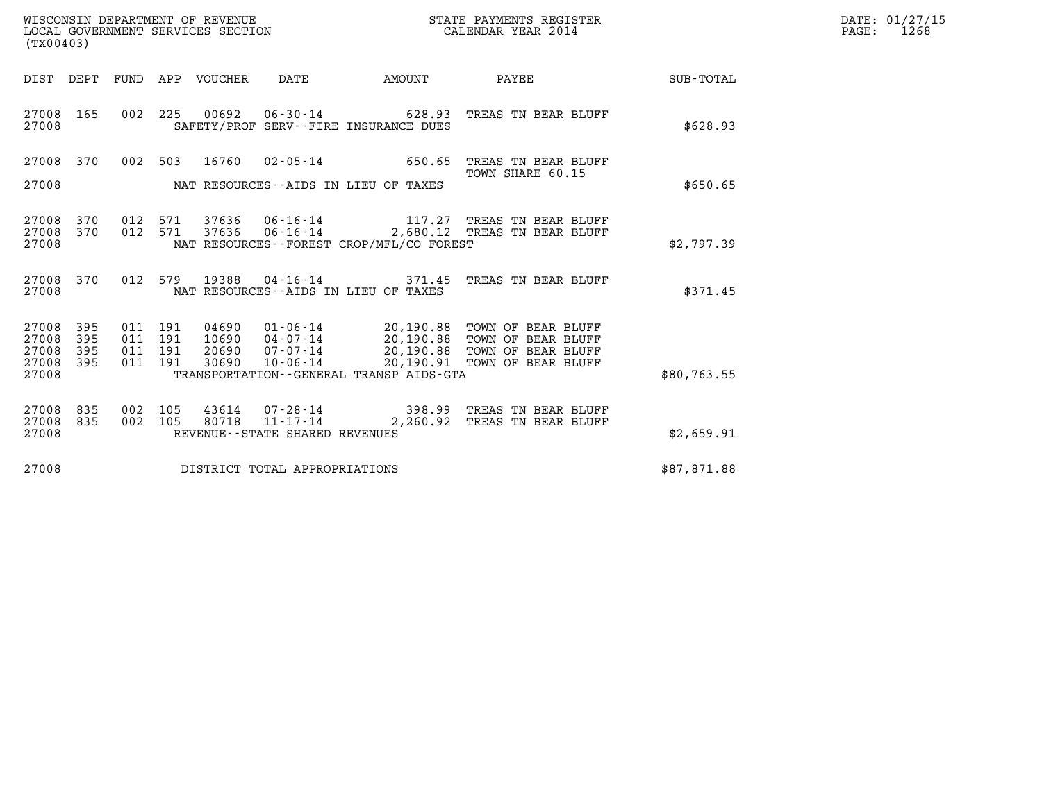| (TX00403)                                 |                          |                                          | WISCONSIN DEPARTMENT OF REVENUE<br>LOCAL GOVERNMENT SERVICES SECTION |                        |                                          | STATE PAYMENTS REGISTER<br>CALENDAR YEAR 2014                                                                                                           |             | DATE: 01/27/15<br>$\mathtt{PAGE:}$<br>1268 |
|-------------------------------------------|--------------------------|------------------------------------------|----------------------------------------------------------------------|------------------------|------------------------------------------|---------------------------------------------------------------------------------------------------------------------------------------------------------|-------------|--------------------------------------------|
|                                           |                          |                                          | DIST DEPT FUND APP VOUCHER                                           | DATE                   | AMOUNT                                   | PAYEE                                                                                                                                                   | SUB-TOTAL   |                                            |
| 27008 165<br>27008                        |                          |                                          |                                                                      | 002 225 00692 06-30-14 | SAFETY/PROF SERV--FIRE INSURANCE DUES    | 628.93 TREAS TN BEAR BLUFF                                                                                                                              | \$628.93    |                                            |
| 27008                                     | 370                      | 002 503                                  | 16760                                                                | $02 - 05 - 14$         | 650.65                                   | TREAS TN BEAR BLUFF<br>TOWN SHARE 60.15                                                                                                                 |             |                                            |
| 27008                                     |                          |                                          |                                                                      |                        | NAT RESOURCES--AIDS IN LIEU OF TAXES     |                                                                                                                                                         | \$650.65    |                                            |
| 27008<br>27008<br>27008                   | 370<br>370               | 012 571<br>012 571                       | 37636                                                                |                        | NAT RESOURCES--FOREST CROP/MFL/CO FOREST | 37636  06-16-14   117.27   TREAS TN BEAR BLUFF<br>06-16-14 2,680.12 TREAS TN BEAR BLUFF                                                                 | \$2,797.39  |                                            |
| 27008<br>27008                            | 370                      | 012 579                                  | 19388                                                                | $04 - 16 - 14$         | NAT RESOURCES--AIDS IN LIEU OF TAXES     | 371.45 TREAS TN BEAR BLUFF                                                                                                                              | \$371.45    |                                            |
| 27008<br>27008<br>27008<br>27008<br>27008 | 395<br>395<br>395<br>395 | 011 191<br>011 191<br>011 191<br>011 191 | 04690<br>10690<br>20690<br>30690                                     | $04 - 07 - 14$         | TRANSPORTATION--GENERAL TRANSP AIDS-GTA  | 01-06-14 20,190.88 TOWN OF BEAR BLUFF<br>20,190.88 TOWN OF BEAR BLUFF<br>07-07-14 20,190.88 TOWN OF BEAR BLUFF<br>10-06-14 20,190.91 TOWN OF BEAR BLUFF | \$80,763.55 |                                            |
|                                           |                          |                                          |                                                                      |                        |                                          |                                                                                                                                                         |             |                                            |

27008 835 002 105 43614 07-28-14 398.99 TREAS TN BEAR BLUFF 27008 835 002 105 80718 11-17-14 2,260.92 TREAS TN BEAR BLUFF

27008 REVENUE--STATE SHARED REVENUES \$2,659.91

27008 DISTRICT TOTAL APPROPRIATIONS \$87,871.88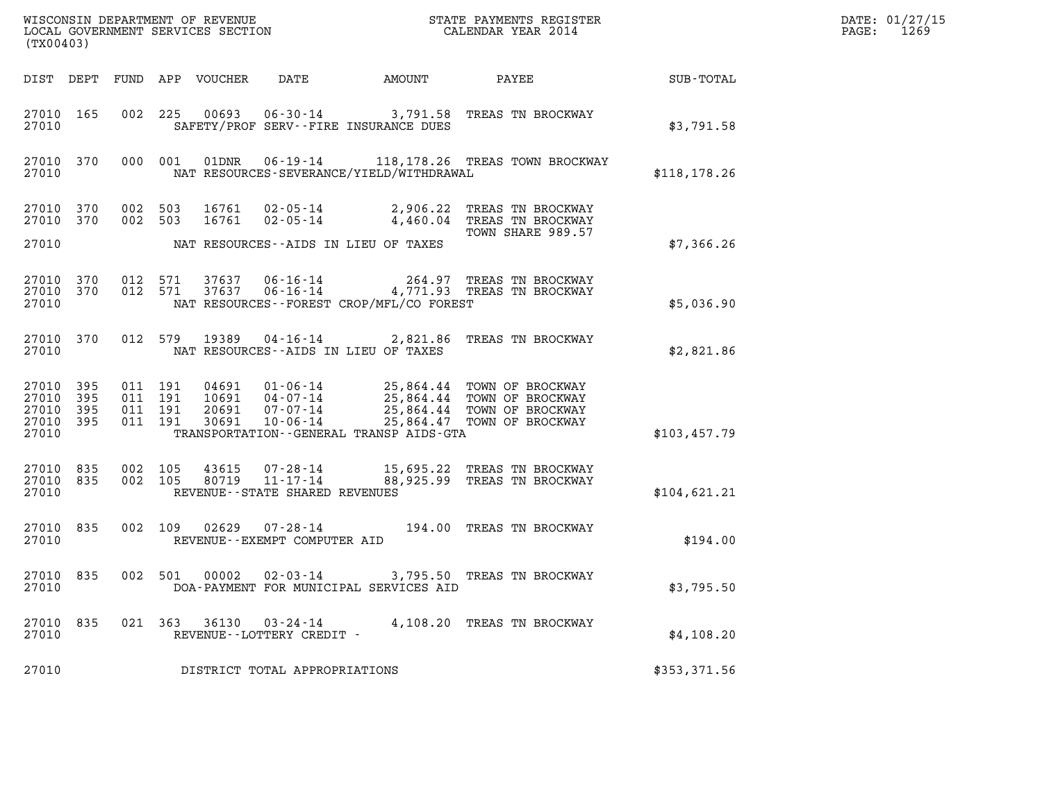| (TX00403)                                     |                   |                                          |         |                            | WISCONSIN DEPARTMENT OF REVENUE<br>LOCAL GOVERNMENT SERVICES SECTION |                                          | STATE PAYMENTS REGISTER<br>CALENDAR YEAR 2014                                                                        | DATE: 01/27/15<br>1269<br>PAGE: |  |
|-----------------------------------------------|-------------------|------------------------------------------|---------|----------------------------|----------------------------------------------------------------------|------------------------------------------|----------------------------------------------------------------------------------------------------------------------|---------------------------------|--|
|                                               |                   |                                          |         | DIST DEPT FUND APP VOUCHER | DATE                                                                 | AMOUNT                                   | PAYEE                                                                                                                | SUB-TOTAL                       |  |
| 27010 165<br>27010                            |                   |                                          | 002 225 |                            |                                                                      | SAFETY/PROF SERV--FIRE INSURANCE DUES    | 00693  06-30-14  3,791.58  TREAS TN BROCKWAY                                                                         | \$3,791.58                      |  |
| 27010 370<br>27010                            |                   | 000 001                                  |         | 01DNR                      | $06 - 19 - 14$                                                       | NAT RESOURCES-SEVERANCE/YIELD/WITHDRAWAL | 118,178.26 TREAS TOWN BROCKWAY                                                                                       | \$118, 178.26                   |  |
| 27010 370<br>27010 370                        |                   | 002 503<br>002 503                       |         | 16761<br>16761             | $02 - 05 - 14$<br>02-05-14                                           |                                          | 2,906.22 TREAS TN BROCKWAY<br>4,460.04 TREAS TN BROCKWAY                                                             |                                 |  |
| 27010                                         |                   |                                          |         |                            |                                                                      | NAT RESOURCES--AIDS IN LIEU OF TAXES     | TOWN SHARE 989.57                                                                                                    | \$7,366.26                      |  |
| 27010 370<br>27010<br>27010                   | 370               | 012 571<br>012 571                       |         | 37637<br>37637             | 06-16-14<br>$06 - 16 - 14$                                           | NAT RESOURCES--FOREST CROP/MFL/CO FOREST | 264.97 TREAS TN BROCKWAY<br>4,771.93 TREAS TN BROCKWAY                                                               | \$5,036.90                      |  |
| 27010 370<br>27010                            |                   | 012 579                                  |         | 19389                      | $04 - 16 - 14$                                                       | NAT RESOURCES -- AIDS IN LIEU OF TAXES   | 2,821.86 TREAS TN BROCKWAY                                                                                           | \$2,821.86                      |  |
| 27010 395<br>27010<br>27010<br>27010<br>27010 | 395<br>395<br>395 | 011 191<br>011 191<br>011 191<br>011 191 |         | 04691<br>20691<br>30691    | $01 - 06 - 14$<br>$10691$ $04-07-14$<br>07-07-14<br>$10 - 06 - 14$   | TRANSPORTATION--GENERAL TRANSP AIDS-GTA  | 25,864.44 TOWN OF BROCKWAY<br>25,864.44 TOWN OF BROCKWAY<br>25,864.44 TOWN OF BROCKWAY<br>25,864.47 TOWN OF BROCKWAY | \$103,457.79                    |  |
| 27010 835<br>27010<br>27010                   | 835               | 002 105<br>002 105                       |         | 43615<br>80719             | 07-28-14<br>$11 - 17 - 14$<br>REVENUE - - STATE SHARED REVENUES      |                                          | 15,695.22 TREAS TN BROCKWAY<br>88,925.99 TREAS TN BROCKWAY                                                           | \$104,621.21                    |  |
| 27010 835<br>27010                            |                   | 002 109                                  |         | 02629                      | 07-28-14<br>REVENUE--EXEMPT COMPUTER AID                             |                                          | 194.00 TREAS TN BROCKWAY                                                                                             | \$194.00                        |  |
| 27010 835<br>27010                            |                   |                                          | 002 501 |                            |                                                                      | DOA-PAYMENT FOR MUNICIPAL SERVICES AID   | 00002  02-03-14  3,795.50  TREAS TN BROCKWAY                                                                         | \$3,795.50                      |  |
| 27010 835<br>27010                            |                   |                                          |         |                            | 021 363 36130 03-24-14<br>REVENUE--LOTTERY CREDIT -                  |                                          | 4,108.20 TREAS TN BROCKWAY                                                                                           | \$4,108.20                      |  |
| 27010                                         |                   |                                          |         |                            | DISTRICT TOTAL APPROPRIATIONS                                        |                                          |                                                                                                                      | \$353,371.56                    |  |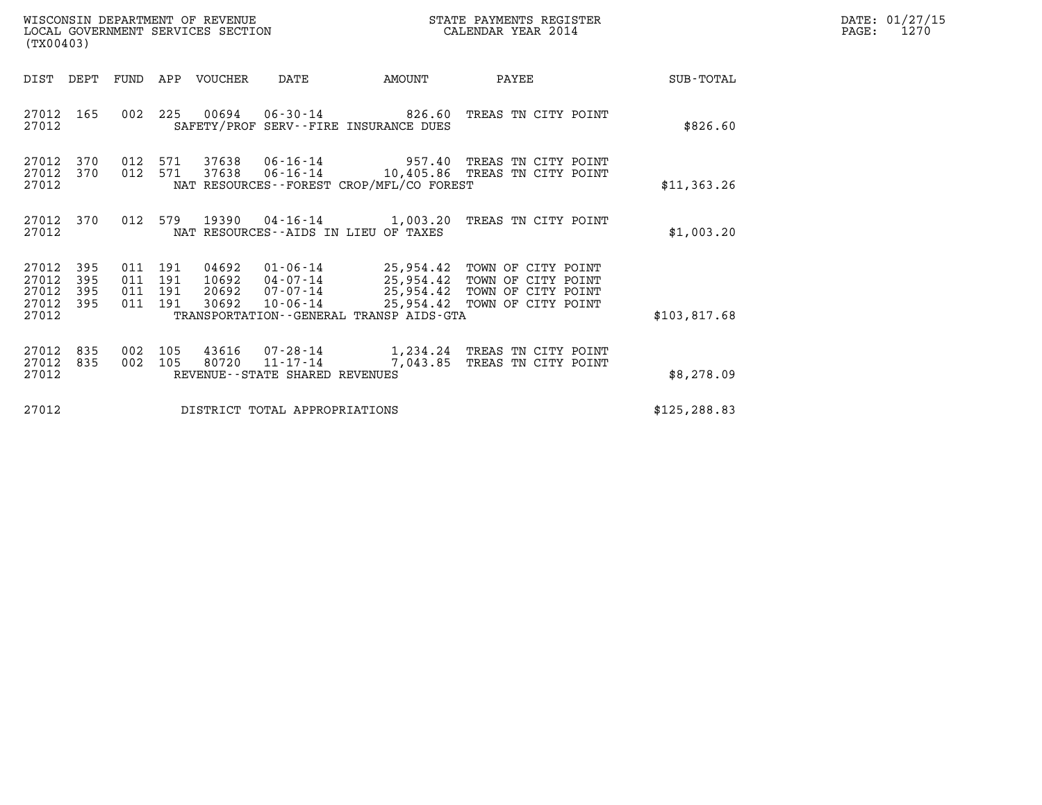| WISCONSIN DEPARTMENT OF REVENUE   | STATE PAYMENTS REGISTER | DATE: 01/27/15 |
|-----------------------------------|-------------------------|----------------|
| LOCAL GOVERNMENT SERVICES SECTION | CALENDAR YEAR 2014      | 1270<br>PAGE:  |

| (TX00403)                                 |                          |                                  |            | WISCONSIN DEPARTMENT OF REVENUE<br>LOCAL GOVERNMENT SERVICES SECTION |                                                                     | STATE PAYMENTS REGISTER<br>CALENDAR YEAR 2014                                                         |                                                                                                                            |               | DATE: 01/27/15<br>PAGE:<br>1270 |
|-------------------------------------------|--------------------------|----------------------------------|------------|----------------------------------------------------------------------|---------------------------------------------------------------------|-------------------------------------------------------------------------------------------------------|----------------------------------------------------------------------------------------------------------------------------|---------------|---------------------------------|
| DIST                                      | DEPT                     | FUND                             | APP        | VOUCHER                                                              | DATE                                                                | AMOUNT                                                                                                | PAYEE                                                                                                                      | SUB-TOTAL     |                                 |
| 27012 165<br>27012                        |                          | 002                              | 225        |                                                                      |                                                                     | SAFETY/PROF SERV--FIRE INSURANCE DUES                                                                 | 00694  06-30-14  826.60 TREAS TN CITY POINT                                                                                | \$826.60      |                                 |
| 27012<br>27012 370<br>27012               | 370                      | 012<br>012 571                   | 571        | 37638                                                                |                                                                     | NAT RESOURCES--FOREST CROP/MFL/CO FOREST                                                              | 37638  06-16-14  957.40 TREAS TN CITY POINT<br>06-16-14 10,405.86 TREAS TN CITY POINT                                      | \$11,363.26   |                                 |
| 27012 370<br>27012                        |                          | 012 579                          |            |                                                                      |                                                                     | NAT RESOURCES--AIDS IN LIEU OF TAXES                                                                  | 19390  04-16-14   1,003.20 TREAS TN CITY POINT                                                                             | \$1,003.20    |                                 |
| 27012<br>27012<br>27012<br>27012<br>27012 | 395<br>395<br>395<br>395 | 011 191<br>011<br>011<br>011 191 | 191<br>191 | 04692                                                                | 30692 10-06-14                                                      | $01 - 06 - 14$ 25,954.42<br>$10692$ $04-07-14$ $25,954.42$<br>TRANSPORTATION--GENERAL TRANSP AIDS-GTA | TOWN OF CITY POINT<br>TOWN OF CITY POINT<br>20692  07-07-14  25,954.42  TOWN OF CITY POINT<br>25,954.42 TOWN OF CITY POINT | \$103,817.68  |                                 |
| 27012<br>27012<br>27012                   | 835<br>835               | 002<br>002                       | 105<br>105 |                                                                      | 43616  07-28-14<br>80720 11-17-14<br>REVENUE--STATE SHARED REVENUES | 7,043.85                                                                                              | 1,234.24 TREAS TN CITY POINT<br>TREAS TN CITY POINT                                                                        | \$8,278.09    |                                 |
| 27012                                     |                          |                                  |            |                                                                      | DISTRICT TOTAL APPROPRIATIONS                                       |                                                                                                       |                                                                                                                            | \$125, 288.83 |                                 |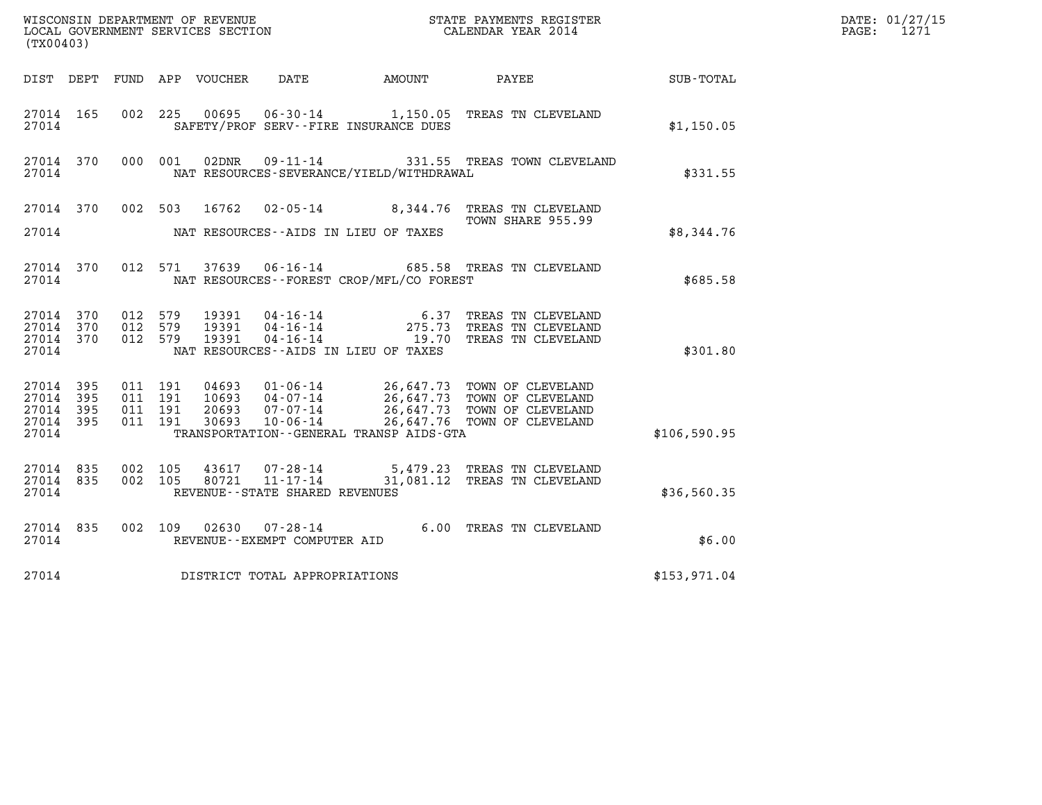| (TX00403)                                                      |                                          |                                  |                                                                    |                                              | WISCONSIN DEPARTMENT OF REVENUE<br>LOCAL GOVERNMENT SERVICES SECTION<br>CALENDAR YEAR 2014                                                                   |              | DATE: 01/27/15<br>$\mathtt{PAGE:}$<br>1271 |
|----------------------------------------------------------------|------------------------------------------|----------------------------------|--------------------------------------------------------------------|----------------------------------------------|--------------------------------------------------------------------------------------------------------------------------------------------------------------|--------------|--------------------------------------------|
|                                                                |                                          |                                  |                                                                    | DIST DEPT FUND APP VOUCHER DATE AMOUNT PAYEE |                                                                                                                                                              | SUB-TOTAL    |                                            |
| 27014 165<br>27014                                             | 002 225                                  |                                  | SAFETY/PROF SERV--FIRE INSURANCE DUES                              |                                              | 00695  06-30-14   1,150.05   TREAS TN CLEVELAND                                                                                                              | \$1,150.05   |                                            |
| 27014 370<br>27014                                             | 000 001                                  |                                  |                                                                    | NAT RESOURCES-SEVERANCE/YIELD/WITHDRAWAL     | 02DNR 09-11-14 331.55 TREAS TOWN CLEVELAND                                                                                                                   | \$331.55     |                                            |
|                                                                |                                          |                                  |                                                                    |                                              | 27014 370 002 503 16762 02-05-14 8,344.76 TREAS TN CLEVELAND<br>TOWN SHARE 955.99                                                                            |              |                                            |
| 27014                                                          |                                          |                                  | NAT RESOURCES--AIDS IN LIEU OF TAXES                               |                                              |                                                                                                                                                              | \$8,344.76   |                                            |
| 27014 370<br>27014                                             | 012 571                                  |                                  |                                                                    | NAT RESOURCES - - FOREST CROP/MFL/CO FOREST  | 37639   06-16-14   685.58   TREAS TN CLEVELAND                                                                                                               | \$685.58     |                                            |
| 27014 370<br>27014 370<br>27014 370<br>27014                   | 012 579<br>012 579<br>012 579            |                                  | NAT RESOURCES--AIDS IN LIEU OF TAXES                               |                                              | 19391  04-16-14   6.37 TREAS TN CLEVELAND<br>19391  04-16-14   275.73 TREAS TN CLEVELAND<br>19391  04-16-14   19.70 TREAS TN CLEVELAND                       | \$301.80     |                                            |
| 27014 395<br>27014<br>- 395<br>27014 395<br>27014 395<br>27014 | 011 191<br>011 191<br>011 191<br>011 191 | 04693<br>10693<br>20693<br>30693 |                                                                    | TRANSPORTATION - - GENERAL TRANSP AIDS - GTA | 01-06-14 26,647.73 TOWN OF CLEVELAND<br>04-07-14 26,647.73 TOWN OF CLEVELAND<br>07-07-14 26,647.73 TOWN OF CLEVELAND<br>10-06-14 26,647.76 TOWN OF CLEVELAND | \$106,590.95 |                                            |
| 27014 835<br>27014 835<br>27014                                | 002 105<br>002 105                       | 80721                            | 43617 07-28-14<br>$11 - 17 - 14$<br>REVENUE--STATE SHARED REVENUES |                                              | 5,479.23 TREAS TN CLEVELAND<br>31,081.12 TREAS TN CLEVELAND                                                                                                  | \$36,560.35  |                                            |
| 27014 835<br>27014                                             |                                          |                                  | 002 109 02630 07-28-14<br>REVENUE--EXEMPT COMPUTER AID             |                                              | 6.00 TREAS TN CLEVELAND                                                                                                                                      | \$6.00       |                                            |
| 27014                                                          |                                          |                                  | DISTRICT TOTAL APPROPRIATIONS                                      |                                              |                                                                                                                                                              | \$153,971.04 |                                            |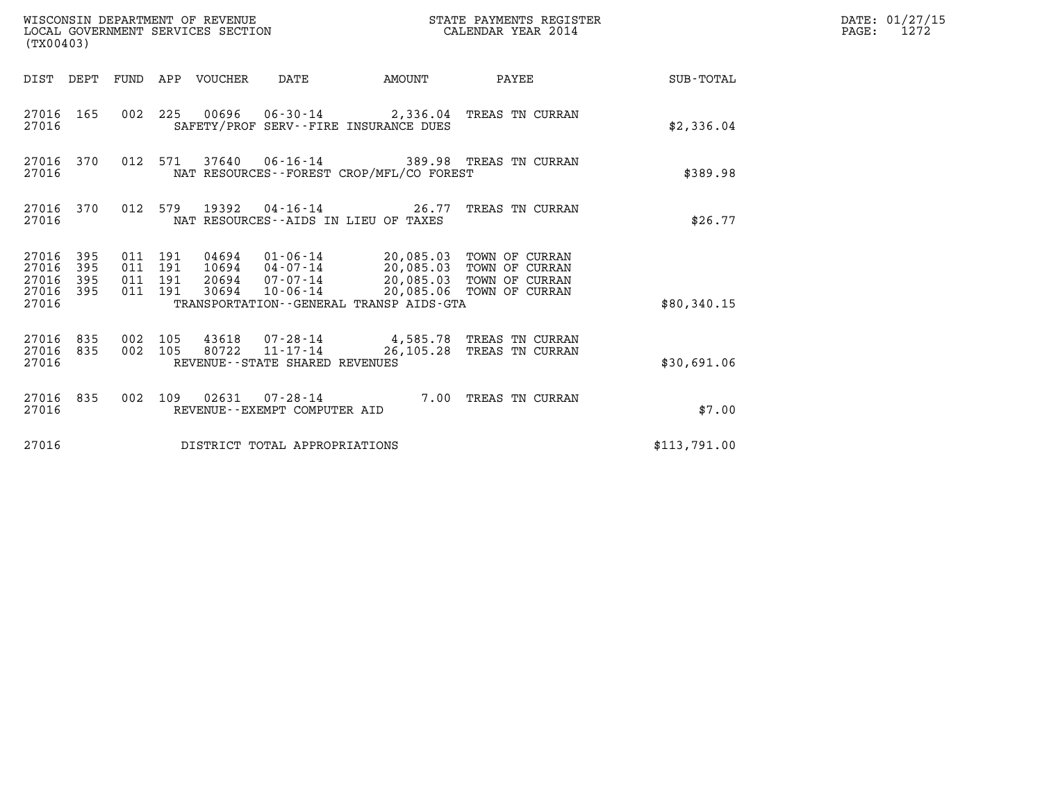| (TX00403)                                         |            |                                          |         | WISCONSIN DEPARTMENT OF REVENUE<br>LOCAL GOVERNMENT SERVICES SECTION |                                                  |                                                                                                                                                                                                            | STATE PAYMENTS REGISTER<br>CALENDAR YEAR 2014                           |                 | DATE: 01/27/15<br>$\mathtt{PAGE:}$<br>1272 |
|---------------------------------------------------|------------|------------------------------------------|---------|----------------------------------------------------------------------|--------------------------------------------------|------------------------------------------------------------------------------------------------------------------------------------------------------------------------------------------------------------|-------------------------------------------------------------------------|-----------------|--------------------------------------------|
|                                                   | DIST DEPT  |                                          |         | FUND APP VOUCHER DATE                                                |                                                  | AMOUNT                                                                                                                                                                                                     |                                                                         | PAYEE SUB-TOTAL |                                            |
| 27016                                             | 27016 165  |                                          |         |                                                                      |                                                  | SAFETY/PROF SERV--FIRE INSURANCE DUES                                                                                                                                                                      | 002 225 00696 06-30-14 2,336.04 TREAS TN CURRAN                         | \$2,336.04      |                                            |
| 27016 370<br>27016                                |            |                                          | 012 571 |                                                                      |                                                  | NAT RESOURCES--FOREST CROP/MFL/CO FOREST                                                                                                                                                                   | 37640  06-16-14  389.98  TREAS TN CURRAN                                | \$389.98        |                                            |
| 27016                                             | 27016 370  |                                          |         |                                                                      |                                                  | NAT RESOURCES--AIDS IN LIEU OF TAXES                                                                                                                                                                       | 012 579 19392 04-16-14 26.77 TREAS TN CURRAN                            | \$26.77         |                                            |
| 27016 395<br>27016<br>27016<br>27016 395<br>27016 | 395<br>395 | 011 191<br>011 191<br>011 191<br>011 191 |         | 30694                                                                | 10-06-14                                         | 04694  01-06-14  20,085.03  TOWN OF CURRAN<br>10694  04-07-14  20,085.03  TOWN OF CURRAN<br>20694 07-07-14 20,085.03 TOWN OF CURRAN<br>20,085.06 TOWN OF CURRAN<br>TRANSPORTATION--GENERAL TRANSP AIDS-GTA |                                                                         | \$80,340.15     |                                            |
| 27016 835<br>27016 835<br>27016                   |            | 002 105<br>002 105                       |         | 80722                                                                | $11 - 17 - 14$<br>REVENUE--STATE SHARED REVENUES |                                                                                                                                                                                                            | 43618  07-28-14  4,585.78  TREAS TN CURRAN<br>26,105.28 TREAS TN CURRAN | \$30,691.06     |                                            |
| 27016                                             | 27016 835  |                                          | 002 109 |                                                                      | REVENUE--EXEMPT COMPUTER AID                     |                                                                                                                                                                                                            | 02631  07-28-14  7.00 TREAS TN CURRAN                                   | \$7.00          |                                            |
| 27016                                             |            |                                          |         |                                                                      | DISTRICT TOTAL APPROPRIATIONS                    |                                                                                                                                                                                                            |                                                                         | \$113,791.00    |                                            |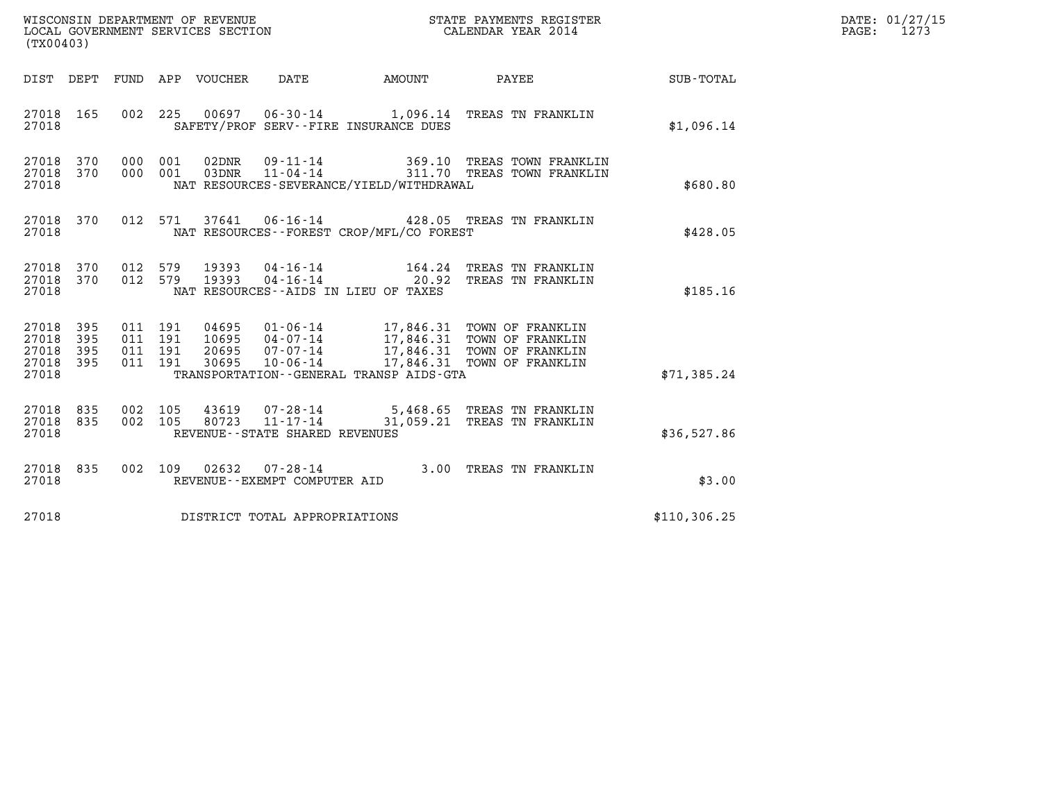| WISCONSIN DEPARTMENT OF REVENUE<br>LOCAL GOVERNMENT SERVICES SECTION<br>(TX00403) | STATE PAYMENTS REGISTER<br>CALENDAR YEAR 2014 | DATE: 01/27/15<br>1273<br>PAGE: |
|-----------------------------------------------------------------------------------|-----------------------------------------------|---------------------------------|

| (TX00403)                                                             |                          |                                                              |                                                                |                                                                          |                                                                                                            |               |
|-----------------------------------------------------------------------|--------------------------|--------------------------------------------------------------|----------------------------------------------------------------|--------------------------------------------------------------------------|------------------------------------------------------------------------------------------------------------|---------------|
| DIST<br>DEPT                                                          | FUND                     | APP<br>VOUCHER                                               | DATE                                                           | AMOUNT                                                                   | PAYEE                                                                                                      | SUB-TOTAL     |
| 27018<br>165<br>27018                                                 | 002                      | 225<br>00697                                                 |                                                                | SAFETY/PROF SERV--FIRE INSURANCE DUES                                    | 06-30-14 1,096.14 TREAS TN FRANKLIN                                                                        | \$1,096.14    |
| 370<br>27018<br>370<br>27018<br>27018                                 | 000<br>000               | 02DNR<br>001<br>001<br>03DNR                                 | 09-11-14                                                       | 369.10<br>NAT RESOURCES-SEVERANCE/YIELD/WITHDRAWAL                       | TREAS TOWN FRANKLIN<br>11-04-14 311.70 TREAS TOWN FRANKLIN                                                 | \$680.80      |
| 27018<br>370<br>27018                                                 | 012                      | 571<br>37641                                                 |                                                                | NAT RESOURCES - - FOREST CROP/MFL/CO FOREST                              | 06-16-14 428.05 TREAS TN FRANKLIN                                                                          | \$428.05      |
| 27018<br>370<br>27018<br>370<br>27018                                 | 012<br>012               | 579<br>19393<br>579<br>19393                                 | 04-16-14                                                       | 164.24<br>$04 - 16 - 14$ 20.92<br>NAT RESOURCES -- AIDS IN LIEU OF TAXES | TREAS TN FRANKLIN<br>TREAS TN FRANKLIN                                                                     | \$185.16      |
| 27018<br>395<br>27018<br>395<br>27018<br>395<br>27018<br>395<br>27018 | 011<br>011<br>011<br>011 | 191<br>04695<br>191<br>10695<br>191<br>20695<br>191<br>30695 | $01 - 06 - 14$<br>04-07-14<br>$07 - 07 - 14$<br>$10 - 06 - 14$ | 17,846.31<br>TRANSPORTATION--GENERAL TRANSP AIDS-GTA                     | TOWN OF FRANKLIN<br>17,846.31 TOWN OF FRANKLIN<br>17,846.31 TOWN OF FRANKLIN<br>17,846.31 TOWN OF FRANKLIN | \$71,385.24   |
| 835<br>27018<br>27018<br>835<br>27018                                 | 002<br>002               | 105<br>43619<br>105                                          | 07-28-14<br>REVENUE - - STATE SHARED REVENUES                  | 80723 11-17-14 31,059.21                                                 | 5,468.65 TREAS TN FRANKLIN<br>TREAS TN FRANKLIN                                                            | \$36,527.86   |
| 835<br>27018<br>27018                                                 | 002                      | 109<br>02632                                                 | $07 - 28 - 14$<br>REVENUE--EXEMPT COMPUTER AID                 | 3.00                                                                     | TREAS TN FRANKLIN                                                                                          | \$3.00        |
| 27018                                                                 |                          |                                                              | DISTRICT TOTAL APPROPRIATIONS                                  |                                                                          |                                                                                                            | \$110, 306.25 |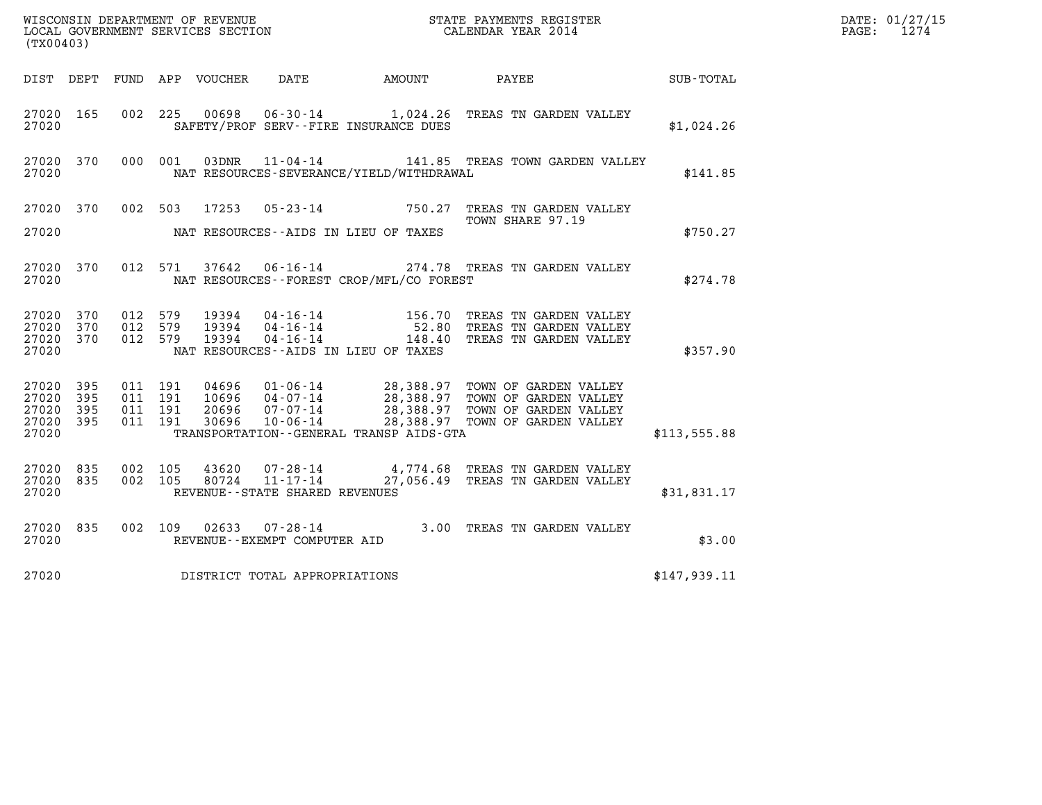| (TX00403)                                     |                     |                                          |         |       |                                |                                              |                                                                                                                                                                                                                  |              | DATE: 01/27/15<br>$\mathtt{PAGE:}$<br>1274 |
|-----------------------------------------------|---------------------|------------------------------------------|---------|-------|--------------------------------|----------------------------------------------|------------------------------------------------------------------------------------------------------------------------------------------------------------------------------------------------------------------|--------------|--------------------------------------------|
|                                               |                     |                                          |         |       |                                |                                              | DIST DEPT FUND APP VOUCHER DATE AMOUNT PAYEE                                                                                                                                                                     | SUB-TOTAL    |                                            |
| 27020 165<br>27020                            |                     |                                          |         |       |                                | SAFETY/PROF SERV--FIRE INSURANCE DUES        | 002 225 00698 06-30-14 1,024.26 TREAS TN GARDEN VALLEY                                                                                                                                                           | \$1,024.26   |                                            |
| 27020                                         | 27020 370           |                                          | 000 001 |       |                                | NAT RESOURCES-SEVERANCE/YIELD/WITHDRAWAL     | 03DNR 11-04-14 141.85 TREAS TOWN GARDEN VALLEY                                                                                                                                                                   | \$141.85     |                                            |
|                                               |                     |                                          |         |       |                                |                                              | 27020 370 002 503 17253 05-23-14 750.27 TREAS TN GARDEN VALLEY<br>TOWN SHARE 97.19                                                                                                                               |              |                                            |
| 27020                                         |                     |                                          |         |       |                                | NAT RESOURCES--AIDS IN LIEU OF TAXES         |                                                                                                                                                                                                                  | \$750.27     |                                            |
| 27020 370<br>27020                            |                     |                                          |         |       |                                | NAT RESOURCES - - FOREST CROP/MFL/CO FOREST  | 012 571 37642 06-16-14 274.78 TREAS TN GARDEN VALLEY                                                                                                                                                             | \$274.78     |                                            |
| 27020 370<br>27020<br>27020 370<br>27020      | 370                 | 012 579<br>012 579<br>012 579            |         |       |                                | NAT RESOURCES--AIDS IN LIEU OF TAXES         | 19394  04-16-14   156.70   TREAS TN GARDEN VALLEY<br>19394  04-16-14   52.80   TREAS TN GARDEN VALLEY<br>19394  04-16-14   148.40   TREAS TN GARDEN VALLEY                                                       | \$357.90     |                                            |
| 27020 395<br>27020<br>27020<br>27020<br>27020 | 395<br>- 395<br>395 | 011 191<br>011 191<br>011 191<br>011 191 |         |       |                                | TRANSPORTATION - - GENERAL TRANSP AIDS - GTA | 04696  01-06-14  28,388.97  TOWN OF GARDEN VALLEY<br>10696  04-07-14  28,388.97  TOWN OF GARDEN VALLEY<br>20696  07-07-14  28,388.97  TOWN OF GARDEN VALLEY<br>30696  10-06-14  28,388.97  TOWN OF GARDEN VALLEY | \$113,555.88 |                                            |
| 27020 835<br>27020 835<br>27020               |                     | 002 105<br>002 105                       |         | 80724 | REVENUE--STATE SHARED REVENUES |                                              | 43620  07-28-14  4,774.68  TREAS TN GARDEN VALLEY<br>11-17-14 27,056.49 TREAS TN GARDEN VALLEY                                                                                                                   | \$31,831.17  |                                            |
| 27020 835<br>27020                            |                     |                                          |         |       | REVENUE--EXEMPT COMPUTER AID   |                                              | 002 109 02633 07-28-14 3.00 TREAS TN GARDEN VALLEY                                                                                                                                                               | \$3.00       |                                            |
| 27020                                         |                     |                                          |         |       | DISTRICT TOTAL APPROPRIATIONS  |                                              |                                                                                                                                                                                                                  | \$147,939.11 |                                            |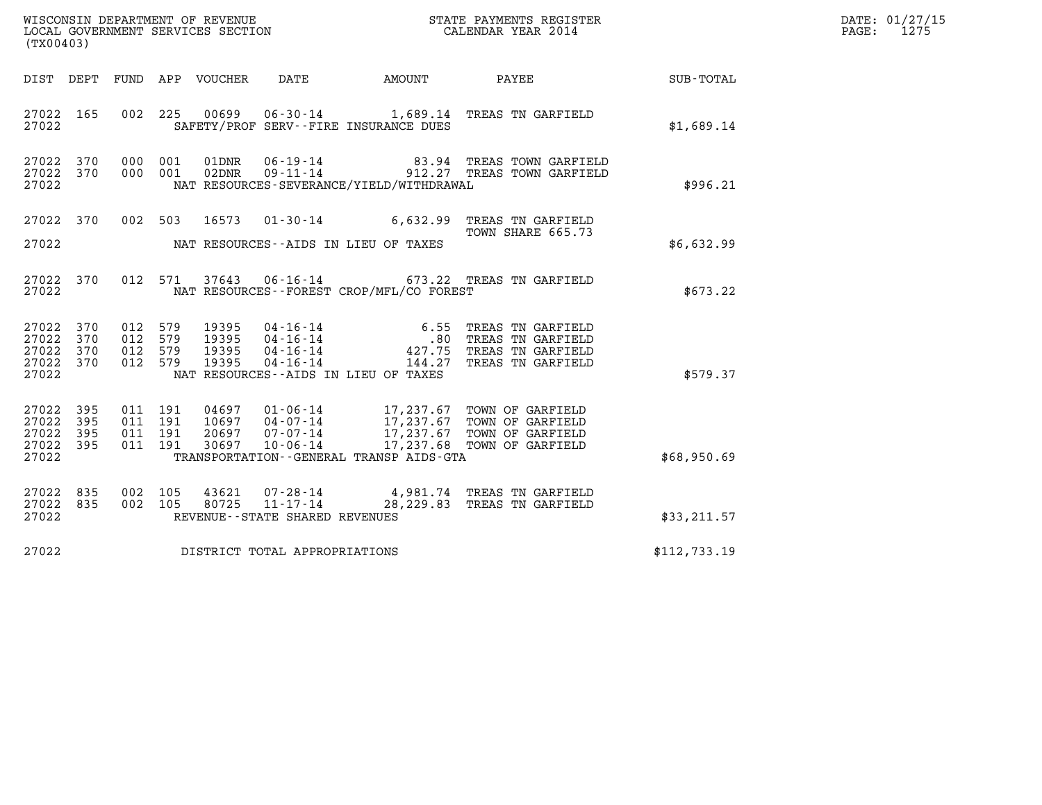| WISCONSIN DEPARTMENT OF REVENUE<br>LOCAL GOVERNMENT SERVICES SECTION<br>(TX00403) | STATE PAYMENTS REGISTER<br>CALENDAR YEAR 2014 | DATE: 01/27/15<br>1275<br>PAGE: |
|-----------------------------------------------------------------------------------|-----------------------------------------------|---------------------------------|

|                              |                                                                                                                                                                                          | SUB-TOTAL                                                                                                                                                                                                                                                                                                                                                                                                                                                                                                                                                                                                                                                                                                                                             |
|------------------------------|------------------------------------------------------------------------------------------------------------------------------------------------------------------------------------------|-------------------------------------------------------------------------------------------------------------------------------------------------------------------------------------------------------------------------------------------------------------------------------------------------------------------------------------------------------------------------------------------------------------------------------------------------------------------------------------------------------------------------------------------------------------------------------------------------------------------------------------------------------------------------------------------------------------------------------------------------------|
|                              |                                                                                                                                                                                          | \$1,689.14                                                                                                                                                                                                                                                                                                                                                                                                                                                                                                                                                                                                                                                                                                                                            |
| 001<br>01DNR<br>001<br>02DNR |                                                                                                                                                                                          | \$996.21                                                                                                                                                                                                                                                                                                                                                                                                                                                                                                                                                                                                                                                                                                                                              |
| 002 503                      |                                                                                                                                                                                          |                                                                                                                                                                                                                                                                                                                                                                                                                                                                                                                                                                                                                                                                                                                                                       |
|                              |                                                                                                                                                                                          | \$6,632.99                                                                                                                                                                                                                                                                                                                                                                                                                                                                                                                                                                                                                                                                                                                                            |
| 571                          |                                                                                                                                                                                          | \$673.22                                                                                                                                                                                                                                                                                                                                                                                                                                                                                                                                                                                                                                                                                                                                              |
| 579<br>579<br>579<br>579     |                                                                                                                                                                                          | \$579.37                                                                                                                                                                                                                                                                                                                                                                                                                                                                                                                                                                                                                                                                                                                                              |
| 191<br>191<br>191<br>191     |                                                                                                                                                                                          | \$68,950.69                                                                                                                                                                                                                                                                                                                                                                                                                                                                                                                                                                                                                                                                                                                                           |
|                              |                                                                                                                                                                                          | \$33,211.57                                                                                                                                                                                                                                                                                                                                                                                                                                                                                                                                                                                                                                                                                                                                           |
|                              |                                                                                                                                                                                          | \$112,733.19                                                                                                                                                                                                                                                                                                                                                                                                                                                                                                                                                                                                                                                                                                                                          |
|                              | SAFETY/PROF SERV--FIRE INSURANCE DUES<br>NAT RESOURCES--AIDS IN LIEU OF TAXES<br>NAT RESOURCES--AIDS IN LIEU OF TAXES<br>REVENUE--STATE SHARED REVENUES<br>DISTRICT TOTAL APPROPRIATIONS | DIST DEPT FUND APP VOUCHER DATE AMOUNT PAYEE<br>225  00699  06-30-14   1,689.14   TREAS TN GARFIELD<br>06-19-14 83.94 TREAS TOWN GARFIELD<br>09-11-14 912.27 TREAS TOWN GARFIELD<br>NAT RESOURCES-SEVERANCE/YIELD/WITHDRAWAL<br>16573  01-30-14   6,632.99 TREAS TN GARFIELD<br>TOWN SHARE 665.73<br>37643  06-16-14  673.22  TREAS TN GARFIELD<br>NAT RESOURCES - - FOREST CROP/MFL/CO FOREST<br>04697  01-06-14  17,237.67  TOWN OF GARFIELD<br>10697  04-07-14  17,237.67  TOWN OF GARFIELD<br>20697  07-07-14  17,237.67  TOWN OF GARFIELD<br>30697  10-06-14   17,237.68  TOWN OF GARFIELD<br>TRANSPORTATION--GENERAL TRANSP AIDS-GTA<br>105  43621  07-28-14  4,981.74  TREAS TN GARFIELD<br>105  80725  11-17-14  28,229.83  TREAS TN GARFIELD |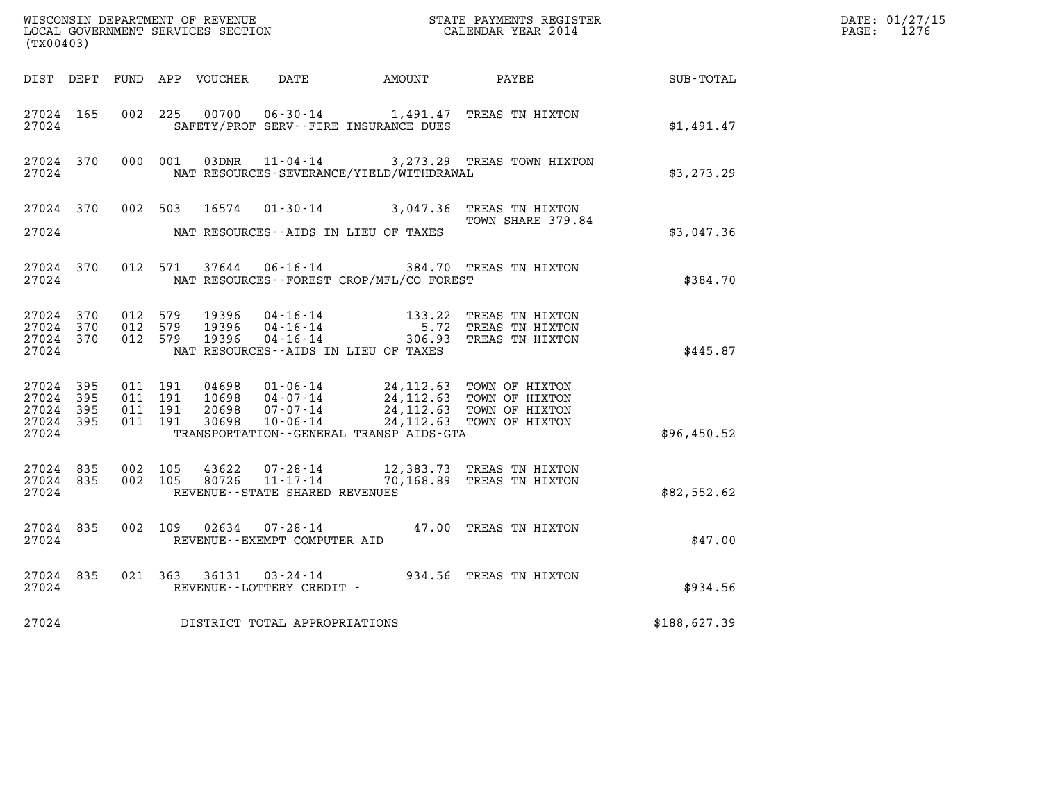| (TX00403)                                             |     |                                          |         |       |                                |                                                                                                                                                                                                                                                                                                                                                                                                                                           | WISCONSIN DEPARTMENT OF REVENUE<br>LOCAL GOVERNMENT SERVICES SECTION<br>CALENDAR YEAR 2014                                    |              | DATE: 01/27/15<br>$\mathtt{PAGE:}$<br>1276 |
|-------------------------------------------------------|-----|------------------------------------------|---------|-------|--------------------------------|-------------------------------------------------------------------------------------------------------------------------------------------------------------------------------------------------------------------------------------------------------------------------------------------------------------------------------------------------------------------------------------------------------------------------------------------|-------------------------------------------------------------------------------------------------------------------------------|--------------|--------------------------------------------|
|                                                       |     |                                          |         |       |                                |                                                                                                                                                                                                                                                                                                                                                                                                                                           | DIST DEPT FUND APP VOUCHER DATE AMOUNT PAYEE SUB-TOTAL                                                                        |              |                                            |
| 27024 165<br>27024                                    |     |                                          |         |       |                                | SAFETY/PROF SERV--FIRE INSURANCE DUES                                                                                                                                                                                                                                                                                                                                                                                                     | 002 225 00700 06-30-14 1,491.47 TREAS TN HIXTON                                                                               | \$1,491.47   |                                            |
| 27024 370<br>27024                                    |     | 000 001                                  |         |       |                                | NAT RESOURCES-SEVERANCE/YIELD/WITHDRAWAL                                                                                                                                                                                                                                                                                                                                                                                                  | 03DNR 11-04-14 3, 273.29 TREAS TOWN HIXTON                                                                                    | \$3,273.29   |                                            |
|                                                       |     |                                          |         |       |                                |                                                                                                                                                                                                                                                                                                                                                                                                                                           | 27024 370 002 503 16574 01-30-14 3,047.36 TREAS TN HIXTON<br>TOWN SHARE 379.84                                                |              |                                            |
| 27024                                                 |     |                                          |         |       |                                | NAT RESOURCES--AIDS IN LIEU OF TAXES                                                                                                                                                                                                                                                                                                                                                                                                      |                                                                                                                               | \$3,047.36   |                                            |
| 27024                                                 |     |                                          |         |       |                                | NAT RESOURCES--FOREST CROP/MFL/CO FOREST                                                                                                                                                                                                                                                                                                                                                                                                  | 27024 370 012 571 37644 06-16-14 384.70 TREAS TN HIXTON                                                                       | \$384.70     |                                            |
| 27024 370<br>27024 370<br>27024 370<br>27024          |     | 012 579<br>012 579<br>012 579            |         |       |                                | NAT RESOURCES--AIDS IN LIEU OF TAXES                                                                                                                                                                                                                                                                                                                                                                                                      | 19396  04-16-14  133.22 TREAS TN HIXTON<br>19396  04-16-14   5.72 TREAS TN HIXTON<br>19396  04-16-14   306.93 TREAS TN HIXTON | \$445.87     |                                            |
| 27024 395<br>27024<br>27024 395<br>27024 395<br>27024 | 395 | 011 191<br>011 191<br>011 191<br>011 191 |         |       |                                | $\begin{array}{cccc} 04698 & 01\textnormal{-}06\textnormal{-}14 & 24,112.63 & \textnormal{TOWN OF HIXTON} \\ 10698 & 04\textnormal{-}07\textnormal{-}14 & 24,112.63 & \textnormal{TOWN OF HIXTON} \\ 20698 & 07\textnormal{-}07\textnormal{-}14 & 24,112.63 & \textnormal{TOWN OF HIXTON} \\ 30698 & 10\textnormal{-}06\textnormal{-}14 & 24,112.63 & \textnormal{TOWN OF HIXTON} \end{array}$<br>TRANSPORTATION--GENERAL TRANSP AIDS-GTA |                                                                                                                               | \$96,450.52  |                                            |
| 27024 835<br>27024 835<br>27024                       |     | 002 105                                  | 002 105 | 80726 | REVENUE--STATE SHARED REVENUES |                                                                                                                                                                                                                                                                                                                                                                                                                                           | 43622 07-28-14 12,383.73 TREAS TN HIXTON<br>11-17-14 70,168.89 TREAS TN HIXTON                                                | \$82,552.62  |                                            |
| 27024 835<br>27024                                    |     |                                          |         |       | REVENUE--EXEMPT COMPUTER AID   |                                                                                                                                                                                                                                                                                                                                                                                                                                           | 002 109 02634 07-28-14 47.00 TREAS TN HIXTON                                                                                  | \$47.00      |                                            |
| 27024 835<br>27024                                    |     |                                          |         |       | REVENUE--LOTTERY CREDIT -      |                                                                                                                                                                                                                                                                                                                                                                                                                                           | 021 363 36131 03-24-14 934.56 TREAS TN HIXTON                                                                                 | \$934.56     |                                            |
| 27024                                                 |     |                                          |         |       | DISTRICT TOTAL APPROPRIATIONS  |                                                                                                                                                                                                                                                                                                                                                                                                                                           |                                                                                                                               | \$188,627.39 |                                            |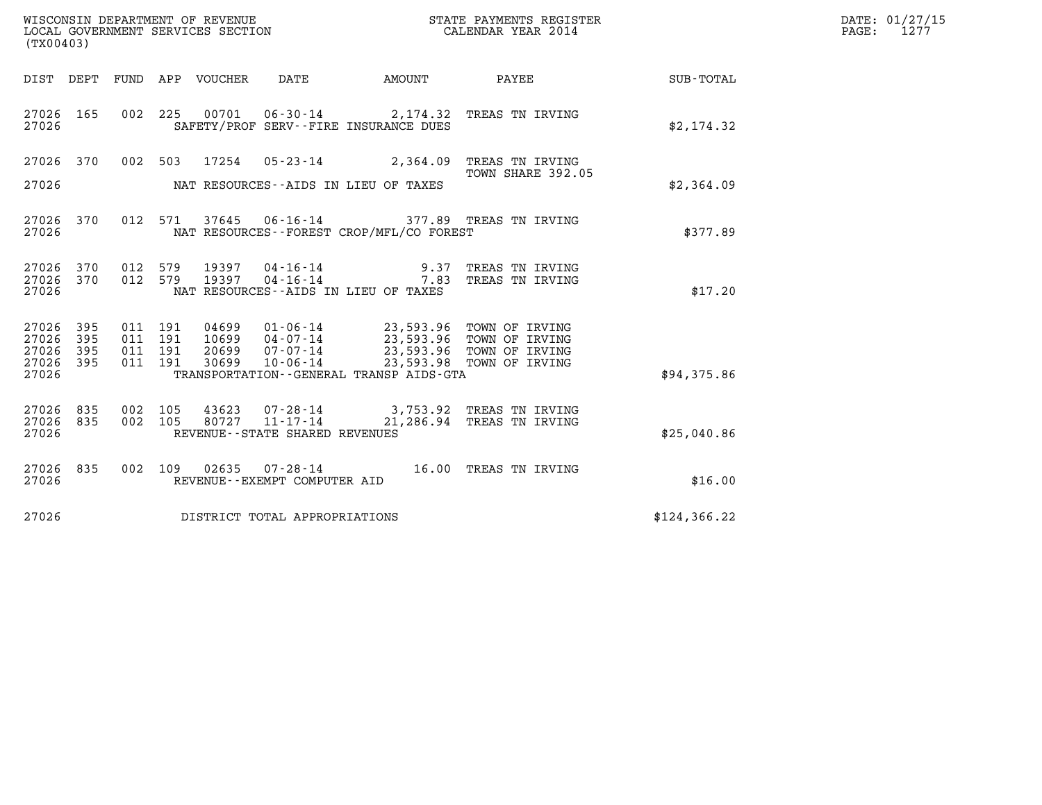| (TX00403)                                         |            |                                          |         |                                 | WISCONSIN DEPARTMENT OF REVENUE<br>LOCAL GOVERNMENT SERVICES SECTION |                                          | STATE PAYMENTS REGISTER<br>CALENDAR YEAR 2014                                                                                                                      |               | DATE: 01/27/15<br>$\mathtt{PAGE:}$<br>1277 |
|---------------------------------------------------|------------|------------------------------------------|---------|---------------------------------|----------------------------------------------------------------------|------------------------------------------|--------------------------------------------------------------------------------------------------------------------------------------------------------------------|---------------|--------------------------------------------|
|                                                   |            |                                          |         | DIST DEPT FUND APP VOUCHER DATE |                                                                      | <b>AMOUNT</b>                            | PAYEE                                                                                                                                                              | SUB-TOTAL     |                                            |
| 27026 165<br>27026                                |            |                                          |         |                                 |                                                                      | SAFETY/PROF SERV--FIRE INSURANCE DUES    | 002 225 00701 06-30-14 2,174.32 TREAS TN IRVING                                                                                                                    | \$2,174.32    |                                            |
| 27026 370                                         |            |                                          |         |                                 |                                                                      |                                          | 002 503 17254 05-23-14 2,364.09 TREAS TN IRVING                                                                                                                    |               |                                            |
| 27026                                             |            |                                          |         |                                 |                                                                      | NAT RESOURCES--AIDS IN LIEU OF TAXES     | TOWN SHARE 392.05                                                                                                                                                  | \$2,364.09    |                                            |
| 27026 370<br>27026                                |            |                                          | 012 571 |                                 |                                                                      | NAT RESOURCES--FOREST CROP/MFL/CO FOREST | 37645  06-16-14  377.89  TREAS TN IRVING                                                                                                                           | \$377.89      |                                            |
| 27026 370<br>27026 370<br>27026                   |            | 012 579<br>012 579                       |         |                                 |                                                                      | NAT RESOURCES--AIDS IN LIEU OF TAXES     | 19397  04-16-14  9.37 TREAS TN IRVING<br>19397  04-16-14  7.83 TREAS TN IRVING                                                                                     | \$17.20       |                                            |
| 27026 395<br>27026<br>27026<br>27026 395<br>27026 | 395<br>395 | 011 191<br>011 191<br>011 191<br>011 191 |         | 30699                           | $10 - 06 - 14$                                                       | TRANSPORTATION--GENERAL TRANSP AIDS-GTA  | 04699  01-06-14  23,593.96  TOWN OF IRVING<br>10699  04-07-14  23,593.96  TOWN OF IRVING<br>20699  07-07-14  23,593.96  TOWN OF IRVING<br>23,593.98 TOWN OF IRVING | \$94,375.86   |                                            |
| 27026 835<br>27026 835<br>27026                   |            | 002<br>002 105                           | 105     | 43623                           | 80727 11-17-14<br>REVENUE - - STATE SHARED REVENUES                  |                                          | 07-28-14 3,753.92 TREAS TN IRVING<br>21,286.94 TREAS TN IRVING                                                                                                     | \$25,040.86   |                                            |
| 27026 835<br>27026                                |            | 002 109                                  |         |                                 | REVENUE--EXEMPT COMPUTER AID                                         |                                          | 02635  07-28-14  16.00 TREAS TN IRVING                                                                                                                             | \$16.00       |                                            |
| 27026                                             |            |                                          |         |                                 | DISTRICT TOTAL APPROPRIATIONS                                        |                                          |                                                                                                                                                                    | \$124, 366.22 |                                            |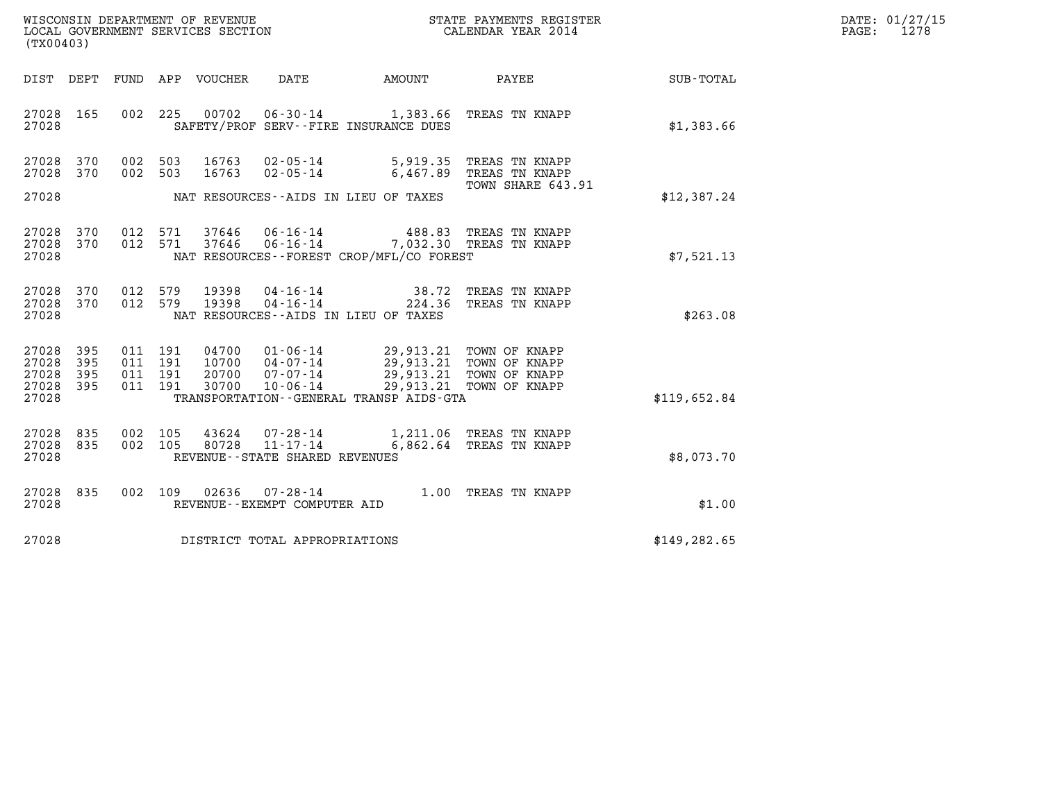| WISCONSIN DEPARTMENT OF REVENUE   | STATE PAYMENTS REGISTER | DATE: 01/27/15 |
|-----------------------------------|-------------------------|----------------|
| LOCAL GOVERNMENT SERVICES SECTION | CALENDAR YEAR 2014      | 1278<br>PAGE:  |

| WISCONSIN DEPARTMENT OF REVENUE<br>LOCAL GOVERNMENT SERVICES SECTION<br>(TX00403)                                                                                                                                 | STATE PAYMENTS REGISTER<br>CALENDAR YEAR 2014                                                 |                                                                               |                  |  |  |  |
|-------------------------------------------------------------------------------------------------------------------------------------------------------------------------------------------------------------------|-----------------------------------------------------------------------------------------------|-------------------------------------------------------------------------------|------------------|--|--|--|
| DIST<br>DEPT<br>FUND<br>APP<br>VOUCHER                                                                                                                                                                            | DATE<br><b>AMOUNT</b>                                                                         | <b>PAYEE</b>                                                                  | <b>SUB-TOTAL</b> |  |  |  |
| 165<br>002<br>225<br>27028<br>27028                                                                                                                                                                               | 00702  06-30-14  1,383.66<br>SAFETY/PROF SERV--FIRE INSURANCE DUES                            | TREAS TN KNAPP                                                                | \$1,383.66       |  |  |  |
| 27028<br>370<br>002<br>503<br>16763<br>16763<br>370<br>002<br>503<br>27028                                                                                                                                        | 02-05-14<br>5,919.35<br>$02 - 05 - 14$<br>6,467.89                                            | TREAS TN KNAPP<br>TREAS TN KNAPP<br>TOWN SHARE 643.91                         |                  |  |  |  |
| 27028                                                                                                                                                                                                             | NAT RESOURCES--AIDS IN LIEU OF TAXES                                                          |                                                                               | \$12,387.24      |  |  |  |
| 27028<br>370<br>012<br>571<br>37646<br>27028<br>370<br>012<br>571<br>37646<br>27028                                                                                                                               | $06 - 16 - 14$<br>$06 - 16 - 14$<br>NAT RESOURCES - - FOREST CROP/MFL/CO FOREST               | 488.83 TREAS TN KNAPP<br>7,032.30 TREAS TN KNAPP                              | \$7,521.13       |  |  |  |
| 27028<br>370<br>012<br>579<br>19398<br>27028<br>370<br>012<br>579<br>19398<br>27028                                                                                                                               | $04 - 16 - 14$<br>38.72<br>$04 - 16 - 14$<br>224.36<br>NAT RESOURCES -- AIDS IN LIEU OF TAXES | TREAS TN KNAPP<br>TREAS TN KNAPP                                              | \$263.08         |  |  |  |
| 27028<br>395<br>011<br>191<br>04700<br>$01 - 06 - 14$<br>$04 - 07 - 14$<br>27028<br>395<br>011<br>191<br>10700<br>07-07-14<br>27028<br>395<br>011<br>191<br>20700<br>395<br>011<br>191<br>30700<br>27028<br>27028 | 29,913.21 TOWN OF KNAPP<br>$10 - 06 - 14$<br>TRANSPORTATION--GENERAL TRANSP AIDS-GTA          | 29,913.21 TOWN OF KNAPP<br>29,913.21 TOWN OF KNAPP<br>29,913.21 TOWN OF KNAPP | \$119,652.84     |  |  |  |
| 835<br>27028<br>002<br>105<br>43624<br>80728<br>835<br>002<br>105<br>27028<br>27028<br>REVENUE - - STATE SHARED REVENUES                                                                                          | $07 - 28 - 14$<br>$11 - 17 - 14$<br>6,862.64                                                  | 1,211.06 TREAS TN KNAPP<br>TREAS TN KNAPP                                     | \$8,073.70       |  |  |  |
| 27028<br>835<br>002<br>109<br>02636<br>27028<br>REVENUE - - EXEMPT COMPUTER AID                                                                                                                                   | $07 - 28 - 14$<br>1.00                                                                        | TREAS TN KNAPP                                                                | \$1.00           |  |  |  |
| 27028<br>DISTRICT TOTAL APPROPRIATIONS                                                                                                                                                                            |                                                                                               |                                                                               | \$149, 282.65    |  |  |  |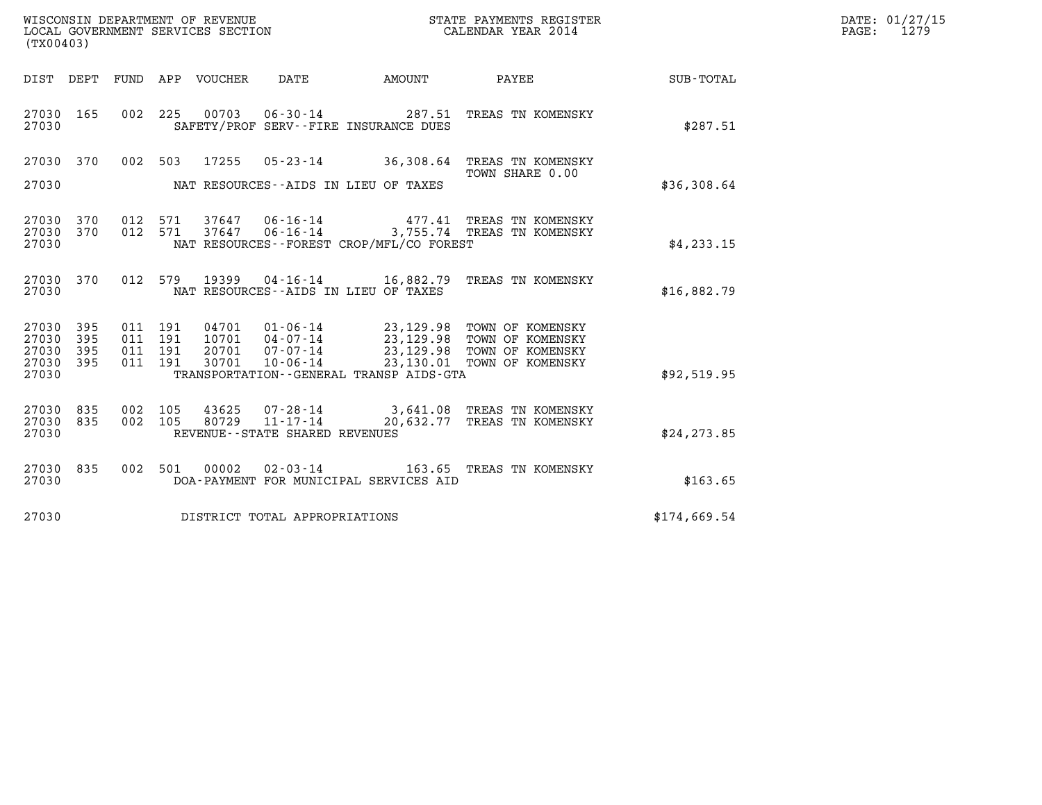|                                               | WISCONSIN DEPARTMENT OF REVENUE<br>LOCAL GOVERNMENT SERVICES SECTION<br>(TX00403) |  |  |                                 |                                |                                          | STATE PAYMENTS REGISTER<br>CALENDAR YEAR 2014                                                                                                                                                                    |                  | DATE: 01/27/15<br>PAGE: 1279 |
|-----------------------------------------------|-----------------------------------------------------------------------------------|--|--|---------------------------------|--------------------------------|------------------------------------------|------------------------------------------------------------------------------------------------------------------------------------------------------------------------------------------------------------------|------------------|------------------------------|
|                                               |                                                                                   |  |  | DIST DEPT FUND APP VOUCHER DATE |                                | AMOUNT PAYEE                             |                                                                                                                                                                                                                  | <b>SUB-TOTAL</b> |                              |
| 27030                                         |                                                                                   |  |  |                                 |                                | SAFETY/PROF SERV--FIRE INSURANCE DUES    | 27030 165 002 225 00703 06-30-14 287.51 TREAS TN KOMENSKY                                                                                                                                                        | \$287.51         |                              |
|                                               |                                                                                   |  |  |                                 |                                |                                          | 27030 370 002 503 17255 05-23-14 36,308.64 TREAS TN KOMENSKY<br>TOWN SHARE 0.00                                                                                                                                  |                  |                              |
| 27030                                         |                                                                                   |  |  |                                 |                                | NAT RESOURCES--AIDS IN LIEU OF TAXES     |                                                                                                                                                                                                                  | \$36,308.64      |                              |
| 27030                                         |                                                                                   |  |  |                                 |                                | NAT RESOURCES--FOREST CROP/MFL/CO FOREST | 27030 370 012 571 37647 06-16-14 477.41 TREAS TN KOMENSKY<br>27030 370 012 571 37647 06-16-14 3,755.74 TREAS TN KOMENSKY                                                                                         | \$4, 233.15      |                              |
| 27030                                         |                                                                                   |  |  |                                 |                                | NAT RESOURCES--AIDS IN LIEU OF TAXES     | 27030 370 012 579 19399 04-16-14 16,882.79 TREAS TN KOMENSKY                                                                                                                                                     | \$16,882.79      |                              |
| 27030 395<br>27030<br>27030<br>27030<br>27030 | 395<br>395<br>395                                                                 |  |  |                                 |                                | TRANSPORTATION--GENERAL TRANSP AIDS-GTA  | 011 191 04701 01-06-14 23,129.98 TOWN OF KOMENSKY<br>011 191 10701 04-07-14 23,129.98 TOWN OF KOMENSKY<br>011 191 20701 07-07-14 23,129.98 TOWN OF KOMENSKY<br>011 191 30701 10-06-14 23,130.01 TOWN OF KOMENSKY | \$92,519.95      |                              |
| 27030 835<br>27030 835<br>27030               |                                                                                   |  |  |                                 | REVENUE--STATE SHARED REVENUES |                                          | 002 105 43625 07–28–14 3,641.08 TREAS TN KOMENSKY<br>002 105 80729 11–17–14 20,632.77 TREAS TN KOMENSKY                                                                                                          | \$24, 273.85     |                              |
| 27030                                         |                                                                                   |  |  |                                 |                                | DOA-PAYMENT FOR MUNICIPAL SERVICES AID   | 27030 835 002 501 00002 02-03-14 163.65 TREAS TN KOMENSKY                                                                                                                                                        | \$163.65         |                              |
| 27030                                         |                                                                                   |  |  |                                 | DISTRICT TOTAL APPROPRIATIONS  |                                          |                                                                                                                                                                                                                  | \$174,669.54     |                              |
|                                               |                                                                                   |  |  |                                 |                                |                                          |                                                                                                                                                                                                                  |                  |                              |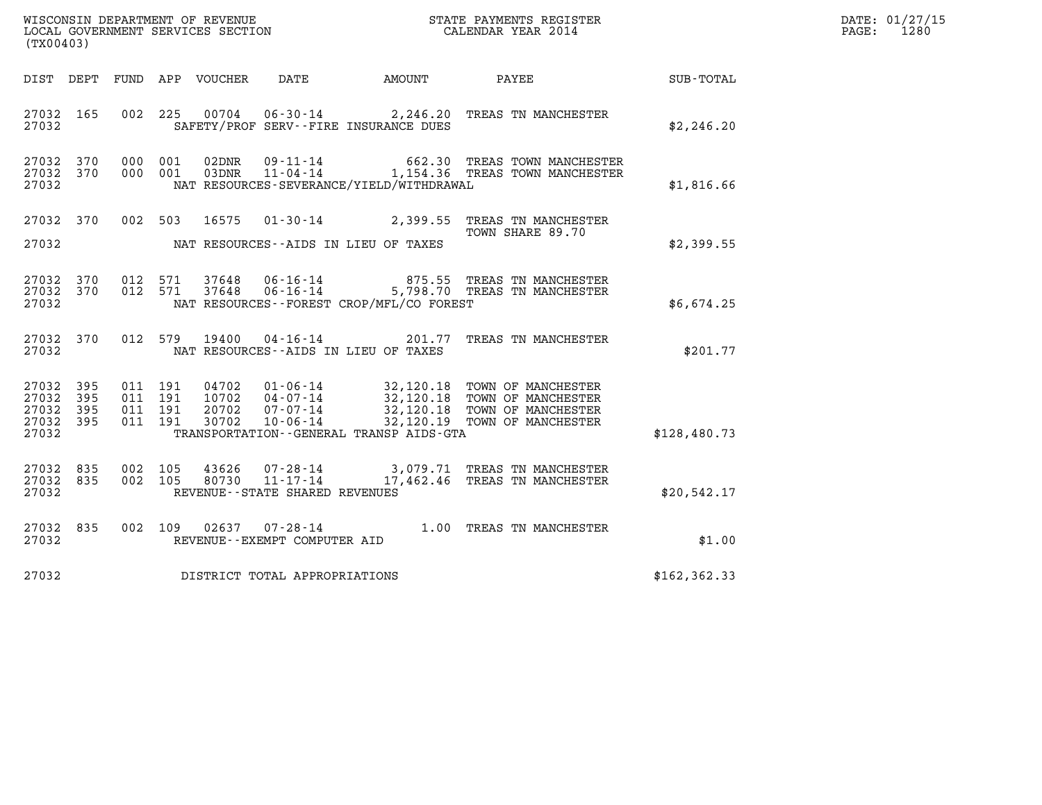|       | DATE: 01/27/15 |
|-------|----------------|
| PAGE: | 1280           |

| (TX00403)                                             |                        |  |                                          |                |                                                        | DATE: 01/27/15<br>$\mathtt{PAGE:}$<br>1280   |                                                                                                                                                                                          |               |  |
|-------------------------------------------------------|------------------------|--|------------------------------------------|----------------|--------------------------------------------------------|----------------------------------------------|------------------------------------------------------------------------------------------------------------------------------------------------------------------------------------------|---------------|--|
|                                                       |                        |  |                                          |                |                                                        | DIST DEPT FUND APP VOUCHER DATE AMOUNT PAYEE |                                                                                                                                                                                          | SUB-TOTAL     |  |
| 27032 165<br>27032                                    |                        |  |                                          |                |                                                        | SAFETY/PROF SERV--FIRE INSURANCE DUES        | 002 225 00704 06-30-14 2,246.20 TREAS TN MANCHESTER                                                                                                                                      | \$2,246.20    |  |
| 27032 370<br>27032                                    | 27032 370              |  | 000 001<br>000 001                       | 02DNR<br>03DNR |                                                        | NAT RESOURCES-SEVERANCE/YIELD/WITHDRAWAL     | 09-11-14 662.30 TREAS TOWN MANCHESTER<br>11-04-14 1,154.36 TREAS TOWN MANCHESTER                                                                                                         | \$1,816.66    |  |
| 27032                                                 |                        |  |                                          |                |                                                        | NAT RESOURCES--AIDS IN LIEU OF TAXES         | 27032 370 002 503 16575 01-30-14 2,399.55 TREAS TN MANCHESTER<br>TOWN SHARE 89.70                                                                                                        | \$2,399.55    |  |
| 27032                                                 | 27032 370<br>27032 370 |  | 012 571<br>012 571                       |                |                                                        | NAT RESOURCES - - FOREST CROP/MFL/CO FOREST  | $\begin{array}{cccc} 37648 & 06 \cdot 16 \cdot 14 & 875.55 & \text{TREAS TN MANCHESTER} \\ 37648 & 06 \cdot 16 \cdot 14 & 5,798.70 & \text{TREAS TN MANCHESTER} \end{array}$             | \$6,674.25    |  |
| 27032                                                 | 27032 370              |  |                                          | 012 579 19400  |                                                        | NAT RESOURCES--AIDS IN LIEU OF TAXES         | 04-16-14 201.77 TREAS TN MANCHESTER                                                                                                                                                      | \$201.77      |  |
| 27032 395<br>27032<br>27032 395<br>27032 395<br>27032 | 395                    |  | 011 191<br>011 191<br>011 191<br>011 191 |                |                                                        | TRANSPORTATION--GENERAL TRANSP AIDS-GTA      | 04702 01-06-14 32,120.18 TOWN OF MANCHESTER<br>10702 04-07-14 32,120.18 TOWN OF MANCHESTER<br>20702 07-07-14 32,120.18 TOWN OF MANCHESTER<br>30702 10-06-14 22,120.19 TOWN OF MANCHESTER | \$128,480.73  |  |
| 27032 835<br>27032 835<br>27032                       |                        |  | 002 105<br>002 105                       | 43626<br>80730 | 11-17-14<br>REVENUE - - STATE SHARED REVENUES          |                                              | 07-28-14 3,079.71 TREAS TN MANCHESTER<br>17,462.46 TREAS TN MANCHESTER                                                                                                                   | \$20,542.17   |  |
| 27032 835<br>27032                                    |                        |  |                                          |                | 002 109 02637 07-28-14<br>REVENUE--EXEMPT COMPUTER AID |                                              | 1.00 TREAS TN MANCHESTER                                                                                                                                                                 | \$1.00        |  |
| 27032                                                 |                        |  |                                          |                | DISTRICT TOTAL APPROPRIATIONS                          |                                              |                                                                                                                                                                                          | \$162, 362.33 |  |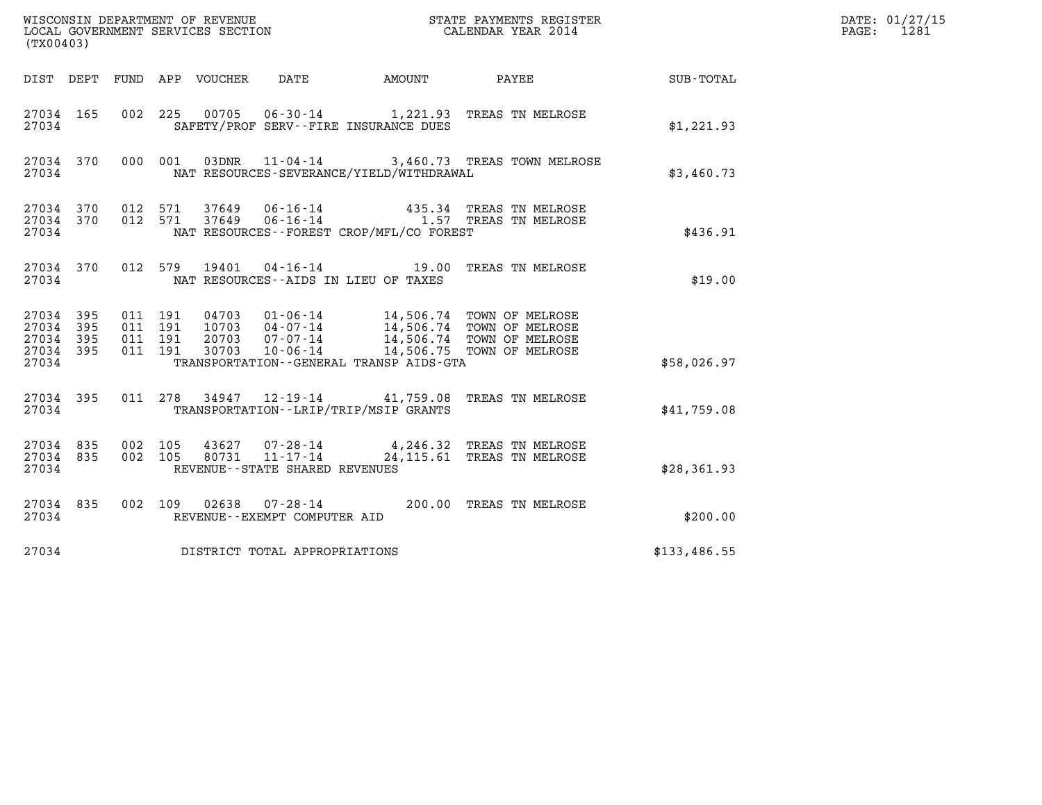| (TX00403)                                             |     |                   |                                        |                                |                                             |                                                                                                                                                                        |              | DATE: 01/27/15<br>1281<br>PAGE: |
|-------------------------------------------------------|-----|-------------------|----------------------------------------|--------------------------------|---------------------------------------------|------------------------------------------------------------------------------------------------------------------------------------------------------------------------|--------------|---------------------------------|
|                                                       |     |                   | DIST DEPT FUND APP VOUCHER             | DATE                           | AMOUNT                                      | PAYEE                                                                                                                                                                  | SUB-TOTAL    |                                 |
| 27034 165<br>27034                                    |     |                   |                                        |                                | SAFETY/PROF SERV--FIRE INSURANCE DUES       | 002 225 00705 06-30-14 1,221.93 TREAS TN MELROSE                                                                                                                       | \$1,221.93   |                                 |
| 27034 370<br>27034                                    |     |                   | 000 001                                |                                | NAT RESOURCES-SEVERANCE/YIELD/WITHDRAWAL    | 03DNR  11-04-14  3,460.73  TREAS TOWN MELROSE                                                                                                                          | \$3,460.73   |                                 |
| 27034 370<br>27034                                    |     | 27034 370 012 571 | 012 571                                |                                | NAT RESOURCES - - FOREST CROP/MFL/CO FOREST | 37649  06-16-14  435.34  TREAS TN MELROSE<br>37649  06-16-14   1.57  TREAS TN MELROSE                                                                                  | \$436.91     |                                 |
| 27034 370<br>27034                                    |     |                   | 012 579                                |                                | NAT RESOURCES -- AIDS IN LIEU OF TAXES      | 19401  04-16-14   19.00 TREAS TN MELROSE                                                                                                                               | \$19.00      |                                 |
| 27034 395<br>27034<br>27034 395<br>27034 395<br>27034 | 395 | 011 191           | 011 191<br>011 191<br>011 191<br>30703 | $10 - 06 - 14$                 | TRANSPORTATION--GENERAL TRANSP AIDS-GTA     | 04703  01-06-14  14,506.74  TOWN OF MELROSE<br>10703  04-07-14  14,506.74  TOWN OF MELROSE<br>20703  07-07-14  14,506.74  TOWN OF MELROSE<br>14,506.75 TOWN OF MELROSE | \$58,026.97  |                                 |
| 27034 395<br>27034                                    |     |                   |                                        |                                | TRANSPORTATION--LRIP/TRIP/MSIP GRANTS       | 011 278 34947 12-19-14 41,759.08 TREAS TN MELROSE                                                                                                                      | \$41,759.08  |                                 |
| 27034 835<br>27034 835<br>27034                       |     | 002 105           | 002 105 80731 11-17-14                 | REVENUE--STATE SHARED REVENUES |                                             | 43627 07-28-14 4,246.32 TREAS TN MELROSE<br>24,115.61 TREAS TN MELROSE                                                                                                 | \$28,361.93  |                                 |
| 27034 835<br>27034                                    |     |                   |                                        | REVENUE--EXEMPT COMPUTER AID   |                                             | 002 109 02638 07-28-14 200.00 TREAS TN MELROSE                                                                                                                         | \$200.00     |                                 |
| 27034                                                 |     |                   | DISTRICT TOTAL APPROPRIATIONS          |                                |                                             |                                                                                                                                                                        | \$133,486.55 |                                 |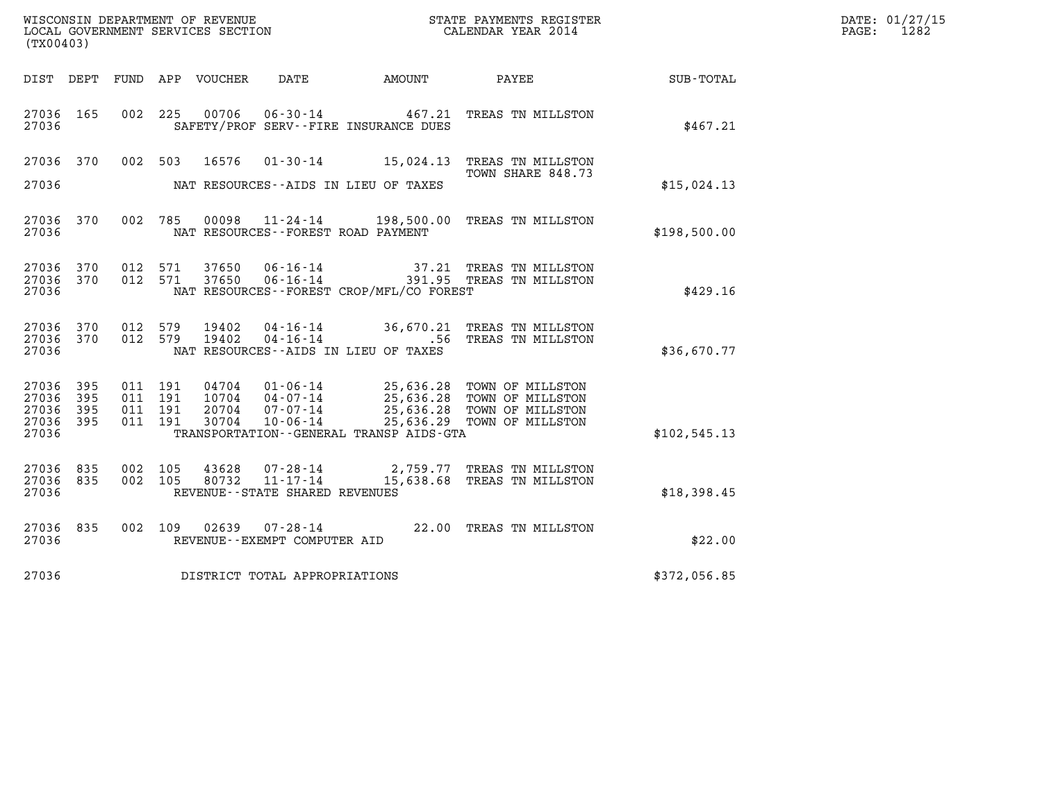| (TX00403)                                     |                    |                               |         |                            |                                                              |                                                                |                                                                                                                                                          |              | DATE: 01/27/15<br>$\mathtt{PAGE}$ :<br>1282 |
|-----------------------------------------------|--------------------|-------------------------------|---------|----------------------------|--------------------------------------------------------------|----------------------------------------------------------------|----------------------------------------------------------------------------------------------------------------------------------------------------------|--------------|---------------------------------------------|
|                                               |                    |                               |         | DIST DEPT FUND APP VOUCHER | DATE                                                         | AMOUNT                                                         | <b>PAYEE</b>                                                                                                                                             | SUB-TOTAL    |                                             |
| 27036 165<br>27036                            |                    |                               | 002 225 | 00706                      |                                                              | $06 - 30 - 14$ 467.21<br>SAFETY/PROF SERV--FIRE INSURANCE DUES | TREAS TN MILLSTON                                                                                                                                        | \$467.21     |                                             |
| 27036 370                                     |                    | 002 503                       |         | 16576                      |                                                              |                                                                | 01-30-14 15,024.13 TREAS TN MILLSTON                                                                                                                     |              |                                             |
| 27036                                         |                    |                               |         |                            |                                                              | NAT RESOURCES--AIDS IN LIEU OF TAXES                           | TOWN SHARE 848.73                                                                                                                                        | \$15,024.13  |                                             |
| 27036 370<br>27036                            |                    |                               | 002 785 | 00098                      |                                                              | NAT RESOURCES--FOREST ROAD PAYMENT                             | 11-24-14 198,500.00 TREAS TN MILLSTON                                                                                                                    | \$198,500.00 |                                             |
| 27036 370<br>27036 370<br>27036               |                    | 012<br>012 571                | 571     | 37650<br>37650             |                                                              | NAT RESOURCES - - FOREST CROP/MFL/CO FOREST                    |                                                                                                                                                          | \$429.16     |                                             |
| 27036 370<br>27036 370<br>27036               |                    | 012 579<br>012 579            |         | 19402<br>19402             |                                                              | NAT RESOURCES--AIDS IN LIEU OF TAXES                           | 04-16-14 36,670.21 TREAS TN MILLSTON<br>04-16-14 .56 TREAS TN MILLSTON                                                                                   | \$36,670.77  |                                             |
| 27036 395<br>27036<br>27036<br>27036<br>27036 | 395<br>-395<br>395 | 011 191<br>011 191<br>011 191 | 011 191 | 20704<br>30704             | 07-07-14<br>$10 - 06 - 14$                                   | TRANSPORTATION--GENERAL TRANSP AIDS-GTA                        | 04704  01-06-14  25,636.28  TOWN OF MILLSTON<br>10704  04-07-14  25,636.28  TOWN OF MILLSTON<br>25,636.28 TOWN OF MILLSTON<br>25,636.29 TOWN OF MILLSTON | \$102,545.13 |                                             |
| 27036 835<br>27036<br>27036                   | 835                | 002 105<br>002 105            |         | 43628<br>80732             | 07-28-14<br>$11 - 17 - 14$<br>REVENUE--STATE SHARED REVENUES |                                                                | 2,759.77 TREAS TN MILLSTON<br>15,638.68 TREAS TN MILLSTON                                                                                                | \$18,398.45  |                                             |
| 27036 835<br>27036                            |                    |                               | 002 109 | 02639                      | REVENUE--EXEMPT COMPUTER AID                                 |                                                                | 07-28-14 22.00 TREAS TN MILLSTON                                                                                                                         | \$22.00      |                                             |
| 27036                                         |                    |                               |         |                            | DISTRICT TOTAL APPROPRIATIONS                                |                                                                |                                                                                                                                                          | \$372,056.85 |                                             |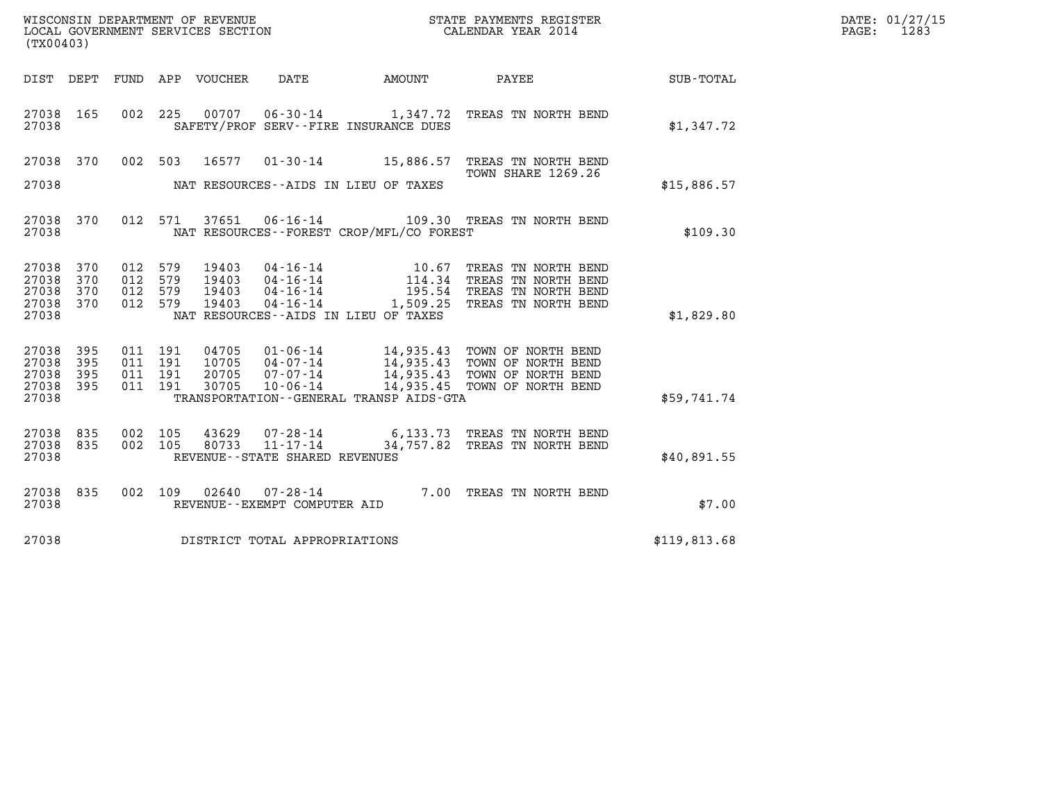| WISCONSIN DEPARTMENT OF REVENUE   | STATE PAYMENTS REGISTER | DATE: 01/27/15 |
|-----------------------------------|-------------------------|----------------|
| LOCAL GOVERNMENT SERVICES SECTION | CALENDAR YEAR 2014      | 1283<br>PAGE:  |

| (TX00403)                                             | WISCONSIN DEPARTMENT OF REVENUE<br>LOCAL GOVERNMENT SERVICES SECTION<br>CALENDAR YEAR 2014 |                                          |  |                                  |                                        |                                           |                                                                                                                                                                                                      |              | DATE: 01/27/15<br>$\mathtt{PAGE}$ :<br>1283 |
|-------------------------------------------------------|--------------------------------------------------------------------------------------------|------------------------------------------|--|----------------------------------|----------------------------------------|-------------------------------------------|------------------------------------------------------------------------------------------------------------------------------------------------------------------------------------------------------|--------------|---------------------------------------------|
|                                                       |                                                                                            |                                          |  |                                  | DIST DEPT FUND APP VOUCHER DATE AMOUNT |                                           | PAYEE SUB-TOTAL                                                                                                                                                                                      |              |                                             |
| 27038 165<br>27038                                    |                                                                                            |                                          |  |                                  | SAFETY/PROF SERV--FIRE INSURANCE DUES  |                                           | 002 225 00707 06-30-14 1,347.72 TREAS TN NORTH BEND                                                                                                                                                  | \$1,347.72   |                                             |
|                                                       | 27038 370                                                                                  | 002 503                                  |  | 16577                            |                                        |                                           | 01-30-14 15,886.57 TREAS TN NORTH BEND<br>TOWN SHARE 1269.26                                                                                                                                         |              |                                             |
| 27038                                                 |                                                                                            |                                          |  |                                  | NAT RESOURCES--AIDS IN LIEU OF TAXES   |                                           |                                                                                                                                                                                                      | \$15,886.57  |                                             |
| 27038                                                 | 27038 370                                                                                  |                                          |  |                                  |                                        | NAT RESOURCES - FOREST CROP/MFL/CO FOREST | 012 571 37651 06-16-14 109.30 TREAS TN NORTH BEND                                                                                                                                                    | \$109.30     |                                             |
| 27038 370<br>27038<br>27038 370<br>27038 370<br>27038 | 370                                                                                        | 012 579<br>012 579<br>012 579<br>012 579 |  | 19403<br>19403<br>19403<br>19403 | NAT RESOURCES--AIDS IN LIEU OF TAXES   |                                           | 04-16-14 10.67 TREAS TN NORTH BEND<br>04-16-14 114.34 TREAS TN NORTH BEND<br>04-16-14 195.54 TREAS TN NORTH BEND<br>04-16-14 1,509.25 TREAS TN NORTH BEND                                            | \$1,829.80   |                                             |
| 27038 395<br>27038<br>27038 395<br>27038 395<br>27038 | 395                                                                                        | 011 191<br>011 191<br>011 191<br>011 191 |  |                                  |                                        | TRANSPORTATION--GENERAL TRANSP AIDS-GTA   | 04705  01-06-14  14,935.43  TOWN OF NORTH BEND<br>10705  04-07-14  14,935.43  TOWN OF NORTH BEND<br>20705  07-07-14  14,935.43  TOWN OF NORTH BEND<br>30705  10-06-14  14,935.45  TOWN OF NORTH BEND | \$59,741.74  |                                             |
| 27038 835<br>27038 835<br>27038                       |                                                                                            | 002 105<br>002 105                       |  |                                  | REVENUE--STATE SHARED REVENUES         |                                           | $43629$ 07-28-14   6,133.73 TREAS TN NORTH BEND 80733   11-17-14   34,757.82 TREAS TN NORTH BEND                                                                                                     | \$40,891.55  |                                             |
| 27038 835<br>27038                                    |                                                                                            | 002 109                                  |  |                                  | REVENUE--EXEMPT COMPUTER AID           |                                           | 02640  07-28-14  7.00 TREAS TN NORTH BEND                                                                                                                                                            | \$7.00       |                                             |
| 27038                                                 |                                                                                            |                                          |  |                                  | DISTRICT TOTAL APPROPRIATIONS          |                                           |                                                                                                                                                                                                      | \$119,813.68 |                                             |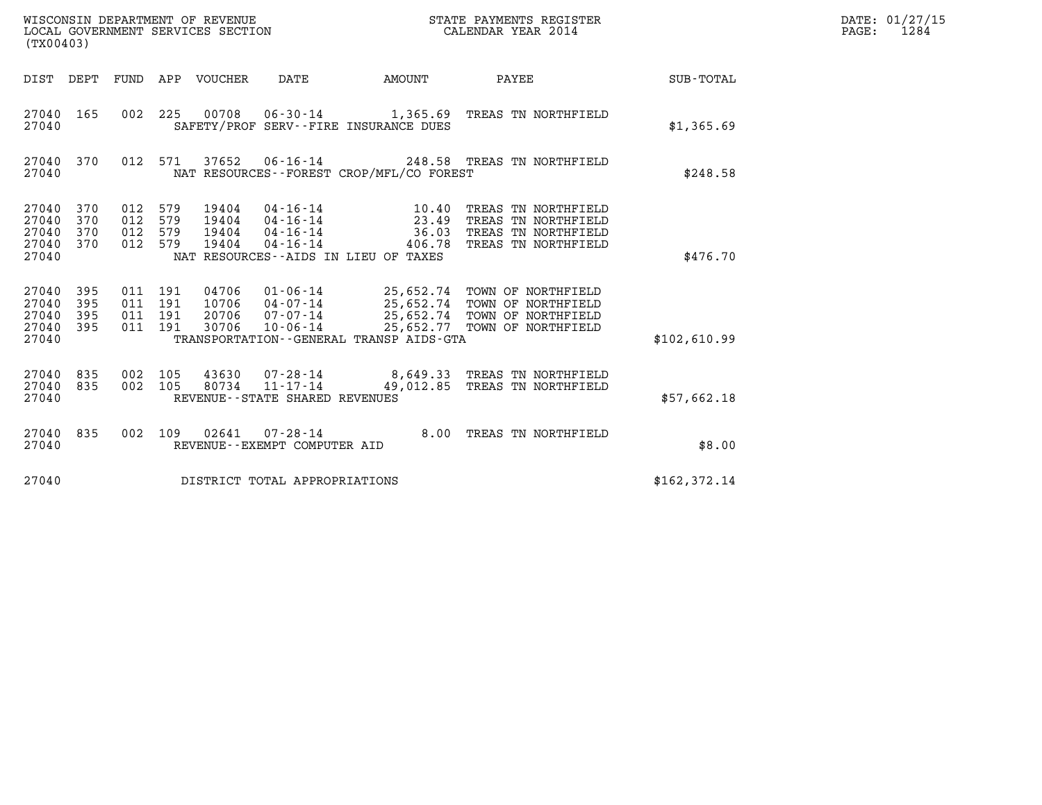| WISCONSIN DEPARTMENT OF REVENUE<br>LOCAL GOVERNMENT SERVICES SECTION<br>(TX00403) |                          |                                          |     |                                  |                                                                  |                                                                           | STATE PAYMENTS REGISTER<br>CALENDAR YEAR 2014                                                                                |               | DATE: 01/27/15<br>1284<br>$\mathtt{PAGE}$ : |
|-----------------------------------------------------------------------------------|--------------------------|------------------------------------------|-----|----------------------------------|------------------------------------------------------------------|---------------------------------------------------------------------------|------------------------------------------------------------------------------------------------------------------------------|---------------|---------------------------------------------|
| DIST DEPT                                                                         |                          | FUND                                     |     | APP VOUCHER                      | DATE                                                             | AMOUNT                                                                    | PAYEE                                                                                                                        | SUB-TOTAL     |                                             |
| 27040 165<br>27040                                                                |                          | 002 225                                  |     | 00708                            |                                                                  | SAFETY/PROF SERV--FIRE INSURANCE DUES                                     | 06-30-14 1,365.69 TREAS TN NORTHFIELD                                                                                        | \$1,365.69    |                                             |
| 27040 370<br>27040                                                                |                          | 012 571                                  |     | 37652                            |                                                                  | NAT RESOURCES--FOREST CROP/MFL/CO FOREST                                  | 06-16-14 248.58 TREAS TN NORTHFIELD                                                                                          | \$248.58      |                                             |
| 27040<br>27040<br>27040<br>27040<br>27040                                         | 370<br>370<br>370<br>370 | 012 579<br>012<br>012 579<br>012 579     | 579 | 19404<br>19404<br>19404<br>19404 | 04 - 16 - 14<br>04 - 16 - 14<br>$04 - 16 - 14$<br>$04 - 16 - 14$ | 10.40<br>23.49<br>36.03<br>406.78<br>NAT RESOURCES--AIDS IN LIEU OF TAXES | TREAS TN NORTHFIELD<br>TREAS TN NORTHFIELD<br>TREAS TN NORTHFIELD<br>TREAS TN NORTHFIELD                                     | \$476.70      |                                             |
| 27040<br>27040<br>27040<br>27040<br>27040                                         | 395<br>395<br>395<br>395 | 011 191<br>011 191<br>011 191<br>011 191 |     | 10706<br>30706                   | 04706 01-06-14<br>$04 - 07 - 14$<br>20706 07-07-14<br>10-06-14   | TRANSPORTATION--GENERAL TRANSP AIDS-GTA                                   | 25,652.74 TOWN OF NORTHFIELD<br>25,652.74 TOWN OF NORTHFIELD<br>25,652.74 TOWN OF NORTHFIELD<br>25,652.77 TOWN OF NORTHFIELD | \$102,610.99  |                                             |
| 27040<br>27040 835<br>27040                                                       | 835                      | 002 105<br>002 105                       |     | 43630<br>80734                   | 07-28-14<br>$11 - 17 - 14$<br>REVENUE - - STATE SHARED REVENUES  |                                                                           | 8,649.33 TREAS TN NORTHFIELD<br>49,012.85 TREAS TN NORTHFIELD                                                                | \$57,662.18   |                                             |
| 27040 835<br>27040                                                                |                          | 002 109                                  |     | 02641                            | $07 - 28 - 14$<br>REVENUE--EXEMPT COMPUTER AID                   |                                                                           | 8.00 TREAS TN NORTHFIELD                                                                                                     | \$8.00        |                                             |
| 27040                                                                             |                          |                                          |     |                                  | DISTRICT TOTAL APPROPRIATIONS                                    |                                                                           |                                                                                                                              | \$162, 372.14 |                                             |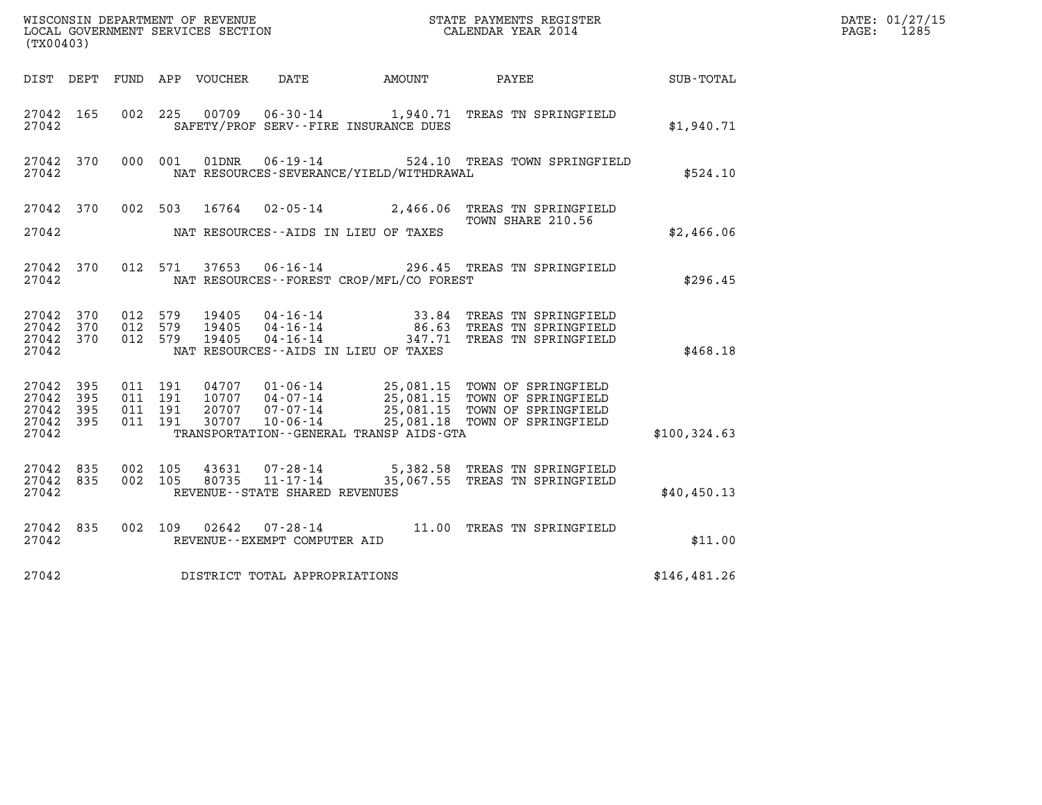|                                               | ${\tt WISCOONSIM} \begin{tabular}{lcccc} DEPARTMENT OF REVENUE & & & & & & & \begin{tabular}{l} \bf STATE} & \bf PAYMENTS \textit{ REGISTER} \\ \bf LOCAL GOVERNMENT SERVICES SECTION & & & & & & \begin{tabular}{l} \bf CALENDAR YEAR \textit{ 2014} \end{tabular} \end{tabular} \end{tabular}$<br>(TX00403) |                                          |         |                                  |                                                        |                                             |                                                                                                                                                    |              | DATE: 01/27/15<br>$\mathtt{PAGE:}$<br>1285 |
|-----------------------------------------------|---------------------------------------------------------------------------------------------------------------------------------------------------------------------------------------------------------------------------------------------------------------------------------------------------------------|------------------------------------------|---------|----------------------------------|--------------------------------------------------------|---------------------------------------------|----------------------------------------------------------------------------------------------------------------------------------------------------|--------------|--------------------------------------------|
|                                               |                                                                                                                                                                                                                                                                                                               |                                          |         | DIST DEPT FUND APP VOUCHER DATE  |                                                        | AMOUNT PAYEE                                |                                                                                                                                                    | SUB-TOTAL    |                                            |
| 27042 165<br>27042                            |                                                                                                                                                                                                                                                                                                               | 002 225                                  |         |                                  |                                                        | SAFETY/PROF SERV--FIRE INSURANCE DUES       | 00709  06-30-14  1,940.71  TREAS TN SPRINGFIELD                                                                                                    | \$1,940.71   |                                            |
| 27042 370<br>27042                            |                                                                                                                                                                                                                                                                                                               |                                          | 000 001 |                                  |                                                        | NAT RESOURCES-SEVERANCE/YIELD/WITHDRAWAL    | 01DNR  06-19-14  524.10 TREAS TOWN SPRINGFIELD                                                                                                     | \$524.10     |                                            |
| 27042 370                                     |                                                                                                                                                                                                                                                                                                               |                                          | 002 503 |                                  |                                                        |                                             | 16764 02-05-14 2,466.06 TREAS TN SPRINGFIELD<br>TOWN SHARE 210.56                                                                                  |              |                                            |
| 27042                                         |                                                                                                                                                                                                                                                                                                               |                                          |         |                                  |                                                        | NAT RESOURCES--AIDS IN LIEU OF TAXES        |                                                                                                                                                    | \$2,466.06   |                                            |
| 27042 370<br>27042                            |                                                                                                                                                                                                                                                                                                               |                                          | 012 571 |                                  |                                                        | NAT RESOURCES - - FOREST CROP/MFL/CO FOREST | 37653  06-16-14  296.45  TREAS TN SPRINGFIELD                                                                                                      | \$296.45     |                                            |
| 27042 370<br>27042<br>27042<br>27042          | 370<br>370                                                                                                                                                                                                                                                                                                    | 012 579<br>012 579<br>012 579            |         | 19405<br>19405<br>19405          |                                                        | NAT RESOURCES - AIDS IN LIEU OF TAXES       | 04-16-14 33.84 TREAS TN SPRINGFIELD<br>04-16-14 86.63 TREAS TN SPRINGFIELD<br>04-16-14 347.71 TREAS TN SPRINGFIELD                                 | \$468.18     |                                            |
| 27042 395<br>27042<br>27042<br>27042<br>27042 | 395<br>395<br>395                                                                                                                                                                                                                                                                                             | 011 191<br>011 191<br>011 191<br>011 191 |         | 04707<br>10707<br>20707<br>30707 | 07-07-14<br>$10 - 06 - 14$                             | TRANSPORTATION--GENERAL TRANSP AIDS-GTA     | 01-06-14 25,081.15 TOWN OF SPRINGFIELD<br>04-07-14 25,081.15 TOWN OF SPRINGFIELD<br>25,081.15 TOWN OF SPRINGFIELD<br>25,081.18 TOWN OF SPRINGFIELD | \$100,324.63 |                                            |
| 27042 835<br>27042 835<br>27042               |                                                                                                                                                                                                                                                                                                               | 002 105<br>002 105                       |         | 43631<br>80735                   | 07-28-14<br>11-17-14<br>REVENUE--STATE SHARED REVENUES |                                             | 5,382.58 TREAS TN SPRINGFIELD<br>35,067.55 TREAS TN SPRINGFIELD                                                                                    | \$40,450.13  |                                            |
| 27042 835<br>27042                            |                                                                                                                                                                                                                                                                                                               |                                          | 002 109 |                                  | REVENUE--EXEMPT COMPUTER AID                           |                                             | 02642  07-28-14   11.00   TREAS TN SPRINGFIELD                                                                                                     | \$11.00      |                                            |
| 27042                                         |                                                                                                                                                                                                                                                                                                               |                                          |         |                                  | DISTRICT TOTAL APPROPRIATIONS                          |                                             |                                                                                                                                                    | \$146,481.26 |                                            |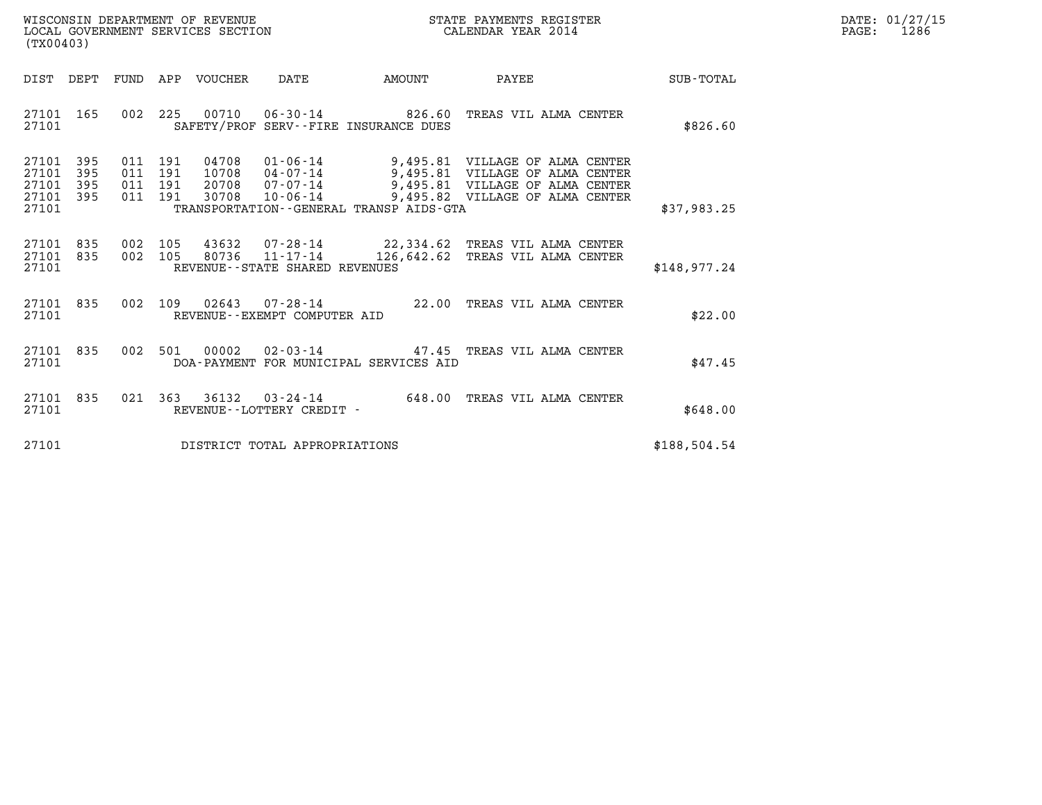| WISCONSIN DEPARTMENT OF REVENUE   | STATE PAYMENTS REGISTER | DATE: 01/27/15 |
|-----------------------------------|-------------------------|----------------|
| LOCAL GOVERNMENT SERVICES SECTION | CALENDAR YEAR 2014      | 1286<br>PAGE:  |

| (TX00403)                                                             |                          |                                                                                                                                                                     |                 |                                                                                                                                          |                  |
|-----------------------------------------------------------------------|--------------------------|---------------------------------------------------------------------------------------------------------------------------------------------------------------------|-----------------|------------------------------------------------------------------------------------------------------------------------------------------|------------------|
| DIST<br>DEPT                                                          | FUND                     | APP<br>VOUCHER<br>DATE                                                                                                                                              | AMOUNT          | PAYEE                                                                                                                                    | <b>SUB-TOTAL</b> |
| 165<br>27101<br>27101                                                 | 002                      | 225<br>00710<br>SAFETY/PROF SERV--FIRE INSURANCE DUES                                                                                                               | 06-30-14 826.60 | TREAS VIL ALMA CENTER                                                                                                                    | \$826.60         |
| 27101<br>395<br>27101<br>395<br>27101<br>395<br>27101<br>395<br>27101 | 011<br>011<br>011<br>011 | 191<br>04708<br>01-06-14<br>191<br>10708<br>04-07-14<br>$07 - 07 - 14$<br>191<br>20708<br>191<br>30708<br>$10 - 06 - 14$<br>TRANSPORTATION--GENERAL TRANSP AIDS-GTA |                 | 9,495.81 VILLAGE OF ALMA CENTER<br>9,495.81 VILLAGE OF ALMA CENTER<br>9,495.81 VILLAGE OF ALMA CENTER<br>9,495.82 VILLAGE OF ALMA CENTER | \$37,983.25      |
| 835<br>27101<br>835<br>27101<br>27101                                 | 002<br>002               | 105<br>105<br>80736<br>REVENUE--STATE SHARED REVENUES                                                                                                               |                 | 43632 07-28-14 22,334.62 TREAS VIL ALMA CENTER<br>$11 - 17 - 14$ $126,642.62$ TREAS VIL ALMA CENTER                                      | \$148,977.24     |
| 835<br>27101<br>27101                                                 | 002                      | 109<br>02643<br>$07 - 28 - 14$<br>REVENUE--EXEMPT COMPUTER AID                                                                                                      | 22.00           | TREAS VIL ALMA CENTER                                                                                                                    | \$22.00          |
| 835<br>27101<br>27101                                                 | 002                      | 501<br>00002<br>$02 - 03 - 14$<br>DOA-PAYMENT FOR MUNICIPAL SERVICES AID                                                                                            | 47.45           | TREAS VIL ALMA CENTER                                                                                                                    | \$47.45          |
| 835<br>27101<br>27101                                                 | 021                      | 363<br>36132<br>$03 - 24 - 14$<br>REVENUE--LOTTERY CREDIT -                                                                                                         | 648.00          | TREAS VIL ALMA CENTER                                                                                                                    | \$648.00         |
| 27101                                                                 |                          | DISTRICT TOTAL APPROPRIATIONS                                                                                                                                       |                 |                                                                                                                                          | \$188,504.54     |

(TX00403)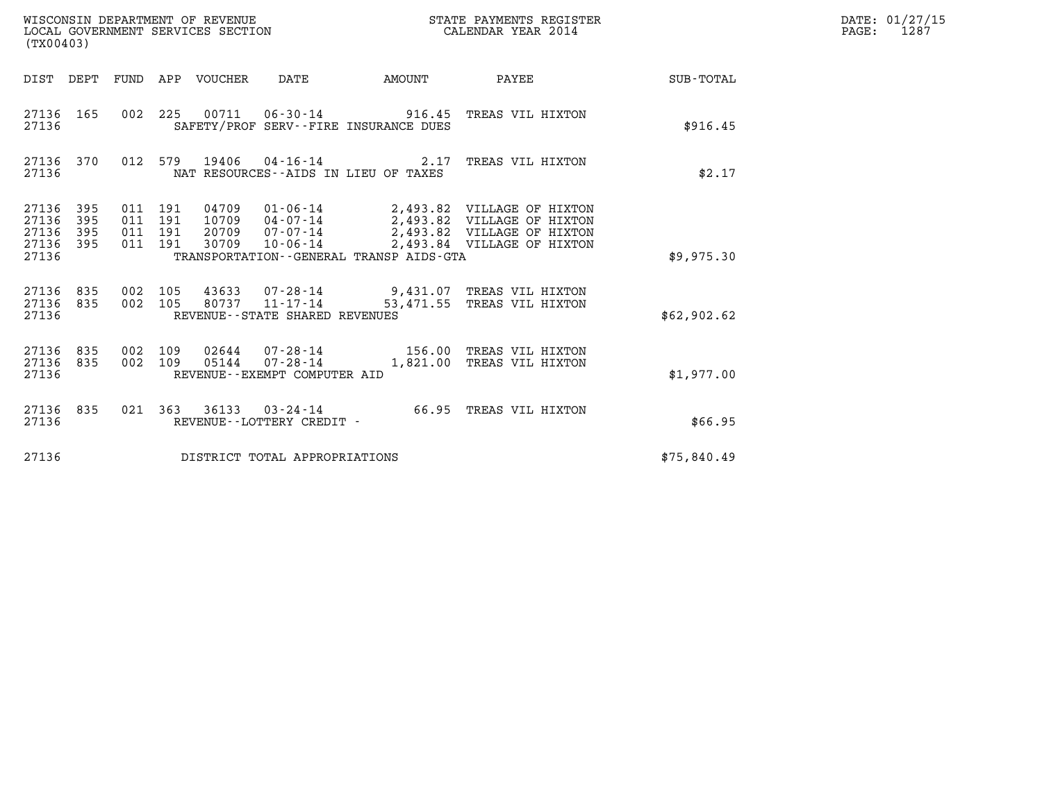| (TX00403)                                                                                                      | WISCONSIN DEPARTMENT OF REVENUE<br>LOCAL GOVERNMENT SERVICES SECTION                                                                                                                                                                         | STATE PAYMENTS REGISTER<br>CALENDAR YEAR 2014 | DATE: 01/27/15<br>$\mathtt{PAGE:}$<br>1287 |
|----------------------------------------------------------------------------------------------------------------|----------------------------------------------------------------------------------------------------------------------------------------------------------------------------------------------------------------------------------------------|-----------------------------------------------|--------------------------------------------|
| DIST DEPT FUND APP VOUCHER DATE                                                                                |                                                                                                                                                                                                                                              | AMOUNT PAYEE SUB-TOTAL                        |                                            |
| 27136 165<br>27136                                                                                             | 002 225 00711 06-30-14 916.45 TREAS VIL HIXTON<br>SAFETY/PROF SERV--FIRE INSURANCE DUES                                                                                                                                                      | \$916.45                                      |                                            |
| 27136 370<br>27136                                                                                             | 012 579 19406 04-16-14 2.17 TREAS VIL HIXTON<br>NAT RESOURCES--AIDS IN LIEU OF TAXES                                                                                                                                                         | \$2.17                                        |                                            |
| 27136<br>395<br>011 191<br>395<br>011 191<br>27136<br>27136<br>011 191<br>395<br>011 191<br>27136 395<br>27136 | 04709  01-06-14  2,493.82  VILLAGE OF HIXTON<br>10709  04-07-14  2,493.82  VILLAGE OF HIXTON<br>20709  07-07-14  2,493.82  VILLAGE OF HIXTON<br>30709  10-06-14  2,493.84  VILLAGE OF HIXTON<br>TRANSPORTATION - - GENERAL TRANSP AIDS - GTA | \$9,975.30                                    |                                            |
| 002 105<br>27136 835<br>002 105<br>27136 835<br>27136                                                          | 43633  07-28-14  9,431.07 TREAS  VIL HIXTON<br>80737  11-17-14  53,471.55 TREAS  VIL HIXTON<br>REVENUE--STATE SHARED REVENUES                                                                                                                | \$62,902.62                                   |                                            |
| 27136<br>835<br>002 109<br>002 109<br>27136 835<br>27136                                                       | 02644  07-28-14  156.00 TREAS VIL HIXTON<br>05144  07-28-14  1,821.00 TREAS VIL HIXTON<br>REVENUE - - EXEMPT COMPUTER AID                                                                                                                    | \$1,977.00                                    |                                            |
| 27136 835<br>27136                                                                                             | 021 363 36133 03-24-14 66.95 TREAS VIL HIXTON<br>REVENUE--LOTTERY CREDIT -                                                                                                                                                                   | \$66.95                                       |                                            |
| 27136                                                                                                          | DISTRICT TOTAL APPROPRIATIONS                                                                                                                                                                                                                | \$75,840.49                                   |                                            |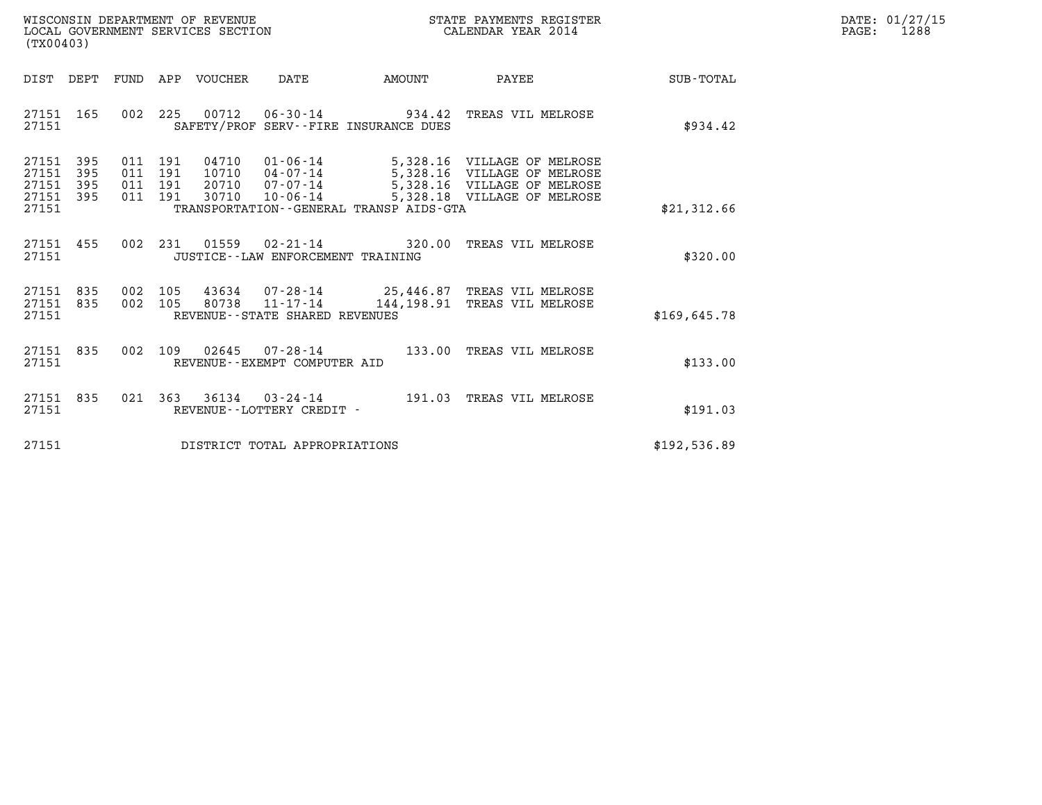| WISCONSIN DEPARTMENT OF REVENUE   | STATE PAYMENTS REGISTER | DATE: 01/27/15 |
|-----------------------------------|-------------------------|----------------|
| LOCAL GOVERNMENT SERVICES SECTION | CALENDAR YEAR 2014      | 1288<br>PAGE:  |

| WISCONSIN DEPARTMENT OF REVENUE<br>LOCAL GOVERNMENT SERVICES SECTION<br>(TX00403)                                                                              |                                                                                                                                                                      | STATE PAYMENTS REGISTER<br>CALENDAR YEAR 2014 |              | DATE: 01/27/15<br>$\mathtt{PAGE}$ :<br>1288 |
|----------------------------------------------------------------------------------------------------------------------------------------------------------------|----------------------------------------------------------------------------------------------------------------------------------------------------------------------|-----------------------------------------------|--------------|---------------------------------------------|
| DIST DEPT                                                                                                                                                      |                                                                                                                                                                      | PAYEE                                         | SUB-TOTAL    |                                             |
| 002 225 00712 06-30-14 934.42 TREAS VIL MELROSE<br>27151 165<br>27151                                                                                          | SAFETY/PROF SERV--FIRE INSURANCE DUES                                                                                                                                |                                               | \$934.42     |                                             |
| 27151 395<br>011<br>191<br>04710<br>27151<br>395<br>011<br>191<br>10710<br>27151 395<br>011 191<br>20710<br>27151 395<br>30710<br>011 191<br>10-06-14<br>27151 | 01-06-14 5,328.16 VILLAGE OF MELROSE<br>04-07-14 5,328.16 VILLAGE OF MELROSE<br>07-07-14 5,328.16 VILLAGE OF MELROSE<br>TRANSPORTATION - - GENERAL TRANSP AIDS - GTA | 5,328.18 VILLAGE OF MELROSE                   | \$21,312.66  |                                             |
| 27151 455<br>002 231 01559 02-21-14 320.00 TREAS VIL MELROSE<br>27151<br>JUSTICE--LAW ENFORCEMENT TRAINING                                                     |                                                                                                                                                                      |                                               | \$320.00     |                                             |
| 002 105 43634 07-28-14 25,446.87 TREAS VIL MELROSE<br>27151 835<br>27151 835<br>002 105<br>27151<br>REVENUE--STATE SHARED REVENUES                             | 80738  11-17-14  144,198.91  TREAS VIL MELROSE                                                                                                                       |                                               | \$169.645.78 |                                             |
| 002 109 02645 07-28-14 133.00 TREAS VIL MELROSE<br>27151 835<br>27151<br>REVENUE--EXEMPT COMPUTER AID                                                          |                                                                                                                                                                      |                                               | \$133.00     |                                             |
| 021 363 36134 03-24-14 191.03 TREAS VIL MELROSE<br>27151 835<br>27151<br>REVENUE--LOTTERY CREDIT -                                                             |                                                                                                                                                                      |                                               | \$191.03     |                                             |
| 27151<br>DISTRICT TOTAL APPROPRIATIONS                                                                                                                         |                                                                                                                                                                      |                                               | \$192,536.89 |                                             |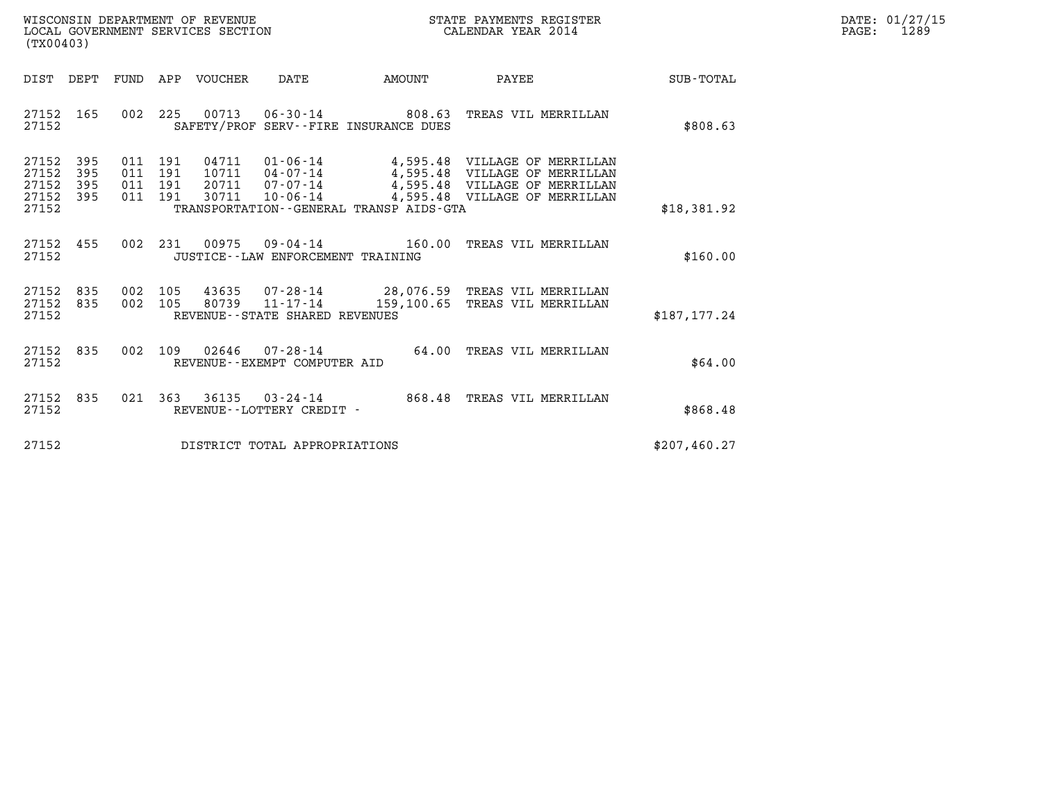| WISCONSIN DEPARTMENT OF REVENUE   | STATE PAYMENTS REGISTER | DATE: 01/27/15 |
|-----------------------------------|-------------------------|----------------|
| LOCAL GOVERNMENT SERVICES SECTION | CALENDAR YEAR 2014      | 1289<br>PAGE:  |

| $\tt WISCONSIM DEPARTMENT OF REVENUE$ $\tt WISCONSIMENT$ SERVICES SECTION $\tt WISCONBINENT$ SERVICES SECTION $\tt CALENDAR$ YEAR 2014<br>(TX00403)                                |                                                                                                                                                                                        |               | DATE: 01/27/15<br>$\mathtt{PAGE:}$<br>1289 |
|------------------------------------------------------------------------------------------------------------------------------------------------------------------------------------|----------------------------------------------------------------------------------------------------------------------------------------------------------------------------------------|---------------|--------------------------------------------|
| DIST DEPT FUND APP VOUCHER DATE AMOUNT                                                                                                                                             | <b>PAYEE</b>                                                                                                                                                                           | SUB-TOTAL     |                                            |
| 002 225 00713 06-30-14 808.63 TREAS VIL MERRILLAN<br>27152 165<br>27152<br>SAFETY/PROF SERV--FIRE INSURANCE DUES                                                                   |                                                                                                                                                                                        | \$808.63      |                                            |
| 27152 395<br>011 191<br>27152 395<br>011 191<br>27152 395<br>011 191<br>27152 395<br>30711<br>$10 - 06 - 14$<br>011 191<br>27152<br>TRANSPORTATION--GENERAL TRANSP AIDS-GTA        | 04711  01-06-14  4,595.48  VILLAGE OF MERRILLAN<br>10711  04-07-14  4,595.48  VILLAGE OF MERRILLAN<br>20711  07-07-14  4,595.48  VILLAGE OF MERRILLAN<br>4,595.48 VILLAGE OF MERRILLAN | \$18,381.92   |                                            |
| 27152 455<br>002 231 00975 09-04-14 160.00 TREAS VIL MERRILLAN<br>27152<br>JUSTICE - - LAW ENFORCEMENT TRAINING                                                                    |                                                                                                                                                                                        | \$160.00      |                                            |
| 002 105 43635 07-28-14 28,076.59 TREAS VIL MERRILLAN<br>27152 835<br>002 105 80739 11-17-14 159,100.65 TREAS VIL MERRILLAN<br>27152 835<br>27152<br>REVENUE--STATE SHARED REVENUES |                                                                                                                                                                                        | \$187, 177.24 |                                            |
| 002 109 02646 07-28-14 64.00 TREAS VIL MERRILLAN<br>27152 835<br>27152<br>REVENUE--EXEMPT COMPUTER AID                                                                             |                                                                                                                                                                                        | \$64.00       |                                            |
| 021 363 36135 03-24-14 868.48 TREAS VIL MERRILLAN<br>27152 835<br>27152<br>REVENUE--LOTTERY CREDIT -                                                                               |                                                                                                                                                                                        | \$868.48      |                                            |
| 27152<br>DISTRICT TOTAL APPROPRIATIONS                                                                                                                                             |                                                                                                                                                                                        | \$207,460.27  |                                            |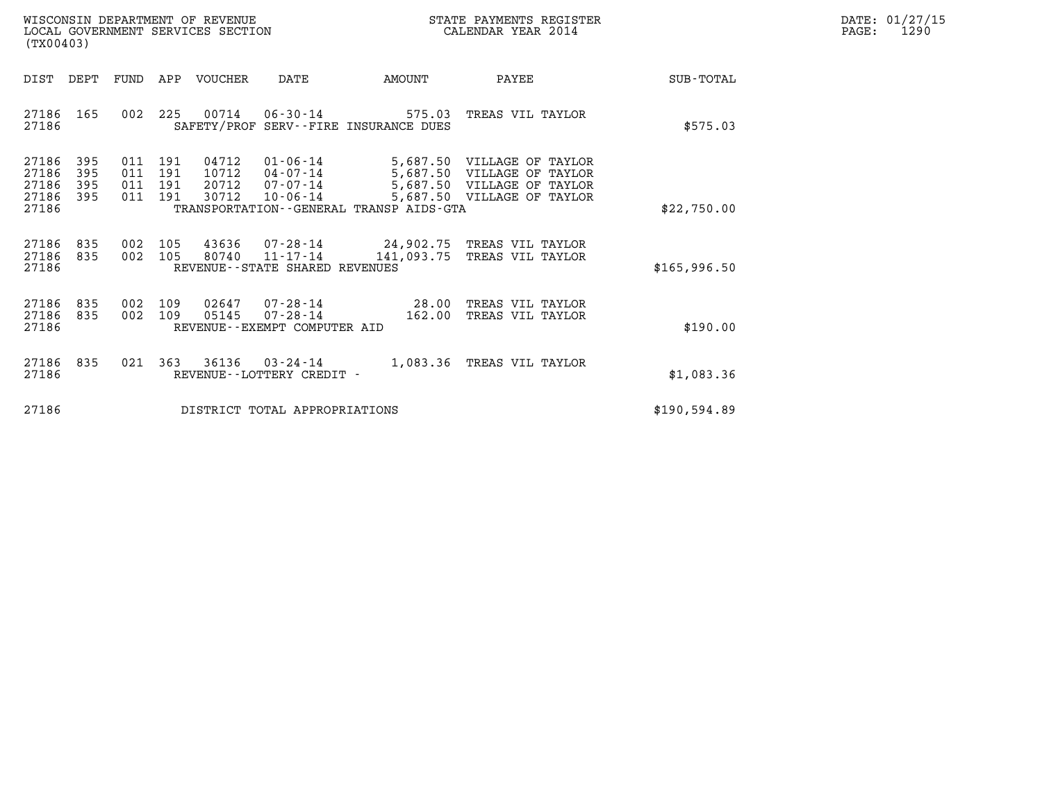| WISCONSIN DEPARTMENT OF REVENUE   | STATE PAYMENTS REGISTER | DATE: 01/27/15 |
|-----------------------------------|-------------------------|----------------|
| LOCAL GOVERNMENT SERVICES SECTION | CALENDAR YEAR 2014      | 1290<br>PAGE:  |

| WISCONSIN DEPARTMENT OF REVENUE<br>LOCAL GOVERNMENT SERVICES SECTION<br>(TX00403)                 |                                                                                                                                                                     | STATE PAYMENTS REGISTER<br>CALENDAR YEAR 2014 |                                                                                                                      |                  |
|---------------------------------------------------------------------------------------------------|---------------------------------------------------------------------------------------------------------------------------------------------------------------------|-----------------------------------------------|----------------------------------------------------------------------------------------------------------------------|------------------|
| DIST<br>DEPT<br>FUND                                                                              | VOUCHER<br>APP<br>DATE                                                                                                                                              | AMOUNT                                        | PAYEE                                                                                                                | <b>SUB-TOTAL</b> |
| 002<br>165<br>27186<br>27186                                                                      | 225<br>00714 06-30-14<br>SAFETY/PROF SERV--FIRE INSURANCE DUES                                                                                                      | 575.03                                        | TREAS VIL TAYLOR                                                                                                     | \$575.03         |
| 395<br>27186<br>011<br>27186<br>395<br>011<br>27186<br>395<br>011<br>27186<br>395<br>011<br>27186 | 191<br>04712<br>$01 - 06 - 14$<br>191<br>10712<br>04-07-14<br>191<br>20712<br>07-07-14<br>30712<br>191<br>$10 - 06 - 14$<br>TRANSPORTATION--GENERAL TRANSP AIDS-GTA |                                               | 5,687.50 VILLAGE OF TAYLOR<br>5,687.50 VILLAGE OF TAYLOR<br>5,687.50 VILLAGE OF TAYLOR<br>5,687.50 VILLAGE OF TAYLOR | \$22,750.00      |
| 27186<br>002<br>835<br>002<br>27186<br>835<br>27186                                               | 43636<br>105<br>105<br>80740<br>11-17-14 141,093.75<br>REVENUE--STATE SHARED REVENUES                                                                               |                                               | 07-28-14 24,902.75 TREAS VIL TAYLOR<br>TREAS VIL TAYLOR                                                              | \$165,996.50     |
| 27186<br>835<br>002<br>835<br>002<br>27186<br>27186                                               | 109<br>02647<br>07-28-14 28.00<br>05145<br>109<br>$07 - 28 - 14$<br>REVENUE--EXEMPT COMPUTER AID                                                                    | 162.00                                        | TREAS VIL TAYLOR<br>TREAS VIL TAYLOR                                                                                 | \$190.00         |
| 021<br>27186<br>835<br>27186                                                                      | 363<br>36136 03-24-14<br>REVENUE - - LOTTERY CREDIT -                                                                                                               |                                               | 1,083.36 TREAS VIL TAYLOR                                                                                            | \$1,083.36       |
| 27186                                                                                             | DISTRICT TOTAL APPROPRIATIONS                                                                                                                                       |                                               |                                                                                                                      | \$190,594.89     |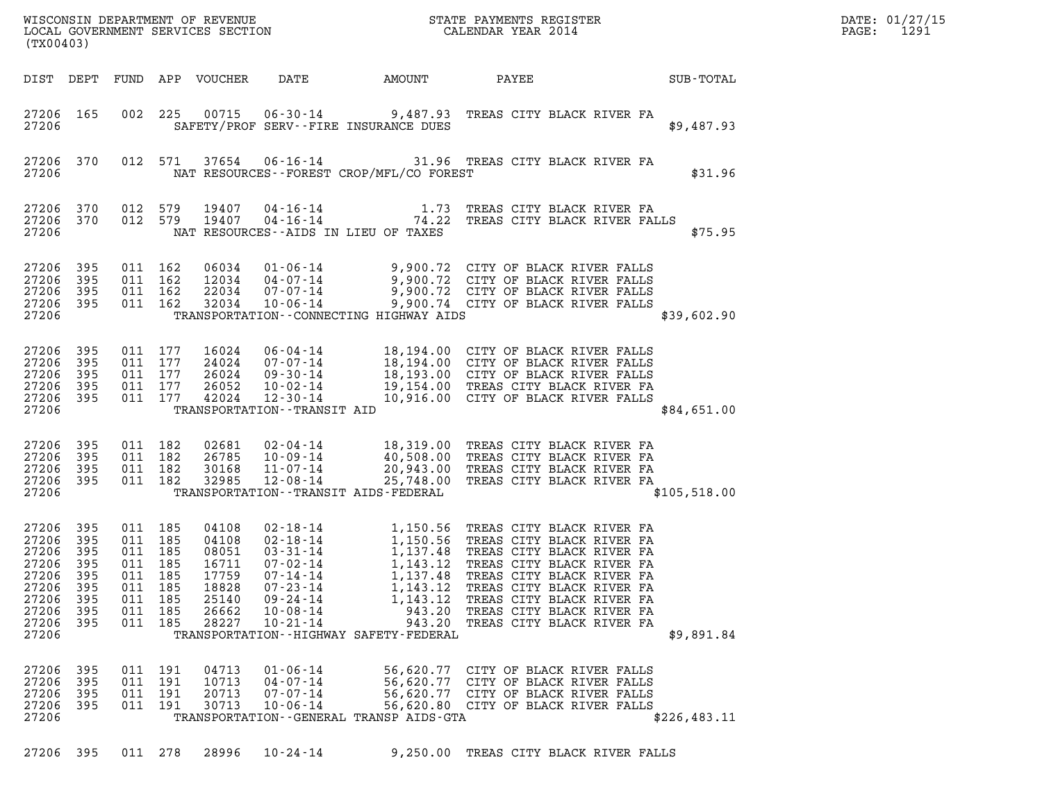| (TX00403)                                                                                  |                                                          |                                                                                             |         |                                                                               |                                                                                                                            |                                                                                                       |                                                                                                                                                                                                                                                                                                                       | DATE: 01/27/15<br>1291<br>$\mathtt{PAGE}$ : |  |
|--------------------------------------------------------------------------------------------|----------------------------------------------------------|---------------------------------------------------------------------------------------------|---------|-------------------------------------------------------------------------------|----------------------------------------------------------------------------------------------------------------------------|-------------------------------------------------------------------------------------------------------|-----------------------------------------------------------------------------------------------------------------------------------------------------------------------------------------------------------------------------------------------------------------------------------------------------------------------|---------------------------------------------|--|
|                                                                                            |                                                          |                                                                                             |         | DIST DEPT FUND APP VOUCHER                                                    | DATE                                                                                                                       | AMOUNT                                                                                                | PAYEE                                                                                                                                                                                                                                                                                                                 | SUB-TOTAL                                   |  |
| 27206 165<br>27206                                                                         |                                                          |                                                                                             |         |                                                                               |                                                                                                                            | SAFETY/PROF SERV--FIRE INSURANCE DUES                                                                 | 002 225 00715 06-30-14 9,487.93 TREAS CITY BLACK RIVER FA                                                                                                                                                                                                                                                             | \$9,487.93                                  |  |
| 27206 370<br>27206                                                                         |                                                          |                                                                                             | 012 571 |                                                                               |                                                                                                                            | NAT RESOURCES - - FOREST CROP/MFL/CO FOREST                                                           | 37654 06-16-14 31.96 TREAS CITY BLACK RIVER FA                                                                                                                                                                                                                                                                        | \$31.96                                     |  |
| 27206 370<br>27206 370<br>27206                                                            |                                                          | 012 579<br>012 579                                                                          |         | 19407<br>19407                                                                |                                                                                                                            | NAT RESOURCES--AIDS IN LIEU OF TAXES                                                                  | 04-16-14 1.73 TREAS CITY BLACK RIVER FA<br>04-16-14 74.22 TREAS CITY BLACK RIVER FALLS                                                                                                                                                                                                                                | \$75.95                                     |  |
| 27206 395<br>27206<br>27206<br>27206 395<br>27206                                          | 395<br>395                                               | 011 162<br>011 162<br>011 162                                                               | 011 162 | 06034<br>12034<br>22034<br>32034                                              | 10-06-14                                                                                                                   | TRANSPORTATION--CONNECTING HIGHWAY AIDS                                                               | 01-06-14 9,900.72 CITY OF BLACK RIVER FALLS<br>04-07-14 9,900.72 CITY OF BLACK RIVER FALLS<br>07-07-14 9,900.72 CITY OF BLACK RIVER FALLS<br>9,900.74 CITY OF BLACK RIVER FALLS                                                                                                                                       | \$39,602.90                                 |  |
| 27206 395<br>27206<br>27206<br>27206<br>27206 395<br>27206                                 | 395<br>395<br>395                                        | 011 177<br>011 177<br>011 177<br>011 177<br>011 177                                         |         | 16024<br>24024<br>26024<br>26052<br>42024                                     | $12 - 30 - 14$<br>TRANSPORTATION - - TRANSIT AID                                                                           |                                                                                                       | 06-04-14 18,194.00 CITY OF BLACK RIVER FALLS<br>07-07-14<br>09-30-14<br>18,193.00 CITY OF BLACK RIVER FALLS<br>19,154.00 CITY OF BLACK RIVER FALLS<br>19,154.00 TREAS CITY BLACK RIVER FA<br>10,916.00 CITY OF BLACK RIVER FALLS                                                                                      | \$84,651.00                                 |  |
| 27206 395<br>27206<br>27206<br>27206 395<br>27206                                          | 395<br>395                                               | 011 182<br>011 182<br>011 182<br>011 182                                                    |         | 02681<br>26785<br>30168<br>32985                                              | 10-09-14<br>11-07-14<br>$12 - 08 - 14$                                                                                     | TRANSPORTATION - - TRANSIT AIDS - FEDERAL                                                             | 02-04-14 18,319.00 TREAS CITY BLACK RIVER FA<br>40,508.00 TREAS CITY BLACK RIVER FA<br>20,943.00 TREAS CITY BLACK RIVER FA<br>25,748.00 TREAS CITY BLACK RIVER FA                                                                                                                                                     | \$105,518.00                                |  |
| 27206 395<br>27206<br>27206<br>27206<br>27206<br>27206<br>27206<br>27206<br>27206<br>27206 | 395<br>395<br>395<br>395<br>- 395<br>395<br>395<br>- 395 | 011 185<br>011 185<br>011 185<br>011 185<br>011<br>011 185<br>011 185<br>011 185<br>011 185 | 185     | 04108<br>04108<br>08051<br>16711<br>17759<br>18828<br>25140<br>26662<br>28227 | $03 - 31 - 14$<br>$07 - 02 - 14$<br>$07 - 14 - 14$<br>$07 - 23 - 14$<br>$09 - 24 - 14$<br>$10 - 08 - 14$<br>$10 - 21 - 14$ | 1,143.12<br>1,137.48<br>1,143.12<br>1,143.12<br>943.20<br>TRANSPORTATION - - HIGHWAY SAFETY - FEDERAL | 02-18-14 1,150.56 TREAS CITY BLACK RIVER FA<br>02-18-14 1,150.56 TREAS CITY BLACK RIVER FA<br>1,137.48 TREAS CITY BLACK RIVER FA<br>TREAS CITY BLACK RIVER FA<br>TREAS CITY BLACK RIVER FA<br>TREAS CITY BLACK RIVER FA<br>TREAS CITY BLACK RIVER FA<br>943.20 TREAS CITY BLACK RIVER FA<br>TREAS CITY BLACK RIVER FA | \$9,891.84                                  |  |
| 27206 395<br>27206<br>27206<br>27206<br>27206                                              | 395<br>395<br>- 395                                      | 011 191<br>011 191<br>011 191                                                               | 011 191 | 04713<br>10713<br>20713<br>30713                                              | $01 - 06 - 14$<br>04-07-14<br>$07 - 07 - 14$<br>$10 - 06 - 14$                                                             | TRANSPORTATION--GENERAL TRANSP AIDS-GTA                                                               | 56,620.77 CITY OF BLACK RIVER FALLS<br>56,620.77 CITY OF BLACK RIVER FALLS<br>56,620.77 CITY OF BLACK RIVER FALLS<br>56,620.80 CITY OF BLACK RIVER FALLS                                                                                                                                                              | \$226,483.11                                |  |
| 27206 395                                                                                  |                                                          | 011 278                                                                                     |         | 28996                                                                         | $10 - 24 - 14$                                                                                                             |                                                                                                       | 9,250.00 TREAS CITY BLACK RIVER FALLS                                                                                                                                                                                                                                                                                 |                                             |  |